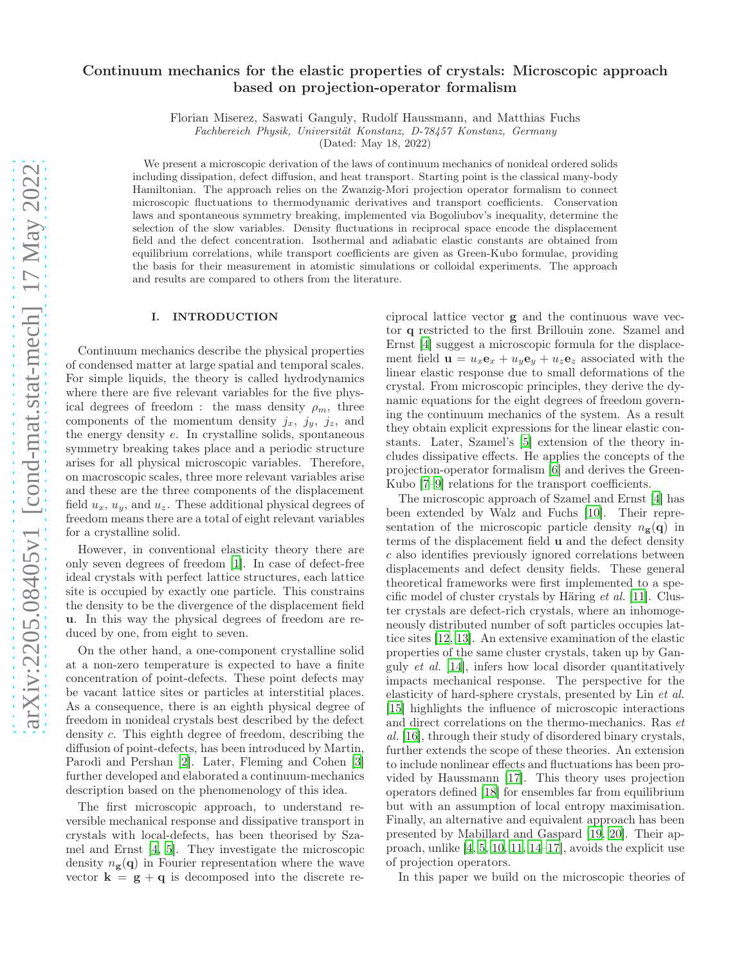# Continuum mechanics for the elastic properties of crystals: Microscopic approach based on projection-operator formalism

Florian Miserez, Saswati Ganguly, Rudolf Haussmann, and Matthias Fuchs

Fachbereich Physik, Universität Konstanz, D-78457 Konstanz, Germany

(Dated: May 18, 2022)

We present a microscopic derivation of the laws of continuum mechanics of nonideal ordered solids including dissipation, defect diffusion, and heat transport. Starting point is the classical many-body Hamiltonian. The approach relies on the Zwanzig-Mori projection operator formalism to connect microscopic fluctuations to thermodynamic derivatives and transport coefficients. Conservation laws and spontaneous symmetry breaking, implemented via Bogoliubov's inequality, determine the selection of the slow variables. Density fluctuations in reciprocal space encode the displacement field and the defect concentration. Isothermal and adiabatic elastic constants are obtained from equilibrium correlations, while transport coefficients are given as Green-Kubo formulae, providing the basis for their measurement in atomistic simulations or colloidal experiments. The approach and results are compared to others from the literature.

### I. INTRODUCTION

Continuum mechanics describe the physical properties of condensed matter at large spatial and temporal scales. For simple liquids, the theory is called hydrodynamics where there are five relevant variables for the five physical degrees of freedom : the mass density  $\rho_m$ , three components of the momentum density  $j_x$ ,  $j_y$ ,  $j_z$ , and the energy density e. In crystalline solids, spontaneous symmetry breaking takes place and a periodic structure arises for all physical microscopic variables. Therefore, on macroscopic scales, three more relevant variables arise and these are the three components of the displacement field  $u_x$ ,  $u_y$ , and  $u_z$ . These additional physical degrees of freedom means there are a total of eight relevant variables for a crystalline solid.

However, in conventional elasticity theory there are only seven degrees of freedom [\[1\]](#page-24-0). In case of defect-free ideal crystals with perfect lattice structures, each lattice site is occupied by exactly one particle. This constrains the density to be the divergence of the displacement field u. In this way the physical degrees of freedom are reduced by one, from eight to seven.

On the other hand, a one-component crystalline solid at a non-zero temperature is expected to have a finite concentration of point-defects. These point defects may be vacant lattice sites or particles at interstitial places. As a consequence, there is an eighth physical degree of freedom in nonideal crystals best described by the defect density c. This eighth degree of freedom, describing the diffusion of point-defects, has been introduced by Martin, Parodi and Pershan [\[2](#page-24-1)]. Later, Fleming and Cohen [\[3](#page-24-2)] further developed and elaborated a continuum-mechanics description based on the phenomenology of this idea.

The first microscopic approach, to understand reversible mechanical response and dissipative transport in crystals with local-defects, has been theorised by Szamel and Ernst [\[4,](#page-24-3) [5\]](#page-24-4). They investigate the microscopic density  $n_{\mathbf{g}}(\mathbf{q})$  in Fourier representation where the wave vector  $\mathbf{k} = \mathbf{g} + \mathbf{q}$  is decomposed into the discrete reciprocal lattice vector g and the continuous wave vector q restricted to the first Brillouin zone. Szamel and Ernst [\[4](#page-24-3)] suggest a microscopic formula for the displacement field  $\mathbf{u} = u_x \mathbf{e}_x + u_y \mathbf{e}_y + u_z \mathbf{e}_z$  associated with the linear elastic response due to small deformations of the crystal. From microscopic principles, they derive the dynamic equations for the eight degrees of freedom governing the continuum mechanics of the system. As a result they obtain explicit expressions for the linear elastic constants. Later, Szamel's [\[5](#page-24-4)] extension of the theory includes dissipative effects. He applies the concepts of the projection-operator formalism [\[6\]](#page-24-5) and derives the Green-Kubo [\[7](#page-24-6)[–9](#page-24-7)] relations for the transport coefficients.

The microscopic approach of Szamel and Ernst [\[4\]](#page-24-3) has been extended by Walz and Fuchs [\[10](#page-24-8)]. Their representation of the microscopic particle density  $n_{\sigma}(\mathbf{q})$  in terms of the displacement field u and the defect density c also identifies previously ignored correlations between displacements and defect density fields. These general theoretical frameworks were first implemented to a specific model of cluster crystals by Häring et al. [\[11\]](#page-24-9). Cluster crystals are defect-rich crystals, where an inhomogeneously distributed number of soft particles occupies lattice sites [\[12](#page-24-10), [13\]](#page-24-11). An extensive examination of the elastic properties of the same cluster crystals, taken up by Ganguly et al. [\[14](#page-24-12)], infers how local disorder quantitatively impacts mechanical response. The perspective for the elasticity of hard-sphere crystals, presented by Lin et al. [\[15\]](#page-24-13) highlights the influence of microscopic interactions and direct correlations on the thermo-mechanics. Ras et al. [\[16\]](#page-24-14), through their study of disordered binary crystals, further extends the scope of these theories. An extension to include nonlinear effects and fluctuations has been provided by Haussmann [\[17\]](#page-24-15). This theory uses projection operators defined [\[18\]](#page-24-16) for ensembles far from equilibrium but with an assumption of local entropy maximisation. Finally, an alternative and equivalent approach has been presented by Mabillard and Gaspard [\[19](#page-24-17), [20](#page-24-18)]. Their approach, unlike [\[4](#page-24-3), [5,](#page-24-4) [10,](#page-24-8) [11](#page-24-9), [14–](#page-24-12)[17\]](#page-24-15), avoids the explicit use of projection operators.

In this paper we build on the microscopic theories of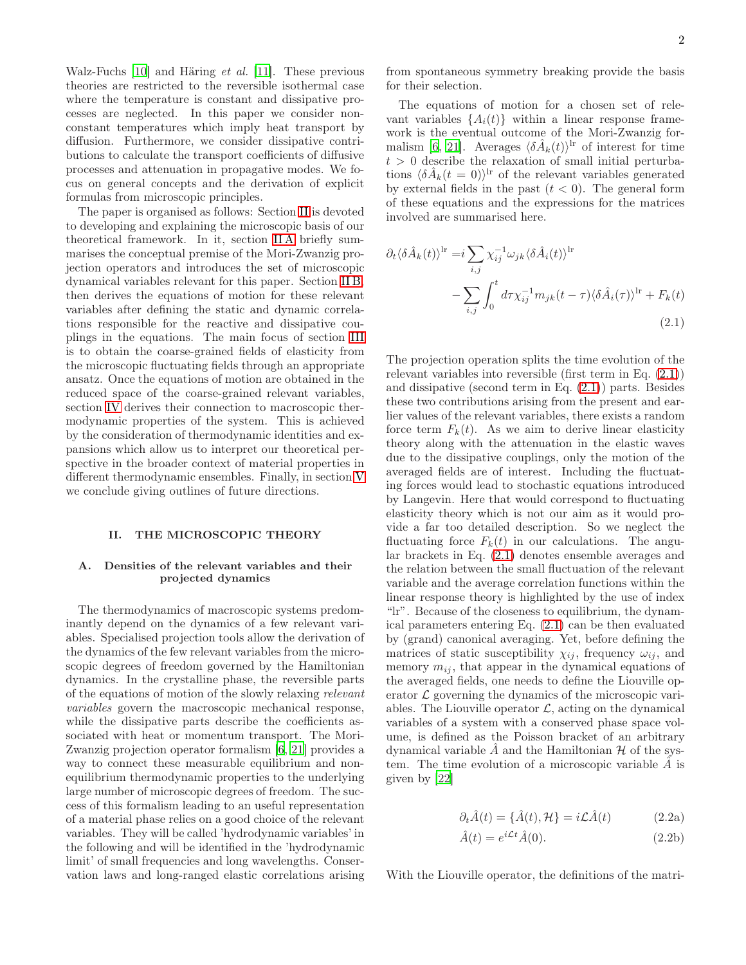Walz-Fuchs [\[10\]](#page-24-8) and Häring et al. [\[11\]](#page-24-9). These previous theories are restricted to the reversible isothermal case where the temperature is constant and dissipative processes are neglected. In this paper we consider nonconstant temperatures which imply heat transport by diffusion. Furthermore, we consider dissipative contributions to calculate the transport coefficients of diffusive processes and attenuation in propagative modes. We focus on general concepts and the derivation of explicit formulas from microscopic principles.

The paper is organised as follows: Section [II](#page-1-0) is devoted to developing and explaining the microscopic basis of our theoretical framework. In it, section [II A](#page-1-1) briefly summarises the conceptual premise of the Mori-Zwanzig projection operators and introduces the set of microscopic dynamical variables relevant for this paper. Section [II B,](#page-3-0) then derives the equations of motion for these relevant variables after defining the static and dynamic correlations responsible for the reactive and dissipative couplings in the equations. The main focus of section [III](#page-7-0) is to obtain the coarse-grained fields of elasticity from the microscopic fluctuating fields through an appropriate ansatz. Once the equations of motion are obtained in the reduced space of the coarse-grained relevant variables, section [IV](#page-10-0) derives their connection to macroscopic thermodynamic properties of the system. This is achieved by the consideration of thermodynamic identities and expansions which allow us to interpret our theoretical perspective in the broader context of material properties in different thermodynamic ensembles. Finally, in section [V](#page-15-0) we conclude giving outlines of future directions.

### <span id="page-1-0"></span>II. THE MICROSCOPIC THEORY

### <span id="page-1-1"></span>A. Densities of the relevant variables and their projected dynamics

The thermodynamics of macroscopic systems predominantly depend on the dynamics of a few relevant variables. Specialised projection tools allow the derivation of the dynamics of the few relevant variables from the microscopic degrees of freedom governed by the Hamiltonian dynamics. In the crystalline phase, the reversible parts of the equations of motion of the slowly relaxing relevant variables govern the macroscopic mechanical response, while the dissipative parts describe the coefficients associated with heat or momentum transport. The Mori-Zwanzig projection operator formalism [\[6,](#page-24-5) [21](#page-24-19)] provides a way to connect these measurable equilibrium and nonequilibrium thermodynamic properties to the underlying large number of microscopic degrees of freedom. The success of this formalism leading to an useful representation of a material phase relies on a good choice of the relevant variables. They will be called 'hydrodynamic variables' in the following and will be identified in the 'hydrodynamic limit' of small frequencies and long wavelengths. Conservation laws and long-ranged elastic correlations arising

from spontaneous symmetry breaking provide the basis for their selection.

The equations of motion for a chosen set of relevant variables  $\{A_i(t)\}\$  within a linear response framework is the eventual outcome of the Mori-Zwanzig for-malism [\[6](#page-24-5), [21\]](#page-24-19). Averages  $\langle \delta \hat{A}_k(t) \rangle^{\text{lr}}$  of interest for time  $t > 0$  describe the relaxation of small initial perturbations  $\langle \delta \hat{A}_k(t=0) \rangle^{\text{lr}}$  of the relevant variables generated by external fields in the past  $(t < 0)$ . The general form of these equations and the expressions for the matrices involved are summarised here.

$$
\partial_t \langle \delta \hat{A}_k(t) \rangle^{\text{lr}} = i \sum_{i,j} \chi_{ij}^{-1} \omega_{jk} \langle \delta \hat{A}_i(t) \rangle^{\text{lr}}
$$

$$
- \sum_{i,j} \int_0^t d\tau \chi_{ij}^{-1} m_{jk}(t-\tau) \langle \delta \hat{A}_i(\tau) \rangle^{\text{lr}} + F_k(t)
$$
(2.1)

<span id="page-1-2"></span>The projection operation splits the time evolution of the relevant variables into reversible (first term in Eq. [\(2.1\)](#page-1-2)) and dissipative (second term in Eq. [\(2.1\)](#page-1-2)) parts. Besides these two contributions arising from the present and earlier values of the relevant variables, there exists a random force term  $F_k(t)$ . As we aim to derive linear elasticity theory along with the attenuation in the elastic waves due to the dissipative couplings, only the motion of the averaged fields are of interest. Including the fluctuating forces would lead to stochastic equations introduced by Langevin. Here that would correspond to fluctuating elasticity theory which is not our aim as it would provide a far too detailed description. So we neglect the fluctuating force  $F_k(t)$  in our calculations. The angular brackets in Eq. [\(2.1\)](#page-1-2) denotes ensemble averages and the relation between the small fluctuation of the relevant variable and the average correlation functions within the linear response theory is highlighted by the use of index "lr". Because of the closeness to equilibrium, the dynamical parameters entering Eq. [\(2.1\)](#page-1-2) can be then evaluated by (grand) canonical averaging. Yet, before defining the matrices of static susceptibility  $\chi_{ij}$ , frequency  $\omega_{ij}$ , and memory  $m_{ij}$ , that appear in the dynamical equations of the averaged fields, one needs to define the Liouville operator  $\mathcal L$  governing the dynamics of the microscopic variables. The Liouville operator  $\mathcal{L}$ , acting on the dynamical variables of a system with a conserved phase space volume, is defined as the Poisson bracket of an arbitrary dynamical variable  $\ddot{A}$  and the Hamiltonian  $\mathcal H$  of the system. The time evolution of a microscopic variable  $A$  is given by [\[22\]](#page-24-20)

<span id="page-1-3"></span>
$$
\partial_t \hat{A}(t) = {\hat{A}(t), \mathcal{H}} = i\mathcal{L}\hat{A}(t)
$$
 (2.2a)

$$
\hat{A}(t) = e^{i\mathcal{L}t}\hat{A}(0). \tag{2.2b}
$$

With the Liouville operator, the definitions of the matri-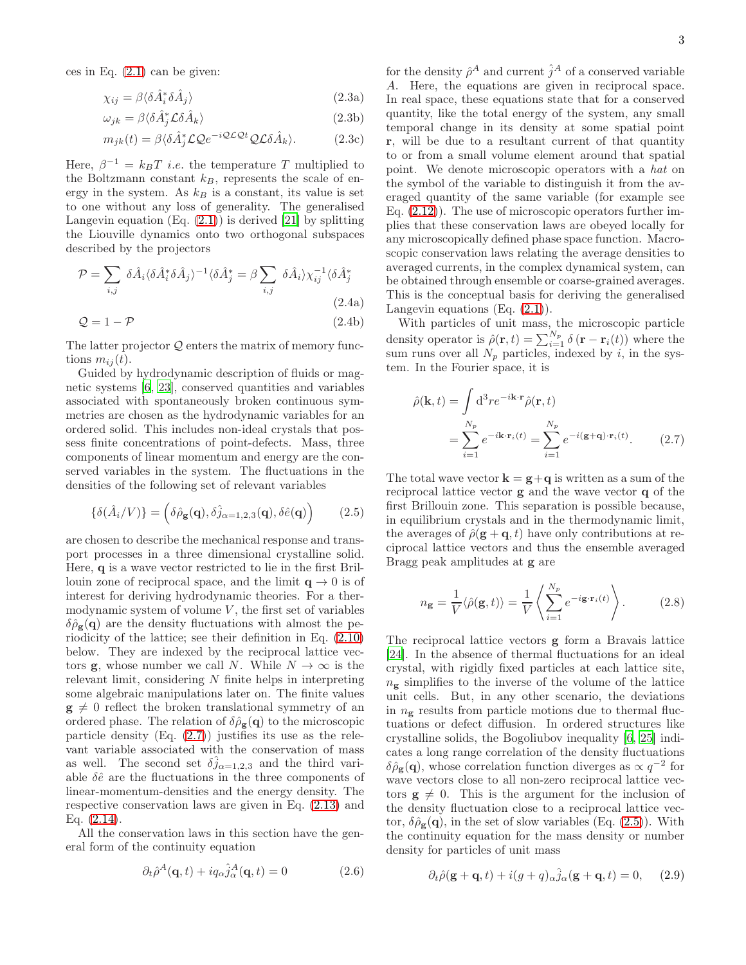ces in Eq.  $(2.1)$  can be given:

<span id="page-2-4"></span>
$$
\chi_{ij} = \beta \langle \delta \hat{A}_i^* \delta \hat{A}_j \rangle \tag{2.3a}
$$

$$
\omega_{jk} = \beta \langle \delta \hat{A}_j^* \mathcal{L} \delta \hat{A}_k \rangle \tag{2.3b}
$$

$$
m_{jk}(t) = \beta \langle \delta \hat{A}_j^* \mathcal{L} \mathcal{Q} e^{-i\mathcal{Q}\mathcal{L}\mathcal{Q}t} \mathcal{Q} \mathcal{L} \delta \hat{A}_k \rangle. \tag{2.3c}
$$

Here,  $\beta^{-1} = k_B T$  *i.e.* the temperature T multiplied to the Boltzmann constant  $k_B$ , represents the scale of energy in the system. As  $k_B$  is a constant, its value is set to one without any loss of generality. The generalised Langevin equation  $(Eq. (2.1))$  $(Eq. (2.1))$  $(Eq. (2.1))$  is derived [\[21\]](#page-24-19) by splitting the Liouville dynamics onto two orthogonal subspaces described by the projectors

<span id="page-2-5"></span>
$$
\mathcal{P} = \sum_{i,j} \delta \hat{A}_i \langle \delta \hat{A}_i^* \delta \hat{A}_j \rangle^{-1} \langle \delta \hat{A}_j^* = \beta \sum_{i,j} \delta \hat{A}_i \rangle \chi_{ij}^{-1} \langle \delta \hat{A}_j^* \rangle
$$
\n
$$
\mathcal{Q} = 1 - \mathcal{P}
$$
\n(2.4a)\n
$$
(2.4b)
$$

The latter projector  $Q$  enters the matrix of memory functions  $m_{ij}(t)$ .

Guided by hydrodynamic description of fluids or magnetic systems [\[6,](#page-24-5) [23](#page-24-21)], conserved quantities and variables associated with spontaneously broken continuous symmetries are chosen as the hydrodynamic variables for an ordered solid. This includes non-ideal crystals that possess finite concentrations of point-defects. Mass, three components of linear momentum and energy are the conserved variables in the system. The fluctuations in the densities of the following set of relevant variables

$$
\{\delta(\hat{A}_i/V)\} = \left(\delta\hat{\rho}_{\mathbf{g}}(\mathbf{q}), \delta\hat{j}_{\alpha=1,2,3}(\mathbf{q}), \delta\hat{e}(\mathbf{q})\right) \tag{2.5}
$$

are chosen to describe the mechanical response and transport processes in a three dimensional crystalline solid. Here, q is a wave vector restricted to lie in the first Brillouin zone of reciprocal space, and the limit  $q \to 0$  is of interest for deriving hydrodynamic theories. For a thermodynamic system of volume  $V$ , the first set of variables  $\delta \hat{\rho}_{\mathbf{g}}(\mathbf{q})$  are the density fluctuations with almost the periodicity of the lattice; see their definition in Eq. [\(2.10\)](#page-3-1) below. They are indexed by the reciprocal lattice vectors **g**, whose number we call N. While  $N \to \infty$  is the relevant limit, considering  $N$  finite helps in interpreting some algebraic manipulations later on. The finite values  $\mathbf{g} \neq 0$  reflect the broken translational symmetry of an ordered phase. The relation of  $\delta \hat{\rho}_{g}(q)$  to the microscopic particle density  $(Eq. (2.7))$  $(Eq. (2.7))$  $(Eq. (2.7))$  justifies its use as the relevant variable associated with the conservation of mass as well. The second set  $\delta j_{\alpha=1,2,3}$  and the third variable  $\delta\hat{e}$  are the fluctuations in the three components of linear-momentum-densities and the energy density. The respective conservation laws are given in Eq. [\(2.13\)](#page-3-2) and Eq. [\(2.14\)](#page-3-3).

All the conservation laws in this section have the general form of the continuity equation

$$
\partial_t \hat{\rho}^A(\mathbf{q}, t) + i q_\alpha \hat{j}^A_\alpha(\mathbf{q}, t) = 0 \tag{2.6}
$$

for the density  $\hat{\rho}^A$  and current  $\hat{j}^A$  of a conserved variable A. Here, the equations are given in reciprocal space. In real space, these equations state that for a conserved quantity, like the total energy of the system, any small temporal change in its density at some spatial point r, will be due to a resultant current of that quantity to or from a small volume element around that spatial point. We denote microscopic operators with a hat on the symbol of the variable to distinguish it from the averaged quantity of the same variable (for example see Eq. [\(2.12\)](#page-3-4)). The use of microscopic operators further implies that these conservation laws are obeyed locally for any microscopically defined phase space function. Macroscopic conservation laws relating the average densities to averaged currents, in the complex dynamical system, can be obtained through ensemble or coarse-grained averages. This is the conceptual basis for deriving the generalised Langevin equations  $(Eq. (2.1))$  $(Eq. (2.1))$  $(Eq. (2.1))$ .

With particles of unit mass, the microscopic particle density operator is  $\hat{\rho}(\mathbf{r},t) = \sum_{i=1}^{N_p} \delta(\mathbf{r} - \mathbf{r}_i(t))$  where the sum runs over all  $N_p$  particles, indexed by i, in the system. In the Fourier space, it is

<span id="page-2-0"></span>
$$
\hat{\rho}(\mathbf{k},t) = \int d^3 r e^{-i\mathbf{k}\cdot\mathbf{r}} \hat{\rho}(\mathbf{r},t)
$$

$$
= \sum_{i=1}^{N_p} e^{-i\mathbf{k}\cdot\mathbf{r}_i(t)} = \sum_{i=1}^{N_p} e^{-i(\mathbf{g}+\mathbf{q})\cdot\mathbf{r}_i(t)}.
$$
(2.7)

<span id="page-2-1"></span>The total wave vector  $\mathbf{k} = \mathbf{g} + \mathbf{q}$  is written as a sum of the reciprocal lattice vector g and the wave vector q of the first Brillouin zone. This separation is possible because, in equilibrium crystals and in the thermodynamic limit, the averages of  $\hat{\rho}(\mathbf{g} + \mathbf{q}, t)$  have only contributions at reciprocal lattice vectors and thus the ensemble averaged Bragg peak amplitudes at g are

<span id="page-2-3"></span>
$$
n_{\mathbf{g}} = \frac{1}{V} \langle \hat{\rho}(\mathbf{g}, t) \rangle = \frac{1}{V} \left\langle \sum_{i=1}^{N_p} e^{-i\mathbf{g} \cdot \mathbf{r}_i(t)} \right\rangle.
$$
 (2.8)

The reciprocal lattice vectors g form a Bravais lattice [\[24\]](#page-24-22). In the absence of thermal fluctuations for an ideal crystal, with rigidly fixed particles at each lattice site,  $n_{\rm g}$  simplifies to the inverse of the volume of the lattice unit cells. But, in any other scenario, the deviations in  $n_{\rm g}$  results from particle motions due to thermal fluctuations or defect diffusion. In ordered structures like crystalline solids, the Bogoliubov inequality [\[6,](#page-24-5) [25\]](#page-24-23) indicates a long range correlation of the density fluctuations  $\delta \hat{\rho}_{g}(\mathbf{q})$ , whose correlation function diverges as  $\propto q^{-2}$  for wave vectors close to all non-zero reciprocal lattice vectors  $g \neq 0$ . This is the argument for the inclusion of the density fluctuation close to a reciprocal lattice vector,  $\delta \hat{\rho}_{g}(q)$ , in the set of slow variables (Eq. [\(2.5\)](#page-2-1)). With the continuity equation for the mass density or number density for particles of unit mass

<span id="page-2-6"></span><span id="page-2-2"></span>
$$
\partial_t \hat{\rho}(\mathbf{g} + \mathbf{q}, t) + i(g + q)_{\alpha} \hat{j}_{\alpha}(\mathbf{g} + \mathbf{q}, t) = 0, \quad (2.9)
$$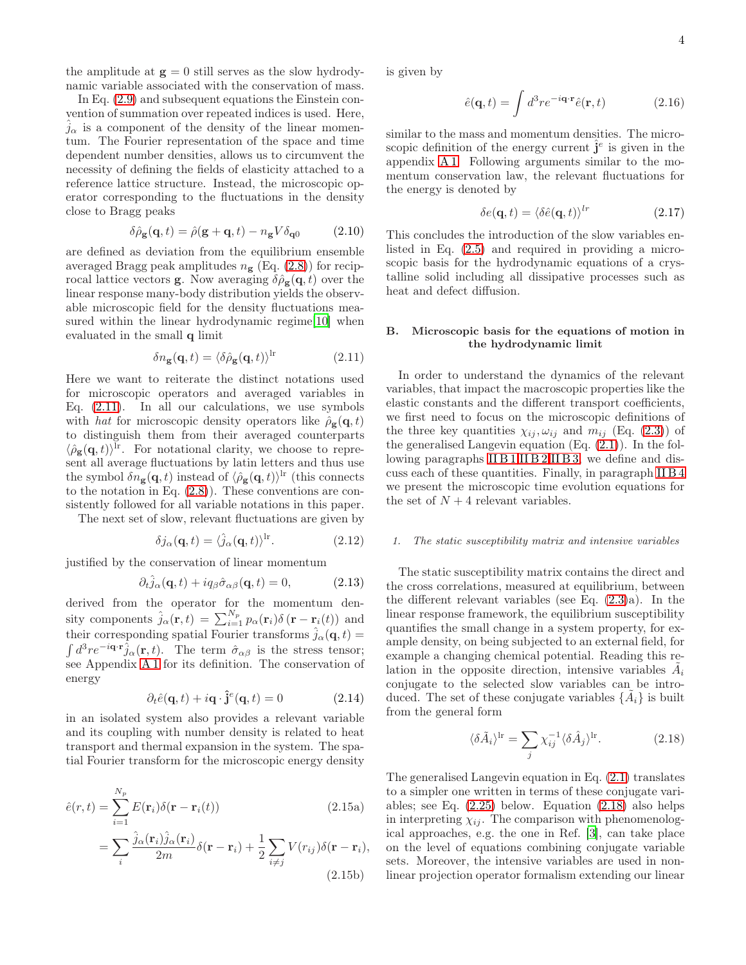the amplitude at  $g = 0$  still serves as the slow hydrodynamic variable associated with the conservation of mass.

In Eq. [\(2.9\)](#page-2-2) and subsequent equations the Einstein convention of summation over repeated indices is used. Here,  $\hat{j}_{\alpha}$  is a component of the density of the linear momentum. The Fourier representation of the space and time dependent number densities, allows us to circumvent the necessity of defining the fields of elasticity attached to a reference lattice structure. Instead, the microscopic operator corresponding to the fluctuations in the density close to Bragg peaks

<span id="page-3-1"></span>
$$
\delta \hat{\rho}_{\mathbf{g}}(\mathbf{q},t) = \hat{\rho}(\mathbf{g} + \mathbf{q},t) - n_{\mathbf{g}} V \delta_{\mathbf{q}0} \tag{2.10}
$$

are defined as deviation from the equilibrium ensemble averaged Bragg peak amplitudes  $n_{\rm g}$  (Eq. [\(2.8\)](#page-2-3)) for reciprocal lattice vectors **g**. Now averaging  $\delta \hat{\rho}_{g}(q, t)$  over the linear response many-body distribution yields the observable microscopic field for the density fluctuations measured within the linear hydrodynamic regime[\[10](#page-24-8)] when evaluated in the small q limit

<span id="page-3-5"></span>
$$
\delta n_{\mathbf{g}}(\mathbf{q},t) = \langle \delta \hat{\rho}_{\mathbf{g}}(\mathbf{q},t) \rangle^{\mathrm{lr}} \tag{2.11}
$$

Here we want to reiterate the distinct notations used for microscopic operators and averaged variables in Eq. [\(2.11\)](#page-3-5). In all our calculations, we use symbols with hat for microscopic density operators like  $\hat{\rho}_{g}(q, t)$ to distinguish them from their averaged counterparts  $\langle \hat{\rho}_{\bf g}({\bf q}, t) \rangle^{\text{lr}}$ . For notational clarity, we choose to represent all average fluctuations by latin letters and thus use the symbol  $\delta n_{\mathbf{g}}(\mathbf{q},t)$  instead of  $\langle \hat{\rho}_{\mathbf{g}}(\mathbf{q},t)\rangle^{\text{lr}}$  (this connects to the notation in Eq. [\(2.8\)](#page-2-3)). These conventions are consistently followed for all variable notations in this paper.

The next set of slow, relevant fluctuations are given by

<span id="page-3-4"></span>
$$
\delta j_{\alpha}(\mathbf{q},t) = \langle \hat{j}_{\alpha}(\mathbf{q},t) \rangle^{\text{lr}}.
$$
 (2.12)

justified by the conservation of linear momentum

<span id="page-3-2"></span>
$$
\partial_t \hat{j}_{\alpha}(\mathbf{q}, t) + i q_{\beta} \hat{\sigma}_{\alpha \beta}(\mathbf{q}, t) = 0, \qquad (2.13)
$$

derived from the operator for the momentum density components  $\hat{j}_{\alpha}(\mathbf{r},t) = \sum_{i=1}^{N_p} p_{\alpha}(\mathbf{r}_i) \delta(\mathbf{r} - \mathbf{r}_i(t))$  and their corresponding spatial Fourier transforms  $\hat{j}_{\alpha}(\mathbf{q}, t) =$  $\int d^3r e^{-i\mathbf{q}\cdot\mathbf{r}}\hat{j}_{\alpha}(\mathbf{r}, t)$ . The term  $\hat{\sigma}_{\alpha\beta}$  is the stress tensor; see Appendix [A 1](#page-16-0) for its definition. The conservation of energy

<span id="page-3-3"></span>
$$
\partial_t \hat{e}(\mathbf{q}, t) + i\mathbf{q} \cdot \hat{\mathbf{j}}^e(\mathbf{q}, t) = 0 \tag{2.14}
$$

in an isolated system also provides a relevant variable and its coupling with number density is related to heat transport and thermal expansion in the system. The spatial Fourier transform for the microscopic energy density

<span id="page-3-9"></span>
$$
\hat{e}(r,t) = \sum_{i=1}^{N_p} E(\mathbf{r}_i) \delta(\mathbf{r} - \mathbf{r}_i(t))
$$
\n(2.15a)

$$
= \sum_{i} \frac{\hat{j}_{\alpha}(\mathbf{r}_{i}) \hat{j}_{\alpha}(\mathbf{r}_{i})}{2m} \delta(\mathbf{r} - \mathbf{r}_{i}) + \frac{1}{2} \sum_{i \neq j} V(r_{ij}) \delta(\mathbf{r} - \mathbf{r}_{i}),
$$
\n(2.15b)

is given by

<span id="page-3-10"></span>
$$
\hat{e}(\mathbf{q},t) = \int d^3 r e^{-i\mathbf{q}\cdot\mathbf{r}} \hat{e}(\mathbf{r},t)
$$
 (2.16)

similar to the mass and momentum densities. The microscopic definition of the energy current  $\hat{\mathbf{j}}^e$  is given in the appendix [A 1.](#page-16-0) Following arguments similar to the momentum conservation law, the relevant fluctuations for the energy is denoted by

<span id="page-3-8"></span>
$$
\delta e(\mathbf{q}, t) = \langle \delta \hat{e}(\mathbf{q}, t) \rangle^{lr} \tag{2.17}
$$

This concludes the introduction of the slow variables enlisted in Eq. [\(2.5\)](#page-2-1) and required in providing a microscopic basis for the hydrodynamic equations of a crystalline solid including all dissipative processes such as heat and defect diffusion.

# <span id="page-3-0"></span>B. Microscopic basis for the equations of motion in the hydrodynamic limit

In order to understand the dynamics of the relevant variables, that impact the macroscopic properties like the elastic constants and the different transport coefficients, we first need to focus on the microscopic definitions of the three key quantities  $\chi_{ij}, \omega_{ij}$  and  $m_{ij}$  (Eq. [\(2.3\)](#page-2-4)) of the generalised Langevin equation (Eq. [\(2.1\)](#page-1-2)). In the fol-lowing paragraphs [II B 1,](#page-3-6) [II B 2,](#page-5-0) [II B 3,](#page-6-0) we define and discuss each of these quantities. Finally, in paragraph [II B 4](#page-6-1) we present the microscopic time evolution equations for the set of  $N+4$  relevant variables.

# <span id="page-3-6"></span>1. The static susceptibility matrix and intensive variables

The static susceptibility matrix contains the direct and the cross correlations, measured at equilibrium, between the different relevant variables (see Eq. [\(2.3\)](#page-2-4)a). In the linear response framework, the equilibrium susceptibility quantifies the small change in a system property, for example density, on being subjected to an external field, for example a changing chemical potential. Reading this relation in the opposite direction, intensive variables  $\tilde{A}_i$ conjugate to the selected slow variables can be introduced. The set of these conjugate variables  $\{\tilde{A}_i\}$  is built from the general form

<span id="page-3-7"></span>
$$
\langle \delta \tilde{A}_i \rangle^{\text{lr}} = \sum_j \chi_{ij}^{-1} \langle \delta \hat{A}_j \rangle^{\text{lr}}.
$$
 (2.18)

The generalised Langevin equation in Eq. [\(2.1\)](#page-1-2) translates to a simpler one written in terms of these conjugate variables; see Eq. [\(2.25\)](#page-5-1) below. Equation [\(2.18\)](#page-3-7) also helps in interpreting  $\chi_{ij}$ . The comparison with phenomenological approaches, e.g. the one in Ref. [\[3\]](#page-24-2), can take place on the level of equations combining conjugate variable sets. Moreover, the intensive variables are used in nonlinear projection operator formalism extending our linear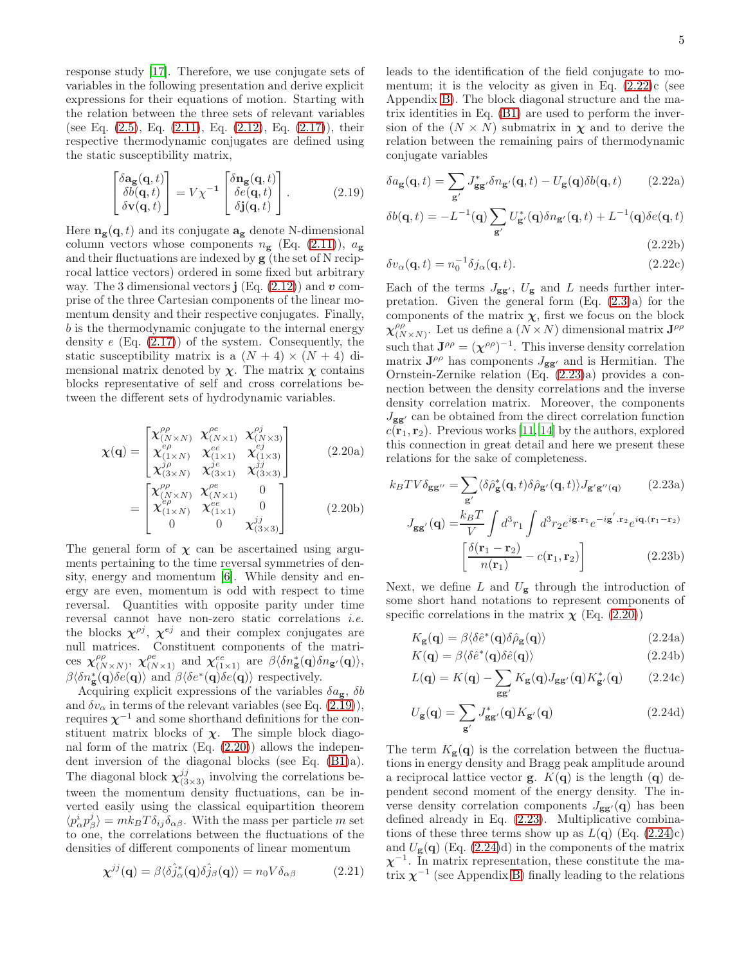response study [\[17\]](#page-24-15). Therefore, we use conjugate sets of variables in the following presentation and derive explicit expressions for their equations of motion. Starting with the relation between the three sets of relevant variables (see Eq. [\(2.5\)](#page-2-1), Eq. [\(2.11\)](#page-3-5), Eq. [\(2.12\)](#page-3-4), Eq. [\(2.17\)](#page-3-8)), their respective thermodynamic conjugates are defined using the static susceptibility matrix,

$$
\begin{bmatrix}\n\delta \mathbf{a_g}(\mathbf{q},t) \\
\delta b(\mathbf{q},t) \\
\delta \mathbf{v}(\mathbf{q},t)\n\end{bmatrix} = V \chi^{-1} \begin{bmatrix}\n\delta \mathbf{n_g}(\mathbf{q},t) \\
\delta e(\mathbf{q},t) \\
\delta \mathbf{j}(\mathbf{q},t)\n\end{bmatrix}.
$$
\n(2.19)

Here  $\mathbf{n}_{g}(\mathbf{q},t)$  and its conjugate  $\mathbf{a}_{g}$  denote N-dimensional column vectors whose components  $n_{\rm g}$  (Eq. [\(2.11\)](#page-3-5)),  $a_{\rm g}$ and their fluctuations are indexed by g (the set of N reciprocal lattice vectors) ordered in some fixed but arbitrary way. The 3 dimensional vectors  $\mathbf{j}$  (Eq. [\(2.12\)](#page-3-4)) and  $\mathbf{v}$  comprise of the three Cartesian components of the linear momentum density and their respective conjugates. Finally, b is the thermodynamic conjugate to the internal energy density  $e$  (Eq.  $(2.17)$ ) of the system. Consequently, the static susceptibility matrix is a  $(N + 4) \times (N + 4)$  dimensional matrix denoted by  $\chi$ . The matrix  $\chi$  contains blocks representative of self and cross correlations between the different sets of hydrodynamic variables.

<span id="page-4-1"></span>
$$
\chi(\mathbf{q}) = \begin{bmatrix}\n\chi_{(N \times N)}^{\rho \rho} & \chi_{(N \times 1)}^{\rho e} & \chi_{(N \times 3)}^{\rho j} \\
\chi_{(1 \times N)}^{\rho} & \chi_{(1 \times 1)}^{e e} & \chi_{(1 \times 3)}^{\epsilon j} \\
\chi_{(3 \times N)}^{\gamma \rho} & \chi_{(3 \times 1)}^{\gamma e} & \chi_{(3 \times 3)}^{\gamma j} \\
\chi_{(N \times N)}^{\rho \rho} & \chi_{(N \times 1)}^{\rho e} & 0 \\
\chi_{(1 \times N)}^{\rho \rho} & \chi_{(1 \times 1)}^{e e} & 0 \\
0 & 0 & \chi_{(3 \times 3)}^{\gamma j}\n\end{bmatrix}
$$
\n(2.20a)

The general form of  $\chi$  can be ascertained using arguments pertaining to the time reversal symmetries of density, energy and momentum [\[6\]](#page-24-5). While density and energy are even, momentum is odd with respect to time reversal. Quantities with opposite parity under time reversal cannot have non-zero static correlations i.e. the blocks  $\chi^{\rho j}$ ,  $\chi^{ej}$  and their complex conjugates are null matrices. Constituent components of the matrices  $\chi_{(\Lambda)}^{\rho\rho}$  $\chi^{\rho\rho}_{(N\times N)}$ ,  $\chi^{\rho e}_{(N\times 1)}$  and  $\chi^{ee}_{(1\times 1)}$  are  $\beta\langle\delta n_{\bf g}^*(\bf q)\delta n_{{\bf g}'}(\bf q)\rangle$ ,  $\beta\langle \delta n_{\bf g}^*(\mathbf{q})\delta e(\mathbf{q})\rangle$  and  $\beta\langle \delta e^*(\mathbf{q})\delta e(\mathbf{q})\rangle$  respectively.

Acquiring explicit expressions of the variables  $\delta a_{\rm g}$ ,  $\delta b$ and  $\delta v_{\alpha}$  in terms of the relevant variables (see Eq. [\(2.19\)](#page-4-0)), requires  $\chi^{-1}$  and some shorthand definitions for the constituent matrix blocks of  $\chi$ . The simple block diagonal form of the matrix (Eq. [\(2.20\)](#page-4-1)) allows the independent inversion of the diagonal blocks (see Eq. [\(B1\)](#page-17-0)a). The diagonal block  $\chi_{(3\times3)}^{jj}$  involving the correlations between the momentum density fluctuations, can be inverted easily using the classical equipartition theorem  $\langle p_\alpha^i p_\beta^j \rangle = m k_B T \delta_{ij} \delta_{\alpha\beta}$ . With the mass per particle m set to one, the correlations between the fluctuations of the densities of different components of linear momentum

$$
\chi^{jj}(\mathbf{q}) = \beta \langle \hat{\delta}_{\alpha}^*(\mathbf{q}) \hat{\delta}_{\beta}^*(\mathbf{q}) \rangle = n_0 V \delta_{\alpha \beta} \tag{2.21}
$$

leads to the identification of the field conjugate to momentum; it is the velocity as given in Eq.  $(2.22)c$  (see Appendix [B\)](#page-17-1). The block diagonal structure and the matrix identities in Eq. [\(B1\)](#page-17-0) are used to perform the inversion of the  $(N \times N)$  submatrix in  $\chi$  and to derive the relation between the remaining pairs of thermodynamic conjugate variables

<span id="page-4-2"></span><span id="page-4-0"></span>
$$
\delta a_{\mathbf{g}}(\mathbf{q},t) = \sum_{\mathbf{g}'} J_{\mathbf{g}\mathbf{g}'}^* \delta n_{\mathbf{g}'}(\mathbf{q},t) - U_{\mathbf{g}}(\mathbf{q}) \delta b(\mathbf{q},t) \qquad (2.22a)
$$

$$
\delta b(\mathbf{q},t) = -L^{-1}(\mathbf{q}) \sum_{\mathbf{g}'} U_{\mathbf{g}'}^*(\mathbf{q}) \delta n_{\mathbf{g}'}(\mathbf{q},t) + L^{-1}(\mathbf{q}) \delta e(\mathbf{q},t)
$$

$$
(2.22b)
$$

$$
\delta v_{\alpha}(\mathbf{q},t) = n_0^{-1} \delta j_{\alpha}(\mathbf{q},t). \tag{2.22c}
$$

Each of the terms  $J_{gg'}$ ,  $U_g$  and L needs further interpretation. Given the general form (Eq. [\(2.3\)](#page-2-4)a) for the components of the matrix  $\chi$ , first we focus on the block  $\chi^{\rho\rho}_{\alpha\alpha}$  $_{(N\times N)}^{\rho\rho}$ . Let us define a  $(N\times N)$  dimensional matrix  $\mathbf{J}^{\rho\rho}$ such that  $\mathbf{J}^{\rho\rho} = (\chi^{\rho\rho})^{-1}$ . This inverse density correlation matrix  $J^{\rho\rho}$  has components  $J_{gg'}$  and is Hermitian. The Ornstein-Zernike relation (Eq. [\(2.23\)](#page-4-3)a) provides a connection between the density correlations and the inverse density correlation matrix. Moreover, the components  $J_{gg'}$  can be obtained from the direct correlation function  $c(\mathbf{r}_1, \mathbf{r}_2)$ . Previous works [\[11,](#page-24-9) [14\]](#page-24-12) by the authors, explored this connection in great detail and here we present these relations for the sake of completeness.

<span id="page-4-3"></span>
$$
k_B T V \delta_{\mathbf{g}\mathbf{g}''} = \sum_{\mathbf{g}'} \langle \delta \hat{\rho}_{\mathbf{g}}^* (\mathbf{q}, t) \delta \hat{\rho}_{\mathbf{g}'} (\mathbf{q}, t) \rangle J_{\mathbf{g}'\mathbf{g}''(\mathbf{q})}
$$
(2.23a)  

$$
J_{\mathbf{g}\mathbf{g}'} (\mathbf{q}) = \frac{k_B T}{V} \int d^3 r_1 \int d^3 r_2 e^{i \mathbf{g} \cdot \mathbf{r}_1} e^{-i \mathbf{g}' \cdot \mathbf{r}_2} e^{i \mathbf{q} \cdot (\mathbf{r}_1 - \mathbf{r}_2)}
$$

$$
\left[ \frac{\delta(\mathbf{r}_1 - \mathbf{r}_2)}{n(\mathbf{r}_1)} - c(\mathbf{r}_1, \mathbf{r}_2) \right]
$$
(2.23b)

Next, we define L and  $U_{\mathbf{g}}$  through the introduction of some short hand notations to represent components of specific correlations in the matrix  $\chi$  (Eq. [\(2.20\)](#page-4-1))

<span id="page-4-4"></span>
$$
K_{\mathbf{g}}(\mathbf{q}) = \beta \langle \delta \hat{e}^*(\mathbf{q}) \delta \hat{\rho}_{\mathbf{g}}(\mathbf{q}) \rangle \tag{2.24a}
$$

$$
K(\mathbf{q}) = \beta \langle \delta \hat{e}^*(\mathbf{q}) \delta \hat{e}(\mathbf{q}) \rangle \tag{2.24b}
$$

$$
L(\mathbf{q}) = K(\mathbf{q}) - \sum_{\mathbf{g}\mathbf{g}'} K_{\mathbf{g}}(\mathbf{q}) J_{\mathbf{g}\mathbf{g}'}(\mathbf{q}) K_{\mathbf{g}'}^*(\mathbf{q}) \qquad (2.24c)
$$

$$
U_{\mathbf{g}}(\mathbf{q}) = \sum_{\mathbf{g}'} J_{\mathbf{g}\mathbf{g}'}^*(\mathbf{q}) K_{\mathbf{g}'}(\mathbf{q})
$$
 (2.24d)

<span id="page-4-5"></span>The term  $K_{\mathbf{g}}(\mathbf{q})$  is the correlation between the fluctuations in energy density and Bragg peak amplitude around a reciprocal lattice vector **g**.  $K(\mathbf{q})$  is the length  $(\mathbf{q})$  dependent second moment of the energy density. The inverse density correlation components  $J_{\mathbf{g}\mathbf{g}'}(\mathbf{q})$  has been defined already in Eq. [\(2.23\)](#page-4-3). Multiplicative combinations of these three terms show up as  $L(\mathbf{q})$  (Eq. [\(2.24\)](#page-4-4)c) and  $U_{\mathbf{g}}(\mathbf{q})$  (Eq. [\(2.24\)](#page-4-4)d) in the components of the matrix  $\chi^{-1}$ . In matrix representation, these constitute the matrix  $\chi^{-1}$  (see Appendix [B\)](#page-17-1) finally leading to the relations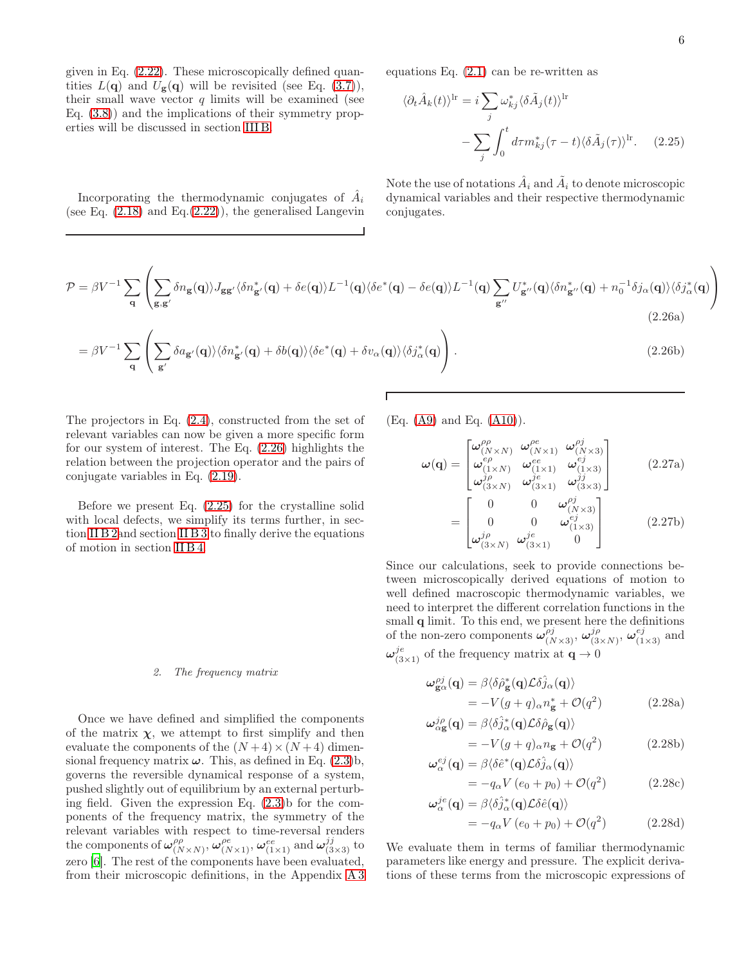given in Eq. [\(2.22\)](#page-4-2). These microscopically defined quantities  $L(\mathbf{q})$  and  $U_{\mathbf{g}}(\mathbf{q})$  will be revisited (see Eq. [\(3.7\)](#page-8-0)), their small wave vector  $q$  limits will be examined (see Eq. [\(3.8\)](#page-8-1)) and the implications of their symmetry properties will be discussed in section [III B.](#page-7-1)

Incorporating the thermodynamic conjugates of  $\hat{A}_i$ (see Eq.  $(2.18)$  and Eq. $(2.22)$ ), the generalised Langevin equations Eq. [\(2.1\)](#page-1-2) can be re-written as

<span id="page-5-1"></span>
$$
\langle \partial_t \hat{A}_k(t) \rangle^{\text{lr}} = i \sum_j \omega_{kj}^* \langle \delta \tilde{A}_j(t) \rangle^{\text{lr}}
$$

$$
- \sum_j \int_0^t d\tau m_{kj}^* (\tau - t) \langle \delta \tilde{A}_j(\tau) \rangle^{\text{lr}}. \quad (2.25)
$$

Note the use of notations  $\hat{A}_i$  and  $\tilde{A}_i$  to denote microscopic dynamical variables and their respective thermodynamic conjugates.

<span id="page-5-2"></span>
$$
\mathcal{P} = \beta V^{-1} \sum_{\mathbf{q}} \left( \sum_{\mathbf{g}, \mathbf{g}'} \delta n_{\mathbf{g}}(\mathbf{q}) \rangle J_{\mathbf{g}\mathbf{g}'} \langle \delta n_{\mathbf{g}'}^*(\mathbf{q}) + \delta e(\mathbf{q}) \rangle L^{-1}(\mathbf{q}) \langle \delta e^*(\mathbf{q}) - \delta e(\mathbf{q}) \rangle L^{-1}(\mathbf{q}) \sum_{\mathbf{g}''} U_{\mathbf{g}''}^*(\mathbf{q}) \langle \delta n_{\mathbf{g}''}^*(\mathbf{q}) + n_0^{-1} \delta j_\alpha(\mathbf{q}) \rangle \langle \delta j_\alpha^*(\mathbf{q}) \rangle \right)
$$
\n(2.26a)

$$
= \beta V^{-1} \sum_{\mathbf{q}} \left( \sum_{\mathbf{g}'} \delta a_{\mathbf{g}'}(\mathbf{q}) \rangle \langle \delta n_{\mathbf{g}'}^*(\mathbf{q}) + \delta b(\mathbf{q}) \rangle \langle \delta e^*(\mathbf{q}) + \delta v_\alpha(\mathbf{q}) \rangle \langle \delta j_\alpha^*(\mathbf{q}) \right).
$$
 (2.26b)

Г

The projectors in Eq. [\(2.4\)](#page-2-5), constructed from the set of relevant variables can now be given a more specific form for our system of interest. The Eq. [\(2.26\)](#page-5-2) highlights the relation between the projection operator and the pairs of conjugate variables in Eq. [\(2.19\)](#page-4-0).

Before we present Eq. [\(2.25\)](#page-5-1) for the crystalline solid with local defects, we simplify its terms further, in section [II B 2a](#page-5-0)nd section [II B 3](#page-6-0) to finally derive the equations of motion in section [II B 4.](#page-6-1)

#### <span id="page-5-0"></span>2. The frequency matrix

Once we have defined and simplified the components of the matrix  $\chi$ , we attempt to first simplify and then evaluate the components of the  $(N+4) \times (N+4)$  dimensional frequency matrix  $\omega$ . This, as defined in Eq.  $(2.3)$ b, governs the reversible dynamical response of a system, pushed slightly out of equilibrium by an external perturbing field. Given the expression Eq.  $(2.3)$ b for the components of the frequency matrix, the symmetry of the relevant variables with respect to time-reversal renders the components of  $\omega_{(N)}^{\rho\rho}$  $\big(\begin{smallmatrix} \rho\rho & \sigma(x) \ N \times N \end{smallmatrix}\big)$ ,  $\boldsymbol{\omega}^{ee}_{(1\times1)}$  and  $\boldsymbol{\omega}^{jj}_{(3\times3)}$  to zero [\[6\]](#page-24-5). The rest of the components have been evaluated, from their microscopic definitions, in the Appendix [A 3](#page-17-2) (Eq. [\(A9\)](#page-17-3) and Eq. [\(A10\)](#page-17-4)).

$$
\omega(\mathbf{q}) = \begin{bmatrix}\n\omega_{(N \times N)}^{\rho \rho} & \omega_{(N \times 1)}^{\rho \sigma} & \omega_{(N \times 3)}^{\rho \sigma} \\
\omega_{(N \times N)}^{\rho \sigma} & \omega_{(1 \times 1)}^{\sigma} & \omega_{(1 \times 3)}^{\sigma \sigma} \\
\omega_{(3 \times N)}^{\sigma \rho} & \omega_{(3 \times 1)}^{\sigma \sigma} & \omega_{(3 \times 3)}^{\sigma \sigma}\n\end{bmatrix}
$$
\n(2.27a)\n
$$
\begin{bmatrix}\n0 & 0 & \omega_{(N \times 3)}^{\rho \sigma} \\
\omega_{(N \times 3)}^{\sigma} & \omega_{(3 \times 3)}^{\sigma \sigma}\n\end{bmatrix}
$$
\n(2.27b)

$$
= \begin{bmatrix} 0 & 0 & \omega_{(1\times3)}^{ej} \\ \omega_{(3\times N)}^{j\rho} & \omega_{(3\times1)}^{je} & 0 \end{bmatrix}
$$
 (2.27b)

Since our calculations, seek to provide connections between microscopically derived equations of motion to well defined macroscopic thermodynamic variables, we need to interpret the different correlation functions in the small **q** limit. To this end, we present here the definitions of the non-zero components  $\hat{\omega}_{(N\times3)}^{\rho j}$ ,  $\omega_{(3)}^{j\rho}$  $j \rho \over (3 \times N)}, \omega^{ej}_{(1 \times 3)}$  and  $\omega_{(3\times1)}^{j\dot{e}}$  of the frequency matrix at  $\mathbf{q}\to0$ 

<span id="page-5-3"></span>
$$
\omega_{\mathbf{g}\alpha}^{\rho j}(\mathbf{q}) = \beta \langle \delta \hat{\rho}_{\mathbf{g}}^*(\mathbf{q}) \mathcal{L} \delta \hat{j}_{\alpha}(\mathbf{q}) \rangle
$$
  
= 
$$
-V(g+q)_{\alpha} n_{\mathbf{g}}^* + \mathcal{O}(q^2)
$$
(2.28a)

$$
\omega_{\alpha \mathbf{g}}^{j\rho}(\mathbf{q}) = \beta \langle \delta \hat{j}_{\alpha}^* (\mathbf{q}) \mathcal{L} \delta \hat{\rho}_{\mathbf{g}} (\mathbf{q}) \rangle \n= -V(g+q)_{\alpha} n_{\mathbf{g}} + \mathcal{O}(q^2)
$$
\n(2.28b)

$$
\omega_{\alpha}^{ej}(\mathbf{q}) = \beta \langle \delta \hat{e}^*(\mathbf{q}) \mathcal{L} \delta \hat{j}_{\alpha}(\mathbf{q}) \rangle
$$
  
=  $-q_{\alpha} V (e_0 + p_0) + \mathcal{O}(q^2)$  (2.28c)

$$
\omega_{\alpha}^{je}(\mathbf{q}) = \beta \langle \delta \hat{j}_{\alpha}^{*}(\mathbf{q}) \mathcal{L} \delta \hat{e}(\mathbf{q}) \rangle
$$
  
=  $-q_{\alpha} V (e_0 + p_0) + \mathcal{O}(q^2)$  (2.28d)

We evaluate them in terms of familiar thermodynamic parameters like energy and pressure. The explicit derivations of these terms from the microscopic expressions of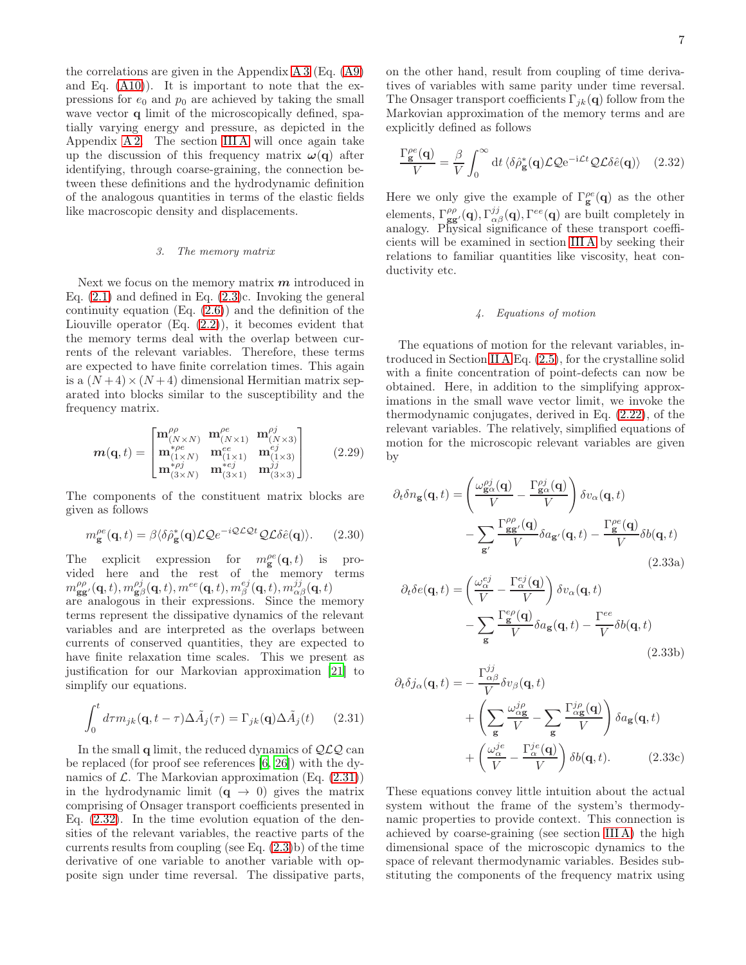the correlations are given in the Appendix [A 3](#page-17-2) (Eq. [\(A9\)](#page-17-3) and Eq. [\(A10\)](#page-17-4)). It is important to note that the expressions for  $e_0$  and  $p_0$  are achieved by taking the small wave vector q limit of the microscopically defined, spatially varying energy and pressure, as depicted in the Appendix [A 2.](#page-16-1) The section [III A](#page-7-2) will once again take up the discussion of this frequency matrix  $\omega(\mathbf{q})$  after identifying, through coarse-graining, the connection between these definitions and the hydrodynamic definition of the analogous quantities in terms of the elastic fields like macroscopic density and displacements.

### <span id="page-6-0"></span>3. The memory matrix

Next we focus on the memory matrix  $m$  introduced in Eq.  $(2.1)$  and defined in Eq.  $(2.3)c$ . Invoking the general continuity equation  $(Eq. (2.6))$  $(Eq. (2.6))$  $(Eq. (2.6))$  and the definition of the Liouville operator (Eq. [\(2.2\)](#page-1-3)), it becomes evident that the memory terms deal with the overlap between currents of the relevant variables. Therefore, these terms are expected to have finite correlation times. This again is a  $(N+4) \times (N+4)$  dimensional Hermitian matrix separated into blocks similar to the susceptibility and the frequency matrix.

$$
\mathbf{m}(\mathbf{q},t) = \begin{bmatrix} \mathbf{m}_{(N \times N)}^{\rho \rho} & \mathbf{m}_{(N \times 1)}^{\rho \epsilon} & \mathbf{m}_{(N \times 3)}^{\rho j} \\ \mathbf{m}_{(1 \times N)}^* & \mathbf{m}_{(1 \times 1)}^{\epsilon \epsilon} & \mathbf{m}_{(1 \times 3)}^{\epsilon \epsilon} \\ \mathbf{m}_{(3 \times N)}^{* \rho j} & \mathbf{m}_{(3 \times 1)}^{* \epsilon j} & \mathbf{m}_{(3 \times 3)}^{jj} \end{bmatrix}
$$
(2.29)

The components of the constituent matrix blocks are given as follows

$$
m_{\mathbf{g}}^{\rho e}(\mathbf{q},t) = \beta \langle \delta \hat{\rho}_{\mathbf{g}}^*(\mathbf{q}) \mathcal{L} \mathcal{Q} e^{-i\mathcal{Q} \mathcal{L} \mathcal{Q} t} \mathcal{Q} \mathcal{L} \delta \hat{e}(\mathbf{q}) \rangle. \tag{2.30}
$$

The explicit expression for  $m_{\mathbf{g}}^{\rho e}(\mathbf{q},t)$  is provided here and the rest of the memory terms  $m_{\mathbf{gg}^\prime}^{\rho\rho}(\mathbf{q},t), m_{\mathbf{g}\beta}^{\rho j}(\mathbf{q},t), m^{ee}(\mathbf{q},t), m_{\beta}^{ej}(\mathbf{q},t), m_{\alpha\beta}^{jj}(\mathbf{q},t)$ 

are analogous in their expressions. Since the memory terms represent the dissipative dynamics of the relevant variables and are interpreted as the overlaps between currents of conserved quantities, they are expected to have finite relaxation time scales. This we present as justification for our Markovian approximation [\[21\]](#page-24-19) to simplify our equations.

$$
\int_0^t d\tau m_{jk}(\mathbf{q}, t - \tau) \Delta \tilde{A}_j(\tau) = \Gamma_{jk}(\mathbf{q}) \Delta \tilde{A}_j(t) \qquad (2.31)
$$

In the small  $q$  limit, the reduced dynamics of  $QLQ$  can be replaced (for proof see references [\[6](#page-24-5), [26\]](#page-24-24)) with the dynamics of  $\mathcal{L}$ . The Markovian approximation (Eq.  $(2.31)$ ) in the hydrodynamic limit  $(q \rightarrow 0)$  gives the matrix comprising of Onsager transport coefficients presented in Eq. [\(2.32\)](#page-6-3). In the time evolution equation of the densities of the relevant variables, the reactive parts of the currents results from coupling (see Eq.  $(2.3)b$ ) of the time derivative of one variable to another variable with opposite sign under time reversal. The dissipative parts,

on the other hand, result from coupling of time derivatives of variables with same parity under time reversal. The Onsager transport coefficients  $\Gamma_{jk}(\mathbf{q})$  follow from the Markovian approximation of the memory terms and are explicitly defined as follows

$$
\frac{\Gamma_{\mathbf{g}}^{\rho e}(\mathbf{q})}{V} = \frac{\beta}{V} \int_0^\infty dt \, \langle \delta \hat{\rho}_{\mathbf{g}}^*(\mathbf{q}) \mathcal{L} \mathcal{Q} e^{-i\mathcal{L}t} \mathcal{Q} \mathcal{L} \delta \hat{e}(\mathbf{q}) \rangle \quad (2.32)
$$

Here we only give the example of  $\Gamma_g^{\rho e}(\mathbf{q})$  as the other elements,  $\Gamma_{gg'}^{\rho\rho}(\mathbf{q}), \Gamma_{\alpha\beta}^{ij}(\mathbf{q}), \Gamma^{ee}(\mathbf{q})$  are built completely in analogy. Physical significance of these transport coefficients will be examined in section [III A](#page-7-2) by seeking their relations to familiar quantities like viscosity, heat conductivity etc.

### <span id="page-6-3"></span><span id="page-6-1"></span>4. Equations of motion

The equations of motion for the relevant variables, introduced in Section [II A](#page-1-1) Eq. [\(2.5\)](#page-2-1), for the crystalline solid with a finite concentration of point-defects can now be obtained. Here, in addition to the simplifying approximations in the small wave vector limit, we invoke the thermodynamic conjugates, derived in Eq. [\(2.22\)](#page-4-2), of the relevant variables. The relatively, simplified equations of motion for the microscopic relevant variables are given by

<span id="page-6-4"></span>
$$
\partial_t \delta n_{\mathbf{g}}(\mathbf{q}, t) = \left(\frac{\omega_{\mathbf{g}\alpha}^{\rho j}(\mathbf{q})}{V} - \frac{\Gamma_{\mathbf{g}\alpha}^{\rho j}(\mathbf{q})}{V}\right) \delta v_{\alpha}(\mathbf{q}, t) - \sum_{\mathbf{g}'} \frac{\Gamma_{\mathbf{g}\mathbf{g}'}^{\rho \rho}(\mathbf{q})}{V} \delta a_{\mathbf{g}'}(\mathbf{q}, t) - \frac{\Gamma_{\mathbf{g}}^{\rho e}(\mathbf{q})}{V} \delta b(\mathbf{q}, t)
$$
\n(2.33a)

<span id="page-6-5"></span>
$$
\partial_t \delta e(\mathbf{q}, t) = \left(\frac{\omega_{\alpha}^{ej}}{V} - \frac{\Gamma_{\alpha}^{ej}(\mathbf{q})}{V}\right) \delta v_{\alpha}(\mathbf{q}, t) - \sum_{\mathbf{g}} \frac{\Gamma_{\mathbf{g}}^{ep}(\mathbf{q})}{V} \delta a_{\mathbf{g}}(\mathbf{q}, t) - \frac{\Gamma_{\alpha}^{ee}}{V} \delta b(\mathbf{q}, t)
$$
\n(2.33b)

<span id="page-6-2"></span>
$$
\partial_t \delta j_\alpha(\mathbf{q}, t) = -\frac{\Gamma_{\alpha\beta}^{jj}}{V} \delta v_\beta(\mathbf{q}, t) \n+ \left( \sum_{\mathbf{g}} \frac{\omega_{\alpha \mathbf{g}}^{j\rho}}{V} - \sum_{\mathbf{g}} \frac{\Gamma_{\alpha \mathbf{g}}^{j\rho}(\mathbf{q})}{V} \right) \delta a_{\mathbf{g}}(\mathbf{q}, t) \n+ \left( \frac{\omega_{\alpha}^{j\rho}}{V} - \frac{\Gamma_{\alpha}^{j\rho}(\mathbf{q})}{V} \right) \delta b(\mathbf{q}, t).
$$
\n(2.33c)

These equations convey little intuition about the actual system without the frame of the system's thermodynamic properties to provide context. This connection is achieved by coarse-graining (see section [III A\)](#page-7-2) the high dimensional space of the microscopic dynamics to the space of relevant thermodynamic variables. Besides substituting the components of the frequency matrix using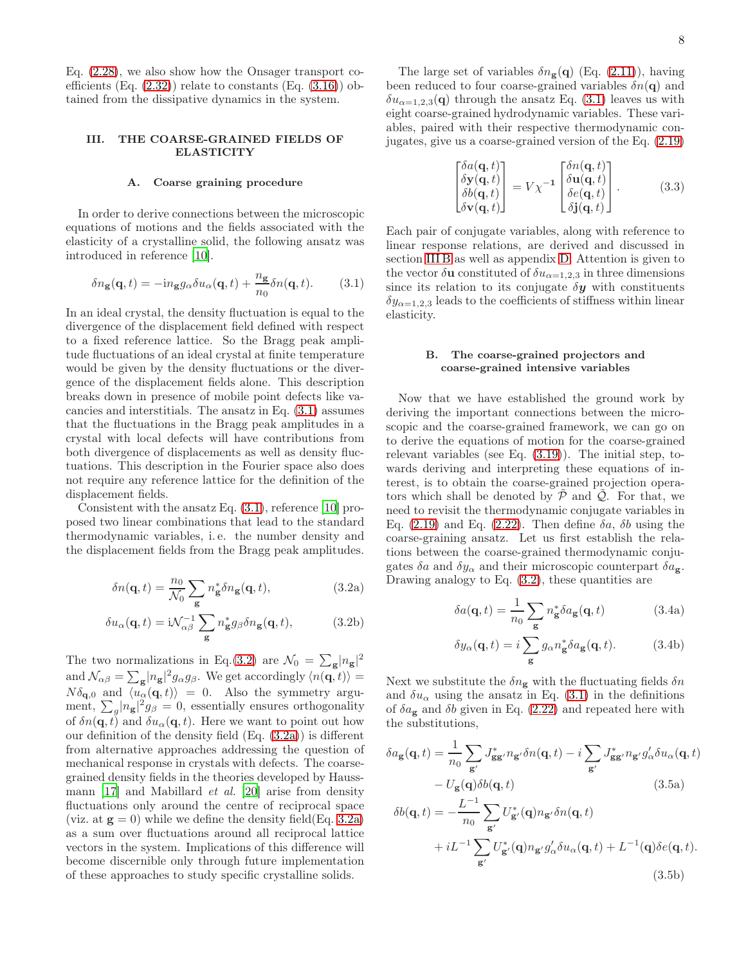Eq. [\(2.28\)](#page-5-3), we also show how the Onsager transport coefficients (Eq.  $(2.32)$ ) relate to constants (Eq.  $(3.16)$ ) obtained from the dissipative dynamics in the system.

## <span id="page-7-0"></span>III. THE COARSE-GRAINED FIELDS OF ELASTICITY

### <span id="page-7-2"></span>A. Coarse graining procedure

In order to derive connections between the microscopic equations of motions and the fields associated with the elasticity of a crystalline solid, the following ansatz was introduced in reference [\[10](#page-24-8)].

$$
\delta n_{\mathbf{g}}(\mathbf{q},t) = -i n_{\mathbf{g}} g_{\alpha} \delta u_{\alpha}(\mathbf{q},t) + \frac{n_{\mathbf{g}}}{n_0} \delta n(\mathbf{q},t). \tag{3.1}
$$

In an ideal crystal, the density fluctuation is equal to the divergence of the displacement field defined with respect to a fixed reference lattice. So the Bragg peak amplitude fluctuations of an ideal crystal at finite temperature would be given by the density fluctuations or the divergence of the displacement fields alone. This description breaks down in presence of mobile point defects like vacancies and interstitials. The ansatz in Eq. [\(3.1\)](#page-7-3) assumes that the fluctuations in the Bragg peak amplitudes in a crystal with local defects will have contributions from both divergence of displacements as well as density fluctuations. This description in the Fourier space also does not require any reference lattice for the definition of the displacement fields.

Consistent with the ansatz Eq. [\(3.1\)](#page-7-3), reference [\[10](#page-24-8)] proposed two linear combinations that lead to the standard thermodynamic variables, i. e. the number density and the displacement fields from the Bragg peak amplitudes.

<span id="page-7-4"></span>
$$
\delta n(\mathbf{q},t) = \frac{n_0}{\mathcal{N}_0} \sum_{\mathbf{g}} n_{\mathbf{g}}^* \delta n_{\mathbf{g}}(\mathbf{q},t), \tag{3.2a}
$$

$$
\delta u_{\alpha}(\mathbf{q},t) = \mathrm{i}\mathcal{N}_{\alpha\beta}^{-1} \sum_{\mathbf{g}} n_{\mathbf{g}}^{*} g_{\beta} \delta n_{\mathbf{g}}(\mathbf{q},t), \tag{3.2b}
$$

The two normalizations in Eq.[\(3.2\)](#page-7-4) are  $\mathcal{N}_0 = \sum_{\mathbf{g}} |n_{\mathbf{g}}|^2$ and  $\mathcal{N}_{\alpha\beta} = \sum_{\mathbf{g}} |n_{\mathbf{g}}|^2 g_{\alpha} g_{\beta}$ . We get accordingly  $\langle n(\mathbf{q}, t) \rangle =$  $N\delta_{\mathbf{q},0}$  and  $\langle u_{\alpha}(\mathbf{q}, t)\rangle = 0$ . Also the symmetry argument,  $\sum_{g} |n_{g}|^{2} g_{\beta} = 0$ , essentially ensures orthogonality of  $\delta n(\mathbf{q}, t)$  and  $\delta u_{\alpha}(\mathbf{q}, t)$ . Here we want to point out how our definition of the density field (Eq. [\(3.2a\)](#page-7-5)) is different from alternative approaches addressing the question of mechanical response in crystals with defects. The coarsegrained density fields in the theories developed by Haussmann [\[17\]](#page-24-15) and Mabillard et al. [\[20](#page-24-18)] arise from density fluctuations only around the centre of reciprocal space (viz. at  $g = 0$ ) while we define the density field(Eq. [3.2a\)](#page-7-5) as a sum over fluctuations around all reciprocal lattice vectors in the system. Implications of this difference will become discernible only through future implementation of these approaches to study specific crystalline solids.

The large set of variables  $\delta n_{\mathbf{g}}(\mathbf{q})$  (Eq. [\(2.11\)](#page-3-5)), having been reduced to four coarse-grained variables  $\delta n(\mathbf{q})$  and  $\delta u_{\alpha=1,2,3}(\mathbf{q})$  through the ansatz Eq. [\(3.1\)](#page-7-3) leaves us with eight coarse-grained hydrodynamic variables. These variables, paired with their respective thermodynamic conjugates, give us a coarse-grained version of the Eq. [\(2.19\)](#page-4-0)

<span id="page-7-8"></span>
$$
\begin{bmatrix}\n\delta a(\mathbf{q},t) \\
\delta \mathbf{y}(\mathbf{q},t) \\
\delta b(\mathbf{q},t) \\
\delta \mathbf{v}(\mathbf{q},t)\n\end{bmatrix} = V\chi^{-1} \begin{bmatrix}\n\delta n(\mathbf{q},t) \\
\delta \mathbf{u}(\mathbf{q},t) \\
\delta e(\mathbf{q},t) \\
\delta \mathbf{j}(\mathbf{q},t)\n\end{bmatrix}.
$$
\n(3.3)

<span id="page-7-3"></span>Each pair of conjugate variables, along with reference to linear response relations, are derived and discussed in section [III B](#page-7-1) as well as appendix [D.](#page-20-0) Attention is given to the vector  $\delta$ **u** constituted of  $\delta u_{\alpha=1,2,3}$  in three dimensions since its relation to its conjugate  $\delta y$  with constituents  $\delta y_{\alpha=1,2,3}$  leads to the coefficients of stiffness within linear elasticity.

# <span id="page-7-1"></span>B. The coarse-grained projectors and coarse-grained intensive variables

Now that we have established the ground work by deriving the important connections between the microscopic and the coarse-grained framework, we can go on to derive the equations of motion for the coarse-grained relevant variables (see Eq. [\(3.19\)](#page-10-2)). The initial step, towards deriving and interpreting these equations of interest, is to obtain the coarse-grained projection operators which shall be denoted by  $\tilde{\mathcal{P}}$  and  $\tilde{\mathcal{Q}}$ . For that, we need to revisit the thermodynamic conjugate variables in Eq. [\(2.19\)](#page-4-0) and Eq. [\(2.22\)](#page-4-2). Then define  $\delta a$ ,  $\delta b$  using the coarse-graining ansatz. Let us first establish the relations between the coarse-grained thermodynamic conjugates  $\delta a$  and  $\delta y_{\alpha}$  and their microscopic counterpart  $\delta a_{\rm g}$ . Drawing analogy to Eq.  $(3.2)$ , these quantities are

<span id="page-7-7"></span>
$$
\delta a(\mathbf{q},t) = \frac{1}{n_0} \sum_{\mathbf{g}} n_{\mathbf{g}}^* \delta a_{\mathbf{g}}(\mathbf{q},t)
$$
 (3.4a)

<span id="page-7-6"></span>
$$
\delta y_{\alpha}(\mathbf{q},t) = i \sum_{\mathbf{g}} g_{\alpha} n_{\mathbf{g}}^* \delta a_{\mathbf{g}}(\mathbf{q},t). \tag{3.4b}
$$

<span id="page-7-9"></span><span id="page-7-5"></span>Next we substitute the  $\delta n_{\mathbf{g}}$  with the fluctuating fields  $\delta n$ and  $\delta u_{\alpha}$  using the ansatz in Eq. [\(3.1\)](#page-7-3) in the definitions of  $\delta a_{\rm g}$  and  $\delta b$  given in Eq. [\(2.22\)](#page-4-2) and repeated here with the substitutions,

$$
\delta a_{\mathbf{g}}(\mathbf{q},t) = \frac{1}{n_0} \sum_{\mathbf{g}'} J_{\mathbf{g}\mathbf{g}'}^* n_{\mathbf{g}'} \delta n(\mathbf{q},t) - i \sum_{\mathbf{g}'} J_{\mathbf{g}\mathbf{g}'}^* n_{\mathbf{g}'} g'_{\alpha} \delta u_{\alpha}(\mathbf{q},t) - U_{\mathbf{g}}(\mathbf{q}) \delta b(\mathbf{q},t)
$$
\n(3.5a)

$$
\delta b(\mathbf{q},t) = -\frac{L^{-1}}{n_0} \sum_{\mathbf{g}'} U_{\mathbf{g}'}^* (\mathbf{q}) n_{\mathbf{g}'} \delta n(\mathbf{q},t) + iL^{-1} \sum_{\mathbf{g}'} U_{\mathbf{g}'}^* (\mathbf{q}) n_{\mathbf{g}'} g_\alpha' \delta u_\alpha(\mathbf{q},t) + L^{-1}(\mathbf{q}) \delta e(\mathbf{q},t).
$$
\n(3.5b)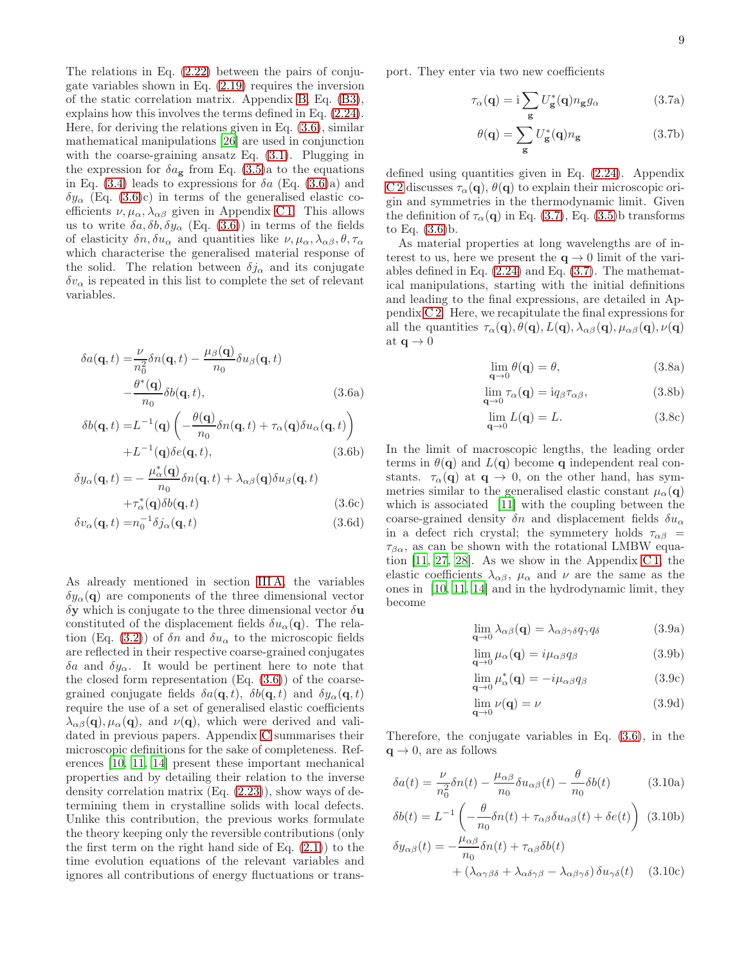The relations in Eq. [\(2.22\)](#page-4-2) between the pairs of conjugate variables shown in Eq. [\(2.19\)](#page-4-0) requires the inversion of the static correlation matrix. Appendix [B,](#page-17-1) Eq. [\(B3\)](#page-18-0), explains how this involves the terms defined in Eq. [\(2.24\)](#page-4-4). Here, for deriving the relations given in Eq. [\(3.6\)](#page-8-2), similar mathematical manipulations [\[26](#page-24-24)] are used in conjunction with the coarse-graining ansatz Eq. [\(3.1\)](#page-7-3). Plugging in the expression for  $\delta a_{\rm g}$  from Eq. [\(3.5\)](#page-7-6)a to the equations in Eq.  $(3.4)$  leads to expressions for  $\delta a$  (Eq.  $(3.6)a$ ) and  $\delta y_{\alpha}$  (Eq. [\(3.6\)](#page-8-2)c) in terms of the generalised elastic coefficients  $\nu, \mu_{\alpha}, \lambda_{\alpha\beta}$  given in Appendix C1. This allows us to write  $\delta a, \delta b, \delta y_{\alpha}$  (Eq. [\(3.6\)](#page-8-2)) in terms of the fields of elasticity  $\delta n, \delta u_\alpha$  and quantities like  $\nu, \mu_\alpha, \lambda_{\alpha\beta}, \theta, \tau_\alpha$ which characterise the generalised material response of the solid. The relation between  $\delta j_{\alpha}$  and its conjugate  $\delta v_{\alpha}$  is repeated in this list to complete the set of relevant variables.

<span id="page-8-2"></span>
$$
\delta a(\mathbf{q},t) = \frac{\nu}{n_0^2} \delta n(\mathbf{q},t) - \frac{\mu_\beta(\mathbf{q})}{n_0} \delta u_\beta(\mathbf{q},t)
$$

$$
- \frac{\theta^*(\mathbf{q})}{n_0} \delta b(\mathbf{q},t), \qquad (3.6a)
$$

$$
\delta b(\mathbf{q},t) = L^{-1}(\mathbf{q}) \left( -\frac{\theta(\mathbf{q})}{n_0} \delta n(\mathbf{q},t) + \tau_\alpha(\mathbf{q}) \delta u_\alpha(\mathbf{q},t) \right) + L^{-1}(\mathbf{q}) \delta e(\mathbf{q},t), \tag{3.6b}
$$

$$
\delta y_{\alpha}(\mathbf{q},t) = -\frac{\mu_{\alpha}^{*}(\mathbf{q})}{n_{0}} \delta n(\mathbf{q},t) + \lambda_{\alpha\beta}(\mathbf{q}) \delta u_{\beta}(\mathbf{q},t) + \tau_{\alpha}^{*}(\mathbf{q}) \delta b(\mathbf{q},t)
$$
(3.6c)

$$
\delta v_{\alpha}(\mathbf{q},t) = n_0^{-1} \delta j_{\alpha}(\mathbf{q},t)
$$
\n(3.6d)

As already mentioned in section [III A,](#page-7-2) the variables  $\delta y_{\alpha}(\mathbf{q})$  are components of the three dimensional vector  $\delta y$  which is conjugate to the three dimensional vector  $\delta u$ constituted of the displacement fields  $\delta u_{\alpha}(\mathbf{q})$ . The rela-tion (Eq. [\(3.2\)](#page-7-4)) of  $\delta n$  and  $\delta u_{\alpha}$  to the microscopic fields are reflected in their respective coarse-grained conjugates δa and  $δy<sub>α</sub>$ . It would be pertinent here to note that the closed form representation  $(Eq. (3.6))$  $(Eq. (3.6))$  $(Eq. (3.6))$  of the coarsegrained conjugate fields  $\delta a(\mathbf{q}, t)$ ,  $\delta b(\mathbf{q}, t)$  and  $\delta y_{\alpha}(\mathbf{q}, t)$ require the use of a set of generalised elastic coefficients  $\lambda_{\alpha\beta}(\mathbf{q}), \mu_{\alpha}(\mathbf{q})$ , and  $\nu(\mathbf{q})$ , which were derived and validated in previous papers. Appendix [C](#page-18-2) summarises their microscopic definitions for the sake of completeness. References [\[10,](#page-24-8) [11,](#page-24-9) [14](#page-24-12)] present these important mechanical properties and by detailing their relation to the inverse density correlation matrix (Eq. [\(2.23\)](#page-4-3)), show ways of determining them in crystalline solids with local defects. Unlike this contribution, the previous works formulate the theory keeping only the reversible contributions (only the first term on the right hand side of Eq.  $(2.1)$  to the time evolution equations of the relevant variables and ignores all contributions of energy fluctuations or transport. They enter via two new coefficients

<span id="page-8-0"></span>
$$
\tau_{\alpha}(\mathbf{q}) = \mathbf{i} \sum_{\mathbf{g}} U_{\mathbf{g}}^*(\mathbf{q}) n_{\mathbf{g}} g_{\alpha} \tag{3.7a}
$$

$$
\theta(\mathbf{q}) = \sum_{\mathbf{g}} U_{\mathbf{g}}^*(\mathbf{q}) n_{\mathbf{g}} \tag{3.7b}
$$

defined using quantities given in Eq. [\(2.24\)](#page-4-4). Appendix [C 2](#page-18-3) discusses  $\tau_{\alpha}(\mathbf{q}), \theta(\mathbf{q})$  to explain their microscopic origin and symmetries in the thermodynamic limit. Given the definition of  $\tau_{\alpha}(\mathbf{q})$  in Eq. [\(3.7\)](#page-8-0), Eq. [\(3.5\)](#page-7-6)b transforms to Eq. [\(3.6\)](#page-8-2)b.

As material properties at long wavelengths are of interest to us, here we present the  $q \to 0$  limit of the variables defined in Eq. [\(2.24\)](#page-4-4) and Eq. [\(3.7\)](#page-8-0). The mathematical manipulations, starting with the initial definitions and leading to the final expressions, are detailed in Appendix [C 2.](#page-18-3) Here, we recapitulate the final expressions for all the quantities  $\tau_{\alpha}(\mathbf{q}), \theta(\mathbf{q}), L(\mathbf{q}), \lambda_{\alpha\beta}(\mathbf{q}), \mu_{\alpha\beta}(\mathbf{q}), \nu(\mathbf{q})$ at  $q \to 0$ 

<span id="page-8-1"></span>
$$
\lim_{\mathbf{q}\to 0} \theta(\mathbf{q}) = \theta,\tag{3.8a}
$$

$$
\lim_{\mathbf{q}\to 0} \tau_{\alpha}(\mathbf{q}) = i q_{\beta} \tau_{\alpha\beta},\tag{3.8b}
$$

$$
\lim_{\mathbf{q}\to 0} L(\mathbf{q}) = L. \tag{3.8c}
$$

<span id="page-8-6"></span>In the limit of macroscopic lengths, the leading order terms in  $\theta(\mathbf{q})$  and  $L(\mathbf{q})$  become q independent real constants.  $\tau_{\alpha}(\mathbf{q})$  at  $\mathbf{q} \to 0$ , on the other hand, has symmetries similar to the generalised elastic constant  $\mu_{\alpha}(\mathbf{q})$ which is associated [\[11](#page-24-9)] with the coupling between the coarse-grained density  $\delta n$  and displacement fields  $\delta u_{\alpha}$ in a defect rich crystal; the symmetery holds  $\tau_{\alpha\beta}$  =  $\tau_{\beta\alpha}$ , as can be shown with the rotational LMBW equation  $[11, 27, 28]$  $[11, 27, 28]$  $[11, 27, 28]$  $[11, 27, 28]$ . As we show in the Appendix [C 1,](#page-18-1) the elastic coefficients  $\lambda_{\alpha\beta}$ ,  $\mu_{\alpha}$  and  $\nu$  are the same as the ones in [\[10](#page-24-8), [11](#page-24-9), [14](#page-24-12)] and in the hydrodynamic limit, they become

$$
\lim_{\mathbf{q}\to 0} \lambda_{\alpha\beta}(\mathbf{q}) = \lambda_{\alpha\beta\gamma\delta} q_{\gamma} q_{\delta}
$$
 (3.9a)

$$
\lim_{\mathbf{q}\to 0} \mu_{\alpha}(\mathbf{q}) = i\mu_{\alpha\beta} q_{\beta} \tag{3.9b}
$$

$$
\lim_{\mathbf{q}\to 0} \mu_{\alpha}^*(\mathbf{q}) = -i\mu_{\alpha\beta}q_{\beta}
$$
 (3.9c)

<span id="page-8-5"></span><span id="page-8-4"></span><span id="page-8-3"></span>
$$
\lim_{\mathbf{q}\to 0} \nu(\mathbf{q}) = \nu \tag{3.9d}
$$

Therefore, the conjugate variables in Eq. [\(3.6\)](#page-8-2), in the  $q \rightarrow 0$ , are as follows

$$
\delta a(t) = \frac{\nu}{n_0^2} \delta n(t) - \frac{\mu_{\alpha\beta}}{n_0} \delta u_{\alpha\beta}(t) - \frac{\theta}{n_0} \delta b(t)
$$
 (3.10a)

$$
\delta b(t) = L^{-1} \left( -\frac{\theta}{n_0} \delta n(t) + \tau_{\alpha\beta} \delta u_{\alpha\beta}(t) + \delta e(t) \right) (3.10b)
$$

$$
\delta y_{\alpha\beta}(t) = -\frac{\mu_{\alpha\beta}}{n_0} \delta n(t) + \tau_{\alpha\beta} \delta b(t) + \left( \lambda_{\alpha\gamma\beta\delta} + \lambda_{\alpha\delta\gamma\beta} - \lambda_{\alpha\beta\gamma\delta} \right) \delta u_{\gamma\delta}(t)
$$
 (3.10c)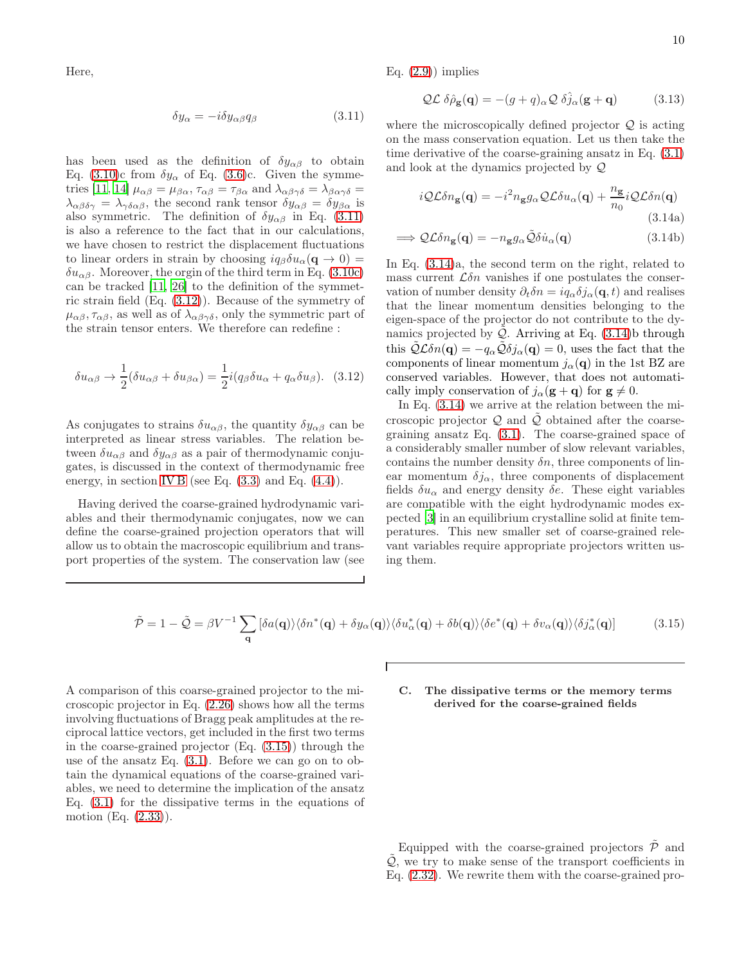Here,

$$
\delta y_{\alpha} = -i \delta y_{\alpha\beta} q_{\beta} \tag{3.11}
$$

has been used as the definition of  $\delta y_{\alpha\beta}$  to obtain Eq. [\(3.10\)](#page-8-3)c from  $\delta y_{\alpha}$  of Eq. [\(3.6\)](#page-8-2)c. Given the symme-tries [\[11](#page-24-9), [14\]](#page-24-12)  $\mu_{\alpha\beta} = \mu_{\beta\alpha}, \tau_{\alpha\beta} = \tau_{\beta\alpha}$  and  $\lambda_{\alpha\beta\gamma\delta} = \lambda_{\beta\alpha\gamma\delta} =$  $\lambda_{\alpha\beta\delta\gamma} = \lambda_{\gamma\delta\alpha\beta}$ , the second rank tensor  $\delta y_{\alpha\beta} = \delta y_{\beta\alpha}$  is also symmetric. The definition of  $\delta y_{\alpha\beta}$  in Eq. [\(3.11\)](#page-9-0) is also a reference to the fact that in our calculations, we have chosen to restrict the displacement fluctuations to linear orders in strain by choosing  $iq_{\beta}\delta u_{\alpha}(\mathbf{q} \to 0) =$  $\delta u_{\alpha\beta}$ . Moreover, the orgin of the third term in Eq. [\(3.10c\)](#page-8-4) can be tracked [\[11,](#page-24-9) [26](#page-24-24)] to the definition of the symmetric strain field (Eq. [\(3.12\)](#page-9-1)). Because of the symmetry of  $\mu_{\alpha\beta}, \tau_{\alpha\beta}$ , as well as of  $\lambda_{\alpha\beta\gamma\delta}$ , only the symmetric part of the strain tensor enters. We therefore can redefine :

$$
\delta u_{\alpha\beta} \to \frac{1}{2} (\delta u_{\alpha\beta} + \delta u_{\beta\alpha}) = \frac{1}{2} i (q_\beta \delta u_\alpha + q_\alpha \delta u_\beta). \quad (3.12)
$$

As conjugates to strains  $\delta u_{\alpha\beta}$ , the quantity  $\delta y_{\alpha\beta}$  can be interpreted as linear stress variables. The relation between  $\delta u_{\alpha\beta}$  and  $\delta y_{\alpha\beta}$  as a pair of thermodynamic conjugates, is discussed in the context of thermodynamic free energy, in section [IV B](#page-11-0) (see Eq.  $(3.3)$  and Eq.  $(4.4)$ ).

Having derived the coarse-grained hydrodynamic variables and their thermodynamic conjugates, now we can define the coarse-grained projection operators that will allow us to obtain the macroscopic equilibrium and transport properties of the system. The conservation law (see Eq.  $(2.9)$  implies

<span id="page-9-4"></span>
$$
Q\mathcal{L}\,\delta\hat{\rho}_{\mathbf{g}}(\mathbf{q}) = -(g+q)_{\alpha}Q\,\delta\hat{j}_{\alpha}(\mathbf{g}+\mathbf{q})\tag{3.13}
$$

<span id="page-9-0"></span>where the microscopically defined projector  $\mathcal{Q}$  is acting on the mass conservation equation. Let us then take the time derivative of the coarse-graining ansatz in Eq. [\(3.1\)](#page-7-3) and look at the dynamics projected by Q

<span id="page-9-2"></span>
$$
i\mathcal{Q}\mathcal{L}\delta n_{\mathbf{g}}(\mathbf{q}) = -i^2 n_{\mathbf{g}} g_{\alpha} \mathcal{Q}\mathcal{L}\delta u_{\alpha}(\mathbf{q}) + \frac{n_{\mathbf{g}}}{n_0} i\mathcal{Q}\mathcal{L}\delta n(\mathbf{q})
$$
\n(3.14a)

$$
\implies \mathcal{Q} \mathcal{L} \delta n_{\mathbf{g}}(\mathbf{q}) = -n_{\mathbf{g}} g_{\alpha} \tilde{\mathcal{Q}} \delta \dot{u}_{\alpha}(\mathbf{q}) \tag{3.14b}
$$

In Eq. [\(3.14\)](#page-9-2)a, the second term on the right, related to mass current  $\mathcal{L}\delta n$  vanishes if one postulates the conservation of number density  $\partial_t \delta n = i q_\alpha \delta j_\alpha(\mathbf{q}, t)$  and realises that the linear momentum densities belonging to the eigen-space of the projector do not contribute to the dynamics projected by  $\mathcal{Q}$ . Arriving at Eq. [\(3.14\)](#page-9-2)b through this  $\tilde{Q} \mathcal{L} \delta n(\mathbf{q}) = -q_\alpha \tilde{Q} \delta j_\alpha(\mathbf{q}) = 0$ , uses the fact that the components of linear momentum  $j_{\alpha}(\mathbf{q})$  in the 1st BZ are conserved variables. However, that does not automatically imply conservation of  $j_{\alpha}(\mathbf{g}+\mathbf{q})$  for  $\mathbf{g} \neq 0$ .

<span id="page-9-1"></span>In Eq. [\(3.14\)](#page-9-2) we arrive at the relation between the microscopic projector  $Q$  and  $\tilde{Q}$  obtained after the coarsegraining ansatz Eq. [\(3.1\)](#page-7-3). The coarse-grained space of a considerably smaller number of slow relevant variables, contains the number density  $\delta n$ , three components of linear momentum  $\delta j_{\alpha}$ , three components of displacement fields  $\delta u_{\alpha}$  and energy density  $\delta e$ . These eight variables are compatible with the eight hydrodynamic modes expected [\[3\]](#page-24-2) in an equilibrium crystalline solid at finite temperatures. This new smaller set of coarse-grained relevant variables require appropriate projectors written using them.

$$
\tilde{\mathcal{P}} = 1 - \tilde{\mathcal{Q}} = \beta V^{-1} \sum_{\mathbf{q}} \left[ \delta a(\mathbf{q}) \rangle \langle \delta n^*(\mathbf{q}) + \delta y_\alpha(\mathbf{q}) \rangle \langle \delta u_\alpha^*(\mathbf{q}) + \delta b(\mathbf{q}) \rangle \langle \delta e^*(\mathbf{q}) + \delta v_\alpha(\mathbf{q}) \rangle \langle \delta j_\alpha^*(\mathbf{q}) \right]
$$
(3.15)

 $\Gamma$ 

A comparison of this coarse-grained projector to the microscopic projector in Eq. [\(2.26\)](#page-5-2) shows how all the terms involving fluctuations of Bragg peak amplitudes at the reciprocal lattice vectors, get included in the first two terms in the coarse-grained projector (Eq. [\(3.15\)](#page-9-3)) through the use of the ansatz Eq. [\(3.1\)](#page-7-3). Before we can go on to obtain the dynamical equations of the coarse-grained variables, we need to determine the implication of the ansatz Eq. [\(3.1\)](#page-7-3) for the dissipative terms in the equations of motion (Eq. [\(2.33\)](#page-6-4)).

# <span id="page-9-5"></span><span id="page-9-3"></span>C. The dissipative terms or the memory terms derived for the coarse-grained fields

Equipped with the coarse-grained projectors  $\hat{\mathcal{P}}$  and  $\mathcal{Q}$ , we try to make sense of the transport coefficients in Eq. [\(2.32\)](#page-6-3). We rewrite them with the coarse-grained pro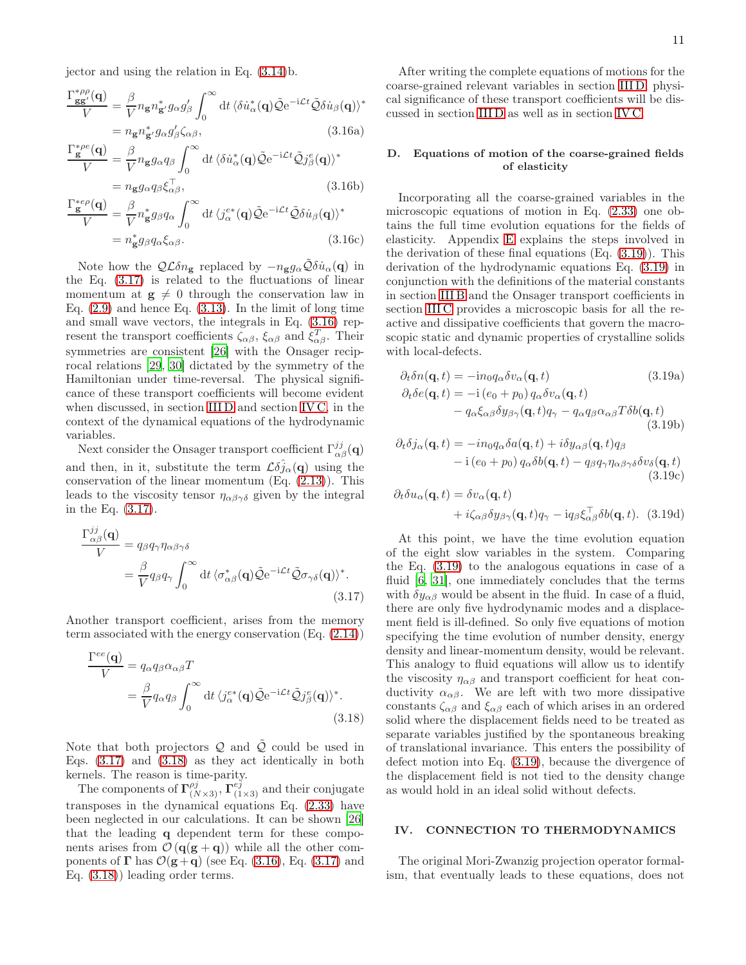jector and using the relation in Eq. [\(3.14\)](#page-9-2)b.

$$
\frac{\Gamma_{gg'}^{*\rho\rho}(\mathbf{q})}{V} = \frac{\beta}{V} n_{\mathbf{g}} n_{\mathbf{g}'}^* g_{\alpha} g_{\beta}' \int_0^{\infty} dt \, \langle \delta \dot{u}_{\alpha}^*(\mathbf{q}) \tilde{\mathcal{Q}} e^{-i\mathcal{L}t} \tilde{\mathcal{Q}} \delta \dot{u}_{\beta}(\mathbf{q}) \rangle^*
$$
\n
$$
= n_{\mathbf{g}} n_{\mathbf{g}'}^* g_{\alpha} g_{\beta}' \zeta_{\alpha\beta}, \tag{3.16a}
$$

$$
\frac{\Gamma_{\mathbf{g}}^{* \rho e}(\mathbf{q})}{V} = \frac{\beta}{V} n_{\mathbf{g}} g_{\alpha} q_{\beta} \int_0^{\infty} dt \langle \delta \dot{u}_{\alpha}^*(\mathbf{q}) \tilde{\mathcal{Q}} e^{-i\mathcal{L}t} \tilde{\mathcal{Q}} j_{\beta}^e(\mathbf{q}) \rangle^*
$$

$$
= n_{\mathbf{g}} g_{\alpha} q_{\beta} \xi_{\alpha \beta}^{\top}, \tag{3.16b}
$$

$$
\frac{\Gamma_{\mathbf{g}}^{*ep}(\mathbf{q})}{V} = \frac{\beta}{V} n_{\mathbf{g}}^* g_{\beta} q_{\alpha} \int_0^{\infty} dt \, \langle j_{\alpha}^{e*}(\mathbf{q}) \tilde{\mathcal{Q}} e^{-i\mathcal{L}t} \tilde{\mathcal{Q}} \delta \dot{u}_{\beta}(\mathbf{q}) \rangle^*
$$
\n
$$
= n_{\mathbf{g}}^* g_{\beta} q_{\alpha} \xi_{\alpha \beta}.
$$
\n(3.16c)

Note how the  $\mathcal{Q} \mathcal{L} \delta n_{\mathbf{g}}$  replaced by  $-n_{\mathbf{g}} g_{\alpha} \tilde{\mathcal{Q}} \delta \dot{u}_{\alpha}(\mathbf{q})$  in the Eq. [\(3.17\)](#page-10-3) is related to the fluctuations of linear momentum at  $g \neq 0$  through the conservation law in Eq.  $(2.9)$  and hence Eq.  $(3.13)$ . In the limit of long time and small wave vectors, the integrals in Eq. [\(3.16\)](#page-10-1) represent the transport coefficients  $\zeta_{\alpha\beta}$ ,  $\xi_{\alpha\beta}$  and  $\xi_{\alpha\beta}^T$ . Their symmetries are consistent [\[26\]](#page-24-24) with the Onsager reciprocal relations [\[29,](#page-25-2) [30](#page-25-3)] dictated by the symmetry of the Hamiltonian under time-reversal. The physical significance of these transport coefficients will become evident when discussed, in section IIID and section [IV C,](#page-12-1) in the context of the dynamical equations of the hydrodynamic variables.

Next consider the Onsager transport coefficient  $\Gamma^{jj}_{\alpha\beta}(\mathbf{q})$ and then, in it, substitute the term  $\mathcal{L} \delta \hat{j}_{\alpha}(\mathbf{q})$  using the conservation of the linear momentum (Eq. [\(2.13\)](#page-3-2)). This leads to the viscosity tensor  $\eta_{\alpha\beta\gamma\delta}$  given by the integral in the Eq. [\(3.17\)](#page-10-3).

$$
\frac{\Gamma_{\alpha\beta}^{jj}(\mathbf{q})}{V} = q_{\beta} q_{\gamma} \eta_{\alpha\beta\gamma\delta}
$$
\n
$$
= \frac{\beta}{V} q_{\beta} q_{\gamma} \int_0^{\infty} dt \langle \sigma_{\alpha\beta}^*(\mathbf{q}) \tilde{\mathcal{Q}} e^{-i\mathcal{L}t} \tilde{\mathcal{Q}} \sigma_{\gamma\delta}(\mathbf{q}) \rangle^*.
$$
\n(3.17)

Another transport coefficient, arises from the memory term associated with the energy conservation (Eq. [\(2.14\)](#page-3-3))

$$
\frac{\Gamma^{ee}(\mathbf{q})}{V} = q_{\alpha} q_{\beta} \alpha_{\alpha\beta} T
$$
  
=  $\frac{\beta}{V} q_{\alpha} q_{\beta} \int_0^{\infty} dt \langle j_{\alpha}^{e*}(\mathbf{q}) \tilde{Q} e^{-i\mathcal{L}t} \tilde{Q} j_{\beta}^e(\mathbf{q}) \rangle^*.$  (3.18)

Note that both projectors  $Q$  and  $Q$  could be used in Eqs.  $(3.17)$  and  $(3.18)$  as they act identically in both kernels. The reason is time-parity.

The components of  $\Gamma_{(N\times3)}^{\rho j}$ ,  $\Gamma_{(1\times3)}^{\rho j}$  and their conjugate transposes in the dynamical equations Eq. [\(2.33\)](#page-6-4) have been neglected in our calculations. It can be shown [\[26](#page-24-24)] that the leading q dependent term for these components arises from  $\mathcal{O}(q(g+q))$  while all the other components of  $\Gamma$  has  $\mathcal{O}(\mathbf{g}+\mathbf{q})$  (see Eq. [\(3.16\)](#page-10-1), Eq. [\(3.17\)](#page-10-3) and Eq. [\(3.18\)](#page-10-5)) leading order terms.

<span id="page-10-1"></span>After writing the complete equations of motions for the coarse-grained relevant variables in section [III D,](#page-10-4) physical significance of these transport coefficients will be discussed in section [III D](#page-10-4) as well as in section [IV C.](#page-12-1)

### <span id="page-10-4"></span>D. Equations of motion of the coarse-grained fields of elasticity

Incorporating all the coarse-grained variables in the microscopic equations of motion in Eq. [\(2.33\)](#page-6-4) one obtains the full time evolution equations for the fields of elasticity. Appendix [E](#page-22-0) explains the steps involved in the derivation of these final equations (Eq. [\(3.19\)](#page-10-2)). This derivation of the hydrodynamic equations Eq. [\(3.19\)](#page-10-2) in conjunction with the definitions of the material constants in section [III B](#page-7-1) and the Onsager transport coefficients in section [III C](#page-9-5) provides a microscopic basis for all the reactive and dissipative coefficients that govern the macroscopic static and dynamic properties of crystalline solids with local-defects.

<span id="page-10-2"></span>
$$
\partial_t \delta n(\mathbf{q}, t) = -i n_0 q_\alpha \delta v_\alpha(\mathbf{q}, t)
$$
(3.19a)  

$$
\partial_t \delta e(\mathbf{q}, t) = -i (e_0 + p_0) q_\alpha \delta v_\alpha(\mathbf{q}, t)
$$

$$
- q_\alpha \xi_{\alpha\beta} \delta y_{\beta\gamma}(\mathbf{q}, t) q_\gamma - q_\alpha q_\beta \alpha_{\alpha\beta} T \delta b(\mathbf{q}, t)
$$
(3.19b)

$$
\partial_t \delta j_\alpha(\mathbf{q}, t) = -i n_0 q_\alpha \delta a(\mathbf{q}, t) + i \delta y_{\alpha \beta}(\mathbf{q}, t) q_\beta \n- i (e_0 + p_0) q_\alpha \delta b(\mathbf{q}, t) - q_\beta q_\gamma \eta_{\alpha \beta \gamma \delta} \delta v_\delta(\mathbf{q}, t)
$$
\n(3.19c)

$$
\partial_t \delta u_{\alpha}(\mathbf{q}, t) = \delta v_{\alpha}(\mathbf{q}, t) + i\zeta_{\alpha\beta} \delta y_{\beta\gamma}(\mathbf{q}, t)q_{\gamma} - i q_{\beta} \xi_{\alpha\beta}^{\top} \delta b(\mathbf{q}, t).
$$
 (3.19d)

<span id="page-10-3"></span>At this point, we have the time evolution equation of the eight slow variables in the system. Comparing the Eq. [\(3.19\)](#page-10-2) to the analogous equations in case of a fluid [\[6](#page-24-5), [31](#page-25-4)], one immediately concludes that the terms with  $\delta y_{\alpha\beta}$  would be absent in the fluid. In case of a fluid, there are only five hydrodynamic modes and a displacement field is ill-defined. So only five equations of motion specifying the time evolution of number density, energy density and linear-momentum density, would be relevant. This analogy to fluid equations will allow us to identify the viscosity  $\eta_{\alpha\beta}$  and transport coefficient for heat conductivity  $\alpha_{\alpha\beta}$ . We are left with two more dissipative constants  $\zeta_{\alpha\beta}$  and  $\xi_{\alpha\beta}$  each of which arises in an ordered solid where the displacement fields need to be treated as separate variables justified by the spontaneous breaking of translational invariance. This enters the possibility of defect motion into Eq. [\(3.19\)](#page-10-2), because the divergence of the displacement field is not tied to the density change as would hold in an ideal solid without defects.

# <span id="page-10-5"></span><span id="page-10-0"></span>IV. CONNECTION TO THERMODYNAMICS

The original Mori-Zwanzig projection operator formalism, that eventually leads to these equations, does not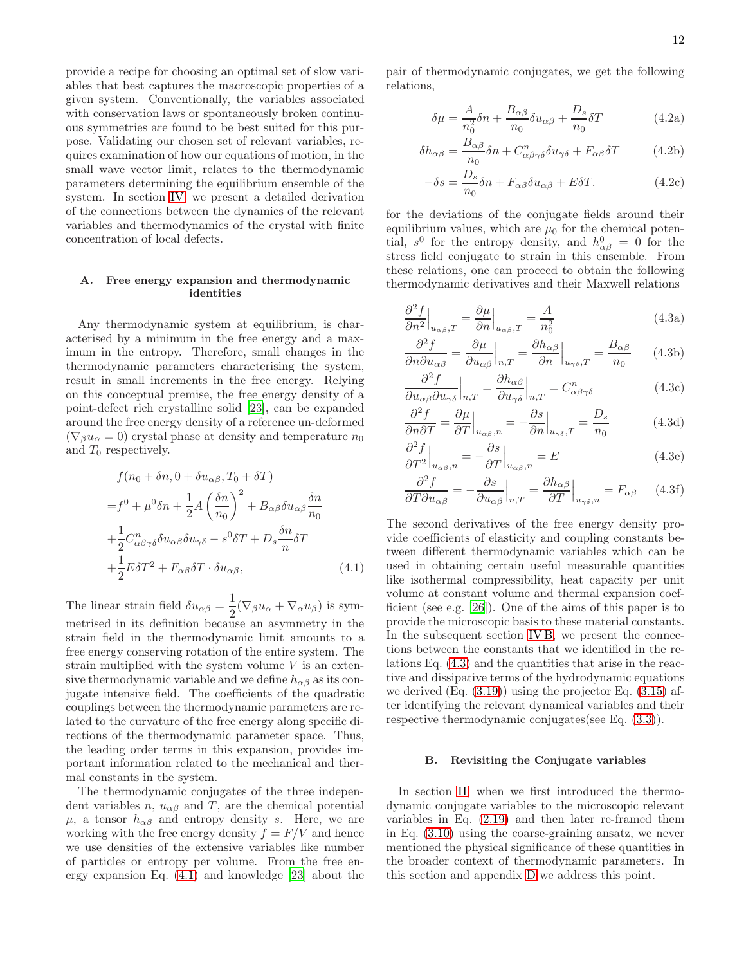provide a recipe for choosing an optimal set of slow variables that best captures the macroscopic properties of a given system. Conventionally, the variables associated with conservation laws or spontaneously broken continuous symmetries are found to be best suited for this purpose. Validating our chosen set of relevant variables, requires examination of how our equations of motion, in the small wave vector limit, relates to the thermodynamic parameters determining the equilibrium ensemble of the system. In section [IV,](#page-10-0) we present a detailed derivation of the connections between the dynamics of the relevant variables and thermodynamics of the crystal with finite concentration of local defects.

# A. Free energy expansion and thermodynamic identities

Any thermodynamic system at equilibrium, is characterised by a minimum in the free energy and a maximum in the entropy. Therefore, small changes in the thermodynamic parameters characterising the system, result in small increments in the free energy. Relying on this conceptual premise, the free energy density of a point-defect rich crystalline solid [\[23](#page-24-21)], can be expanded around the free energy density of a reference un-deformed  $(\nabla_{\beta}u_{\alpha}=0)$  crystal phase at density and temperature  $n_0$ and  $T_0$  respectively.

$$
f(n_0 + \delta n, 0 + \delta u_{\alpha\beta}, T_0 + \delta T)
$$
  
=  $f^0 + \mu^0 \delta n + \frac{1}{2} A \left(\frac{\delta n}{n_0}\right)^2 + B_{\alpha\beta} \delta u_{\alpha\beta} \frac{\delta n}{n_0}$   
+  $\frac{1}{2} C_{\alpha\beta\gamma\delta}^n \delta u_{\alpha\beta} \delta u_{\gamma\delta} - s^0 \delta T + D_s \frac{\delta n}{n} \delta T$   
+  $\frac{1}{2} E \delta T^2 + F_{\alpha\beta} \delta T \cdot \delta u_{\alpha\beta},$  (4.1)

The linear strain field  $\delta u_{\alpha\beta} = \frac{1}{2}$  $\frac{1}{2}(\nabla_{\beta}u_{\alpha} + \nabla_{\alpha}u_{\beta})$  is symmetrised in its definition because an asymmetry in the strain field in the thermodynamic limit amounts to a free energy conserving rotation of the entire system. The strain multiplied with the system volume  $V$  is an extensive thermodynamic variable and we define  $h_{\alpha\beta}$  as its conjugate intensive field. The coefficients of the quadratic couplings between the thermodynamic parameters are related to the curvature of the free energy along specific directions of the thermodynamic parameter space. Thus, the leading order terms in this expansion, provides important information related to the mechanical and thermal constants in the system.

The thermodynamic conjugates of the three independent variables n,  $u_{\alpha\beta}$  and T, are the chemical potential  $\mu$ , a tensor  $h_{\alpha\beta}$  and entropy density s. Here, we are working with the free energy density  $f = F/V$  and hence we use densities of the extensive variables like number of particles or entropy per volume. From the free energy expansion Eq. [\(4.1\)](#page-11-1) and knowledge [\[23](#page-24-21)] about the

pair of thermodynamic conjugates, we get the following relations,

<span id="page-11-5"></span><span id="page-11-4"></span><span id="page-11-3"></span>
$$
\delta\mu = \frac{A}{n_0^2}\delta n + \frac{B_{\alpha\beta}}{n_0}\delta u_{\alpha\beta} + \frac{D_s}{n_0}\delta T
$$
 (4.2a)

$$
\delta h_{\alpha\beta} = \frac{B_{\alpha\beta}}{n_0} \delta n + C^n_{\alpha\beta\gamma\delta} \delta u_{\gamma\delta} + F_{\alpha\beta} \delta T \tag{4.2b}
$$

<span id="page-11-9"></span>
$$
-\delta s = \frac{D_s}{n_0} \delta n + F_{\alpha\beta} \delta u_{\alpha\beta} + E \delta T.
$$
 (4.2c)

for the deviations of the conjugate fields around their equilibrium values, which are  $\mu_0$  for the chemical potential,  $s^0$  for the entropy density, and  $h^0_{\alpha\beta} = 0$  for the stress field conjugate to strain in this ensemble. From these relations, one can proceed to obtain the following thermodynamic derivatives and their Maxwell relations

<span id="page-11-2"></span>
$$
\frac{\partial^2 f}{\partial n^2}\Big|_{u_{\alpha\beta},T} = \frac{\partial \mu}{\partial n}\Big|_{u_{\alpha\beta},T} = \frac{A}{n_0^2}
$$
(4.3a)

<span id="page-11-6"></span>
$$
\frac{\partial^2 f}{\partial n \partial u_{\alpha\beta}} = \frac{\partial \mu}{\partial u_{\alpha\beta}} \Big|_{n,T} = \frac{\partial h_{\alpha\beta}}{\partial n} \Big|_{u_{\gamma\delta},T} = \frac{B_{\alpha\beta}}{n_0} \qquad (4.3b)
$$

$$
\frac{\partial^2 f}{\partial u_{\alpha\beta}\partial u_{\gamma\delta}}\Big|_{n,T} = \frac{\partial h_{\alpha\beta}}{\partial u_{\gamma\delta}}\Big|_{n,T} = C^n_{\alpha\beta\gamma\delta}
$$
(4.3c)

$$
\frac{\partial^2 f}{\partial n \partial T} = \frac{\partial \mu}{\partial T}\Big|_{u_{\alpha\beta},n} = -\frac{\partial s}{\partial n}\Big|_{u_{\gamma\delta},T} = \frac{D_s}{n_0}
$$
(4.3d)

<span id="page-11-7"></span>
$$
\frac{\partial^2 f}{\partial T^2}\Big|_{u_{\alpha\beta},n} = -\frac{\partial s}{\partial T}\Big|_{u_{\alpha\beta},n} = E \tag{4.3e}
$$

<span id="page-11-8"></span>
$$
\frac{\partial^2 f}{\partial T \partial u_{\alpha\beta}} = -\frac{\partial s}{\partial u_{\alpha\beta}}\Big|_{n,T} = \frac{\partial h_{\alpha\beta}}{\partial T}\Big|_{u_{\gamma\delta},n} = F_{\alpha\beta} \qquad (4.3f)
$$

<span id="page-11-1"></span>The second derivatives of the free energy density provide coefficients of elasticity and coupling constants between different thermodynamic variables which can be used in obtaining certain useful measurable quantities like isothermal compressibility, heat capacity per unit volume at constant volume and thermal expansion coefficient (see e.g. [\[26\]](#page-24-24)). One of the aims of this paper is to provide the microscopic basis to these material constants. In the subsequent section [IV B,](#page-11-0) we present the connections between the constants that we identified in the relations Eq. [\(4.3\)](#page-11-2) and the quantities that arise in the reactive and dissipative terms of the hydrodynamic equations we derived  $(Eq. (3.19))$  $(Eq. (3.19))$  $(Eq. (3.19))$  using the projector Eq.  $(3.15)$  after identifying the relevant dynamical variables and their respective thermodynamic conjugates(see Eq. [\(3.3\)](#page-7-8)).

#### <span id="page-11-0"></span>B. Revisiting the Conjugate variables

In section [II,](#page-1-0) when we first introduced the thermodynamic conjugate variables to the microscopic relevant variables in Eq. [\(2.19\)](#page-4-0) and then later re-framed them in Eq. [\(3.10\)](#page-8-3) using the coarse-graining ansatz, we never mentioned the physical significance of these quantities in the broader context of thermodynamic parameters. In this section and appendix [D](#page-20-0) we address this point.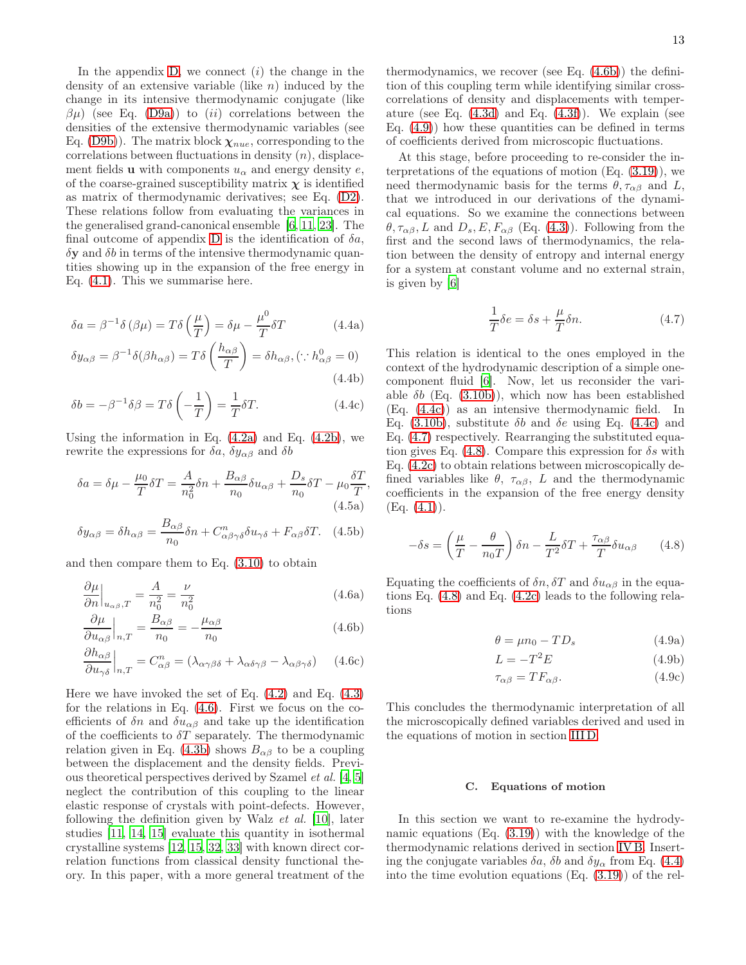In the appendix  $D$ , we connect  $(i)$  the change in the density of an extensive variable (like  $n$ ) induced by the change in its intensive thermodynamic conjugate (like  $\beta\mu$ ) (see Eq. [\(D9a\)](#page-22-1)) to (ii) correlations between the densities of the extensive thermodynamic variables (see Eq. [\(D9b\)](#page-22-2)). The matrix block  $\chi_{nue}$ , corresponding to the correlations between fluctuations in density  $(n)$ , displacement fields **u** with components  $u_{\alpha}$  and energy density e, of the coarse-grained susceptibility matrix  $\chi$  is identified as matrix of thermodynamic derivatives; see Eq. [\(D2\)](#page-20-1). These relations follow from evaluating the variances in the generalised grand-canonical ensemble [\[6](#page-24-5), [11](#page-24-9), [23](#page-24-21)]. The final outcome of appendix [D](#page-20-0) is the identification of  $\delta a$ ,  $\delta y$  and  $\delta b$  in terms of the intensive thermodynamic quantities showing up in the expansion of the free energy in Eq. [\(4.1\)](#page-11-1). This we summarise here.

<span id="page-12-0"></span>
$$
\delta a = \beta^{-1} \delta(\beta \mu) = T \delta\left(\frac{\mu}{T}\right) = \delta \mu - \frac{\mu^0}{T} \delta T \tag{4.4a}
$$

$$
\delta y_{\alpha\beta} = \beta^{-1} \delta(\beta h_{\alpha\beta}) = T \delta\left(\frac{h_{\alpha\beta}}{T}\right) = \delta h_{\alpha\beta}, (\because h_{\alpha\beta}^0 = 0)
$$
\n(4.4b)

$$
\delta b = -\beta^{-1} \delta \beta = T \delta \left( -\frac{1}{T} \right) = \frac{1}{T} \delta T.
$$
 (4.4c)

Using the information in Eq.  $(4.2a)$  and Eq.  $(4.2b)$ , we rewrite the expressions for  $\delta a$ ,  $\delta y_{\alpha\beta}$  and  $\delta b$ 

$$
\delta a = \delta \mu - \frac{\mu_0}{T} \delta T = \frac{A}{n_0^2} \delta n + \frac{B_{\alpha\beta}}{n_0} \delta u_{\alpha\beta} + \frac{D_s}{n_0} \delta T - \mu_0 \frac{\delta T}{T},
$$
\n(4.5a)

$$
\delta y_{\alpha\beta} = \delta h_{\alpha\beta} = \frac{B_{\alpha\beta}}{n_0} \delta n + C_{\alpha\beta\gamma\delta}^n \delta u_{\gamma\delta} + F_{\alpha\beta} \delta T. \tag{4.5b}
$$

and then compare them to Eq. [\(3.10\)](#page-8-3) to obtain

$$
\left. \frac{\partial \mu}{\partial n} \right|_{u_{\alpha\beta},T} = \frac{A}{n_0^2} = \frac{\nu}{n_0^2} \tag{4.6a}
$$

$$
\frac{\partial \mu}{\partial u_{\alpha\beta}}\Big|_{n,T} = \frac{B_{\alpha\beta}}{n_0} = -\frac{\mu_{\alpha\beta}}{n_0}
$$
\n(4.6b)

$$
\left. \frac{\partial h_{\alpha\beta}}{\partial u_{\gamma\delta}} \right|_{n,T} = C^n_{\alpha\beta} = (\lambda_{\alpha\gamma\beta\delta} + \lambda_{\alpha\delta\gamma\beta} - \lambda_{\alpha\beta\gamma\delta}) \tag{4.6c}
$$

Here we have invoked the set of Eq. [\(4.2\)](#page-11-5) and Eq. [\(4.3\)](#page-11-2) for the relations in Eq. [\(4.6\)](#page-12-2). First we focus on the coefficients of  $\delta n$  and  $\delta u_{\alpha\beta}$  and take up the identification of the coefficients to  $\delta T$  separately. The thermodynamic relation given in Eq. [\(4.3b\)](#page-11-6) shows  $B_{\alpha\beta}$  to be a coupling between the displacement and the density fields. Previous theoretical perspectives derived by Szamel et al. [\[4](#page-24-3), [5](#page-24-4)] neglect the contribution of this coupling to the linear elastic response of crystals with point-defects. However, following the definition given by Walz et al. [\[10\]](#page-24-8), later studies [\[11,](#page-24-9) [14,](#page-24-12) [15](#page-24-13)] evaluate this quantity in isothermal crystalline systems [\[12](#page-24-10), [15,](#page-24-13) [32](#page-25-5), [33\]](#page-25-6) with known direct correlation functions from classical density functional theory. In this paper, with a more general treatment of the

thermodynamics, we recover (see Eq. [\(4.6b\)](#page-12-3)) the definition of this coupling term while identifying similar crosscorrelations of density and displacements with temperature (see Eq.  $(4.3d)$  and Eq.  $(4.3f)$ ). We explain (see Eq.  $(4.9)$  how these quantities can be defined in terms of coefficients derived from microscopic fluctuations.

At this stage, before proceeding to re-consider the interpretations of the equations of motion  $(Eq. (3.19))$  $(Eq. (3.19))$  $(Eq. (3.19))$ , we need thermodynamic basis for the terms  $\theta, \tau_{\alpha\beta}$  and L, that we introduced in our derivations of the dynamical equations. So we examine the connections between  $\theta$ ,  $\tau_{\alpha\beta}$ , L and  $D_s$ , E,  $F_{\alpha\beta}$  (Eq. [\(4.3\)](#page-11-2)). Following from the first and the second laws of thermodynamics, the relation between the density of entropy and internal energy for a system at constant volume and no external strain, is given by [\[6\]](#page-24-5)

<span id="page-12-6"></span>
$$
\frac{1}{T}\delta e = \delta s + \frac{\mu}{T}\delta n.
$$
\n(4.7)

<span id="page-12-5"></span>This relation is identical to the ones employed in the context of the hydrodynamic description of a simple onecomponent fluid [\[6\]](#page-24-5). Now, let us reconsider the variable  $\delta b$  (Eq. [\(3.10b\)](#page-8-5)), which now has been established (Eq. [\(4.4c\)](#page-12-5)) as an intensive thermodynamic field. In Eq. [\(3.10b\)](#page-8-5), substitute  $\delta b$  and  $\delta e$  using Eq. [\(4.4c\)](#page-12-5) and Eq. [\(4.7\)](#page-12-6) respectively. Rearranging the substituted equation gives Eq.  $(4.8)$ . Compare this expression for  $\delta s$  with Eq. [\(4.2c\)](#page-11-9) to obtain relations between microscopically defined variables like  $\theta$ ,  $\tau_{\alpha\beta}$ , L and the thermodynamic coefficients in the expansion of the free energy density  $(Eq. (4.1)).$  $(Eq. (4.1)).$  $(Eq. (4.1)).$ 

$$
-\delta s = \left(\frac{\mu}{T} - \frac{\theta}{n_0 T}\right) \delta n - \frac{L}{T^2} \delta T + \frac{\tau_{\alpha\beta}}{T} \delta u_{\alpha\beta} \qquad (4.8)
$$

<span id="page-12-4"></span><span id="page-12-3"></span><span id="page-12-2"></span>Equating the coefficients of  $\delta n$ ,  $\delta T$  and  $\delta u_{\alpha\beta}$  in the equations Eq. [\(4.8\)](#page-12-7) and Eq. [\(4.2c\)](#page-11-9) leads to the following relations

<span id="page-12-7"></span>
$$
\theta = \mu n_0 - TD_s \tag{4.9a}
$$

$$
L = -T^2 E \tag{4.9b}
$$

$$
\tau_{\alpha\beta} = T F_{\alpha\beta}.\tag{4.9c}
$$

This concludes the thermodynamic interpretation of all the microscopically defined variables derived and used in the equations of motion in section [III D.](#page-10-4)

#### <span id="page-12-1"></span>C. Equations of motion

In this section we want to re-examine the hydrodynamic equations (Eq. [\(3.19\)](#page-10-2)) with the knowledge of the thermodynamic relations derived in section [IV B.](#page-11-0) Inserting the conjugate variables  $\delta a$ ,  $\delta b$  and  $\delta y_{\alpha}$  from Eq. [\(4.4\)](#page-12-0) into the time evolution equations (Eq. [\(3.19\)](#page-10-2)) of the rel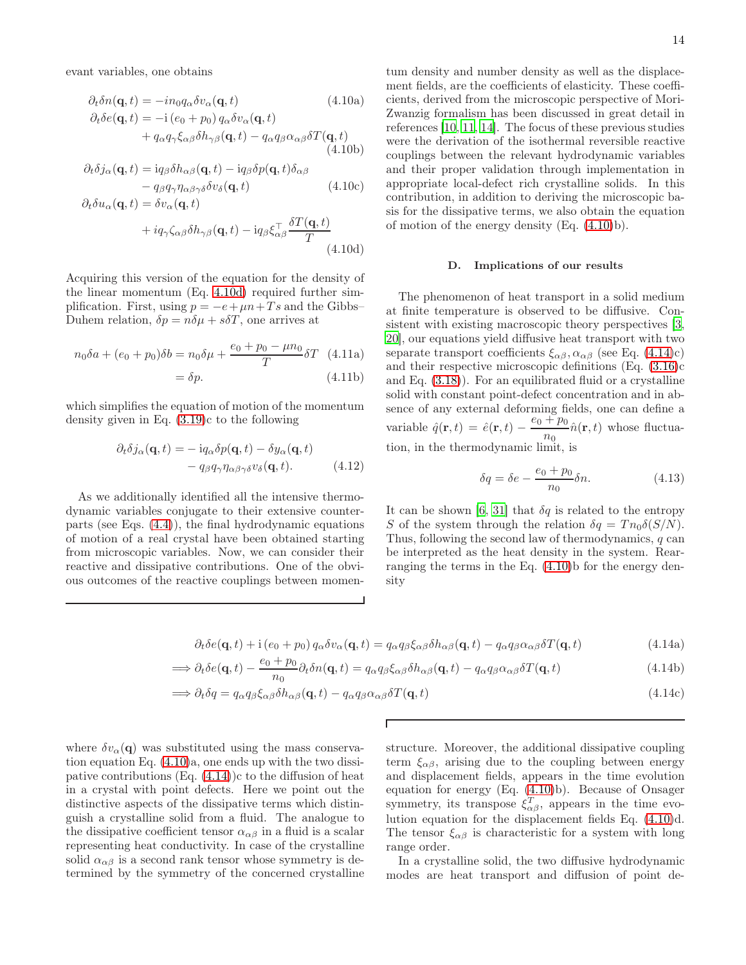evant variables, one obtains

<span id="page-13-1"></span>
$$
\partial_t \delta n(\mathbf{q}, t) = -in_0 q_\alpha \delta v_\alpha(\mathbf{q}, t)
$$
(4.10a)  

$$
\partial_t \delta e(\mathbf{q}, t) = -i (e_0 + p_0) q_\alpha \delta v_\alpha(\mathbf{q}, t)
$$

$$
+ q_\alpha q_\gamma \xi_{\alpha\beta} \delta h_{\gamma\beta}(\mathbf{q}, t) - q_\alpha q_\beta \alpha_{\alpha\beta} \delta T(\mathbf{q}, t)
$$
(4.10b)

$$
\partial_t \delta j_\alpha(\mathbf{q}, t) = i q_\beta \delta h_{\alpha\beta}(\mathbf{q}, t) - i q_\beta \delta p(\mathbf{q}, t) \delta_{\alpha\beta} \n- q_\beta q_\gamma \eta_{\alpha\beta\gamma\delta} \delta v_\delta(\mathbf{q}, t)
$$
\n(4.10c)

$$
\partial_t \delta u_{\alpha}(\mathbf{q}, t) = \delta v_{\alpha}(\mathbf{q}, t)
$$

$$
+ i\sigma \zeta e^{\delta h} e^{(\mathbf{q}, t)} - i\sigma \epsilon^{\top} \frac{\delta T(\mathbf{q}, t)}{\delta t}
$$

$$
+iq_{\gamma}\zeta_{\alpha\beta}\delta h_{\gamma\beta}(\mathbf{q},t)-iq_{\beta}\xi_{\alpha\beta}^{\dagger}\frac{\partial\mathcal{L}(\mathbf{q},t)}{T}
$$
(4.10d)

Acquiring this version of the equation for the density of the linear momentum (Eq. [4.10d\)](#page-13-0) required further simplification. First, using  $p = -e + \mu n + Ts$  and the Gibbs– Duhem relation,  $\delta p = n \delta \mu + s \delta T$ , one arrives at

$$
n_0 \delta a + (e_0 + p_0) \delta b = n_0 \delta \mu + \frac{e_0 + p_0 - \mu n_0}{T} \delta T \quad (4.11a)
$$

$$
= \delta p. \tag{4.11b}
$$

which simplifies the equation of motion of the momentum density given in Eq. [\(3.19\)](#page-10-2)c to the following

$$
\partial_t \delta j_\alpha(\mathbf{q}, t) = -i q_\alpha \delta p(\mathbf{q}, t) - \delta y_\alpha(\mathbf{q}, t) \n- q_\beta q_\gamma \eta_{\alpha \beta \gamma \delta} v_\delta(\mathbf{q}, t).
$$
\n(4.12)

<span id="page-13-2"></span>As we additionally identified all the intensive thermodynamic variables conjugate to their extensive counterparts (see Eqs. [\(4.4\)](#page-12-0)), the final hydrodynamic equations of motion of a real crystal have been obtained starting from microscopic variables. Now, we can consider their reactive and dissipative contributions. One of the obvious outcomes of the reactive couplings between momen-

tum density and number density as well as the displacement fields, are the coefficients of elasticity. These coefficients, derived from the microscopic perspective of Mori-Zwanzig formalism has been discussed in great detail in references [\[10,](#page-24-8) [11,](#page-24-9) [14\]](#page-24-12). The focus of these previous studies were the derivation of the isothermal reversible reactive couplings between the relevant hydrodynamic variables and their proper validation through implementation in appropriate local-defect rich crystalline solids. In this contribution, in addition to deriving the microscopic basis for the dissipative terms, we also obtain the equation of motion of the energy density (Eq. [\(4.10\)](#page-13-1)b).

#### D. Implications of our results

<span id="page-13-0"></span>The phenomenon of heat transport in a solid medium at finite temperature is observed to be diffusive. Consistent with existing macroscopic theory perspectives [\[3](#page-24-2), [20](#page-24-18)], our equations yield diffusive heat transport with two separate transport coefficients  $\xi_{\alpha\beta}, \alpha_{\alpha\beta}$  (see Eq. [\(4.14\)](#page-13-2)c) and their respective microscopic definitions (Eq. [\(3.16\)](#page-10-1)c and Eq. [\(3.18\)](#page-10-5)). For an equilibrated fluid or a crystalline solid with constant point-defect concentration and in absence of any external deforming fields, one can define a variable  $\hat{q}(\mathbf{r},t) = \hat{e}(\mathbf{r},t) - \frac{e_0 + p_0}{h}$  $\frac{1-P\theta}{n_0}\hat{n}(\mathbf{r},t)$  whose fluctuation, in the thermodynamic limit, is

$$
\sum_{i=1}^{n} a_i
$$

$$
\delta q = \delta e - \frac{e_0 + p_0}{n_0} \delta n. \tag{4.13}
$$

It can be shown [\[6](#page-24-5), [31\]](#page-25-4) that  $\delta q$  is related to the entropy S of the system through the relation  $\delta q = T n_0 \delta(S/N)$ . Thus, following the second law of thermodynamics, q can be interpreted as the heat density in the system. Rearranging the terms in the Eq. [\(4.10\)](#page-13-1)b for the energy density

$$
\partial_t \delta e(\mathbf{q}, t) + \mathbf{i} (e_0 + p_0) q_\alpha \delta v_\alpha(\mathbf{q}, t) = q_\alpha q_\beta \xi_{\alpha\beta} \delta h_{\alpha\beta}(\mathbf{q}, t) - q_\alpha q_\beta \alpha_{\alpha\beta} \delta T(\mathbf{q}, t)
$$
(4.14a)

$$
\implies \partial_t \delta e(\mathbf{q}, t) - \frac{e_0 + p_0}{n_0} \partial_t \delta n(\mathbf{q}, t) = q_\alpha q_\beta \xi_{\alpha\beta} \delta h_{\alpha\beta}(\mathbf{q}, t) - q_\alpha q_\beta \alpha_{\alpha\beta} \delta T(\mathbf{q}, t)
$$
\n(4.14b)

$$
\implies \partial_t \delta q = q_\alpha q_\beta \xi_{\alpha\beta} \delta h_{\alpha\beta}(\mathbf{q}, t) - q_\alpha q_\beta \alpha_{\alpha\beta} \delta T(\mathbf{q}, t)
$$
\n(4.14c)

Г

where  $\delta v_{\alpha}(\mathbf{q})$  was substituted using the mass conservation equation Eq. [\(4.10\)](#page-13-1)a, one ends up with the two dissipative contributions  $(Eq. (4.14))c$  $(Eq. (4.14))c$  $(Eq. (4.14))c$  to the diffusion of heat in a crystal with point defects. Here we point out the distinctive aspects of the dissipative terms which distinguish a crystalline solid from a fluid. The analogue to the dissipative coefficient tensor  $\alpha_{\alpha\beta}$  in a fluid is a scalar representing heat conductivity. In case of the crystalline solid  $\alpha_{\alpha\beta}$  is a second rank tensor whose symmetry is determined by the symmetry of the concerned crystalline structure. Moreover, the additional dissipative coupling term  $\xi_{\alpha\beta}$ , arising due to the coupling between energy and displacement fields, appears in the time evolution equation for energy (Eq. [\(4.10\)](#page-13-1)b). Because of Onsager symmetry, its transpose  $\xi_{\alpha\beta}^T$ , appears in the time evolution equation for the displacement fields Eq. [\(4.10\)](#page-13-1)d. The tensor  $\xi_{\alpha\beta}$  is characteristic for a system with long range order.

In a crystalline solid, the two diffusive hydrodynamic modes are heat transport and diffusion of point de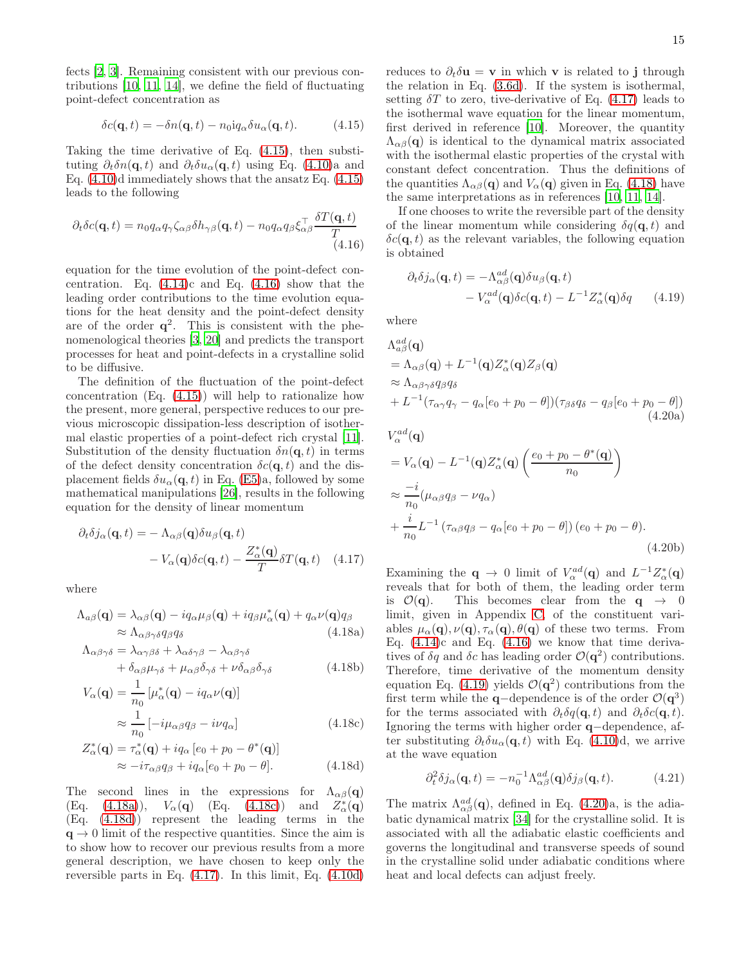fects [\[2,](#page-24-1) [3\]](#page-24-2). Remaining consistent with our previous contributions [\[10](#page-24-8), [11,](#page-24-9) [14\]](#page-24-12), we define the field of fluctuating point-defect concentration as

$$
\delta c(\mathbf{q},t) = -\delta n(\mathbf{q},t) - n_0 \mathrm{i} q_\alpha \delta u_\alpha(\mathbf{q},t). \tag{4.15}
$$

Taking the time derivative of Eq. [\(4.15\)](#page-14-0), then substituting  $\partial_t \delta n(\mathbf{q}, t)$  and  $\partial_t \delta u_\alpha(\mathbf{q}, t)$  using Eq. [\(4.10\)](#page-13-1)a and Eq.  $(4.10)$ d immediately shows that the ansatz Eq.  $(4.15)$ leads to the following

$$
\partial_t \delta c(\mathbf{q}, t) = n_0 q_\alpha q_\gamma \zeta_{\alpha\beta} \delta h_{\gamma\beta}(\mathbf{q}, t) - n_0 q_\alpha q_\beta \xi_{\alpha\beta}^\top \frac{\delta T(\mathbf{q}, t)}{T} \tag{4.16}
$$

equation for the time evolution of the point-defect concentration. Eq.  $(4.14)c$  and Eq.  $(4.16)$  show that the leading order contributions to the time evolution equations for the heat density and the point-defect density are of the order  $q^2$ . This is consistent with the phenomenological theories [\[3](#page-24-2), [20\]](#page-24-18) and predicts the transport processes for heat and point-defects in a crystalline solid to be diffusive.

The definition of the fluctuation of the point-defect concentration (Eq. [\(4.15\)](#page-14-0)) will help to rationalize how the present, more general, perspective reduces to our previous microscopic dissipation-less description of isothermal elastic properties of a point-defect rich crystal [\[11\]](#page-24-9). Substitution of the density fluctuation  $\delta n(\mathbf{q}, t)$  in terms of the defect density concentration  $\delta c(\mathbf{q}, t)$  and the displacement fields  $\delta u_{\alpha}(\mathbf{q},t)$  in Eq. [\(E5\)](#page-24-25)a, followed by some mathematical manipulations [\[26\]](#page-24-24), results in the following equation for the density of linear momentum

$$
\partial_t \delta j_\alpha(\mathbf{q}, t) = -\Lambda_{\alpha\beta}(\mathbf{q}) \delta u_\beta(\mathbf{q}, t) -V_\alpha(\mathbf{q}) \delta c(\mathbf{q}, t) - \frac{Z_\alpha^*(\mathbf{q})}{T} \delta T(\mathbf{q}, t) \quad (4.17)
$$

where

<span id="page-14-6"></span>
$$
\Lambda_{a\beta}(\mathbf{q}) = \lambda_{\alpha\beta}(\mathbf{q}) - i q_{\alpha} \mu_{\beta}(\mathbf{q}) + i q_{\beta} \mu_{\alpha}^*(\mathbf{q}) + q_{\alpha} \nu(\mathbf{q}) q_{\beta}
$$
  
\n
$$
\approx \Lambda_{\alpha\beta\gamma\delta} q_{\beta} q_{\delta}
$$
\n(4.18a)

$$
\Lambda_{\alpha\beta\gamma\delta} = \lambda_{\alpha\gamma\beta\delta} + \lambda_{\alpha\delta\gamma\beta} - \lambda_{\alpha\beta\gamma\delta} \n+ \delta_{\alpha\beta}\mu_{\gamma\delta} + \mu_{\alpha\beta}\delta_{\gamma\delta} + \nu\delta_{\alpha\beta}\delta_{\gamma\delta}
$$
\n(4.18b)

$$
V_{\alpha}(\mathbf{q}) = \frac{1}{n_0} \left[ \mu_{\alpha}^*(\mathbf{q}) - iq_{\alpha} \nu(\mathbf{q}) \right]
$$

$$
\approx \frac{1}{n_0} \left[ -i\mu_{\alpha\beta} q_{\beta} - i\nu q_{\alpha} \right]
$$
(4.18c)

$$
Z_{\alpha}^*(\mathbf{q}) = \tau_{\alpha}^*(\mathbf{q}) + iq_{\alpha}[e_0 + p_0 - \theta^*(\mathbf{q})]
$$
  

$$
\approx -i\tau_{\alpha\beta}q_{\beta} + iq_{\alpha}[e_0 + p_0 - \theta].
$$
 (4.18d)

The second lines in the expressions for  $\Lambda_{\alpha\beta}(\mathbf{q})$  $(Eq. (4.18a)), V_\alpha(q)$  $(Eq. (4.18a)), V_\alpha(q)$  $(Eq. (4.18a)), V_\alpha(q)$   $(Eq. (4.18c))$  $(Eq. (4.18c))$  $(Eq. (4.18c))$  and  $\overset{*}{\alpha}(\mathbf{q})$ (Eq. [\(4.18d\)](#page-14-4)) represent the leading terms in the  $q \rightarrow 0$  limit of the respective quantities. Since the aim is to show how to recover our previous results from a more general description, we have chosen to keep only the reversible parts in Eq. [\(4.17\)](#page-14-5). In this limit, Eq. [\(4.10d\)](#page-13-0)

(4.20b)

<span id="page-14-0"></span>reduces to  $\partial_t \delta \mathbf{u} = \mathbf{v}$  in which **v** is related to **j** through the relation in Eq. [\(3.6d\)](#page-8-6). If the system is isothermal, setting  $\delta T$  to zero, tive-derivative of Eq. [\(4.17\)](#page-14-5) leads to the isothermal wave equation for the linear momentum, first derived in reference [\[10](#page-24-8)]. Moreover, the quantity  $\Lambda_{\alpha\beta}(\mathbf{q})$  is identical to the dynamical matrix associated with the isothermal elastic properties of the crystal with constant defect concentration. Thus the definitions of the quantities  $\Lambda_{\alpha\beta}(\mathbf{q})$  and  $V_{\alpha}(\mathbf{q})$  given in Eq. [\(4.18\)](#page-14-6) have the same interpretations as in references [\[10,](#page-24-8) [11,](#page-24-9) [14\]](#page-24-12).

<span id="page-14-1"></span>If one chooses to write the reversible part of the density of the linear momentum while considering  $\delta q(\mathbf{q}, t)$  and  $\delta c(\mathbf{q}, t)$  as the relevant variables, the following equation is obtained

<span id="page-14-7"></span>
$$
\partial_t \delta j_\alpha(\mathbf{q}, t) = -\Lambda_{\alpha\beta}^{ad}(\mathbf{q}) \delta u_\beta(\mathbf{q}, t) - V_\alpha^{ad}(\mathbf{q}) \delta c(\mathbf{q}, t) - L^{-1} Z_\alpha^*(\mathbf{q}) \delta q
$$
(4.19)

<span id="page-14-8"></span>where

 $n_0$ 

$$
\Lambda_{a\beta}^{ad}(\mathbf{q})
$$
\n
$$
= \Lambda_{\alpha\beta}(\mathbf{q}) + L^{-1}(\mathbf{q})Z_{\alpha}^{*}(\mathbf{q})Z_{\beta}(\mathbf{q})
$$
\n
$$
\approx \Lambda_{\alpha\beta\gamma\delta}q_{\beta}q_{\delta}
$$
\n
$$
+ L^{-1}(\tau_{\alpha\gamma}q_{\gamma} - q_{\alpha}[e_{0} + p_{0} - \theta])(\tau_{\beta\delta}q_{\delta} - q_{\beta}[e_{0} + p_{0} - \theta])
$$
\n
$$
V_{\alpha}^{ad}(\mathbf{q})
$$
\n
$$
= V_{\alpha}(\mathbf{q}) - L^{-1}(\mathbf{q})Z_{\alpha}^{*}(\mathbf{q})\left(\frac{e_{0} + p_{0} - \theta^{*}(\mathbf{q})}{n_{0}}\right)
$$
\n
$$
\approx \frac{-i}{n_{0}}(\mu_{\alpha\beta}q_{\beta} - \nu q_{\alpha})
$$
\n
$$
+ \frac{i}{n_{0}}L^{-1}(\tau_{\alpha\beta}q_{\beta} - q_{\alpha}[e_{0} + p_{0} - \theta])(e_{0} + p_{0} - \theta).
$$

<span id="page-14-5"></span><span id="page-14-2"></span>Examining the  $\mathbf{q} \to 0$  limit of  $V_\alpha^{ad}(\mathbf{q})$  and  $L^{-1}Z_\alpha^*(\mathbf{q})$ reveals that for both of them, the leading order term is  $\mathcal{O}(\mathbf{q})$ . This becomes clear from the  $\mathbf{q} \to 0$ limit, given in Appendix [C,](#page-18-2) of the constituent variables  $\mu_{\alpha}(\mathbf{q}), \nu(\mathbf{q}), \tau_{\alpha}(\mathbf{q}), \theta(\mathbf{q})$  of these two terms. From Eq.  $(4.14)c$  and Eq.  $(4.16)$  we know that time derivatives of  $\delta q$  and  $\delta c$  has leading order  $\mathcal{O}(q^2)$  contributions. Therefore, time derivative of the momentum density equation Eq. [\(4.19\)](#page-14-7) yields  $\mathcal{O}(q^2)$  contributions from the first term while the **q**-dependence is of the order  $\mathcal{O}(\mathbf{q}^3)$ for the terms associated with  $\partial_t \delta q(\mathbf{q}, t)$  and  $\partial_t \delta c(\mathbf{q}, t)$ . Ignoring the terms with higher order q−dependence, after substituting  $\partial_t \delta u_\alpha(\mathbf{q}, t)$  with Eq. [\(4.10\)](#page-13-1)d, we arrive at the wave equation

$$
\partial_t^2 \delta j_\alpha(\mathbf{q}, t) = -n_0^{-1} \Lambda_{\alpha\beta}^{ad}(\mathbf{q}) \delta j_\beta(\mathbf{q}, t). \tag{4.21}
$$

<span id="page-14-4"></span><span id="page-14-3"></span>The matrix  $\Lambda_{\alpha\beta}^{ad}(\mathbf{q})$ , defined in Eq. [\(4.20\)](#page-14-8)a, is the adiabatic dynamical matrix [\[34\]](#page-25-7) for the crystalline solid. It is associated with all the adiabatic elastic coefficients and governs the longitudinal and transverse speeds of sound in the crystalline solid under adiabatic conditions where heat and local defects can adjust freely.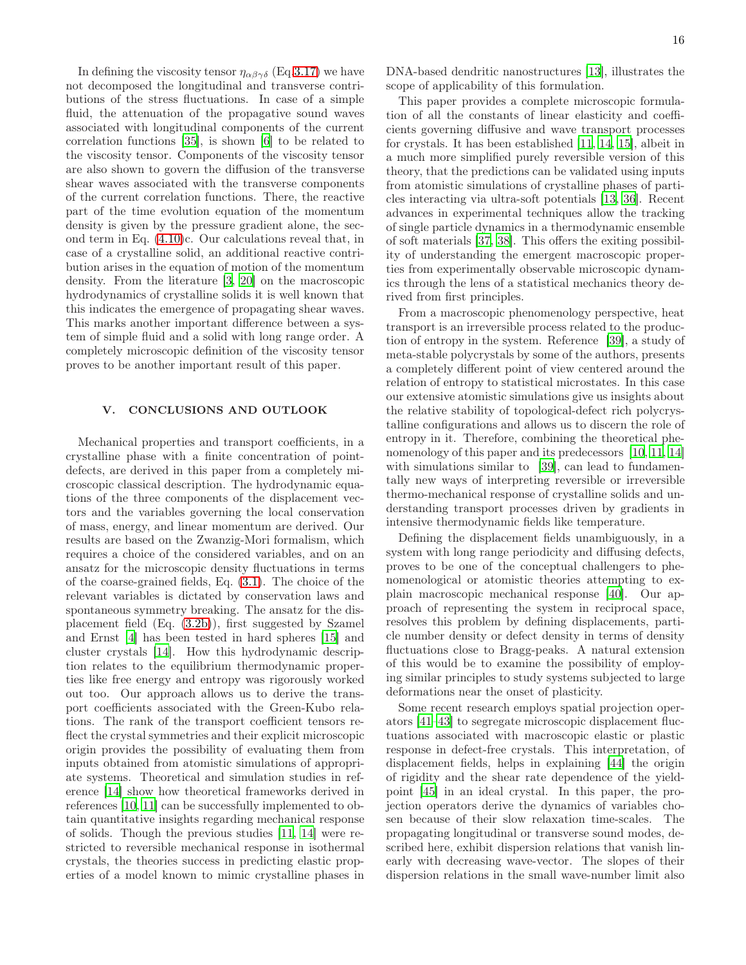In defining the viscosity tensor  $\eta_{\alpha\beta\gamma\delta}$  (Eq[.3.17\)](#page-10-3) we have not decomposed the longitudinal and transverse contributions of the stress fluctuations. In case of a simple fluid, the attenuation of the propagative sound waves associated with longitudinal components of the current correlation functions [\[35\]](#page-25-8), is shown [\[6](#page-24-5)] to be related to the viscosity tensor. Components of the viscosity tensor are also shown to govern the diffusion of the transverse shear waves associated with the transverse components of the current correlation functions. There, the reactive part of the time evolution equation of the momentum density is given by the pressure gradient alone, the second term in Eq. [\(4.10\)](#page-13-1)c. Our calculations reveal that, in case of a crystalline solid, an additional reactive contribution arises in the equation of motion of the momentum density. From the literature [\[3,](#page-24-2) [20](#page-24-18)] on the macroscopic hydrodynamics of crystalline solids it is well known that this indicates the emergence of propagating shear waves. This marks another important difference between a system of simple fluid and a solid with long range order. A completely microscopic definition of the viscosity tensor proves to be another important result of this paper.

# <span id="page-15-0"></span>V. CONCLUSIONS AND OUTLOOK

Mechanical properties and transport coefficients, in a crystalline phase with a finite concentration of pointdefects, are derived in this paper from a completely microscopic classical description. The hydrodynamic equations of the three components of the displacement vectors and the variables governing the local conservation of mass, energy, and linear momentum are derived. Our results are based on the Zwanzig-Mori formalism, which requires a choice of the considered variables, and on an ansatz for the microscopic density fluctuations in terms of the coarse-grained fields, Eq. [\(3.1\)](#page-7-3). The choice of the relevant variables is dictated by conservation laws and spontaneous symmetry breaking. The ansatz for the displacement field (Eq. [\(3.2b\)](#page-7-9)), first suggested by Szamel and Ernst [\[4](#page-24-3)] has been tested in hard spheres [\[15\]](#page-24-13) and cluster crystals [\[14\]](#page-24-12). How this hydrodynamic description relates to the equilibrium thermodynamic properties like free energy and entropy was rigorously worked out too. Our approach allows us to derive the transport coefficients associated with the Green-Kubo relations. The rank of the transport coefficient tensors reflect the crystal symmetries and their explicit microscopic origin provides the possibility of evaluating them from inputs obtained from atomistic simulations of appropriate systems. Theoretical and simulation studies in reference [\[14\]](#page-24-12) show how theoretical frameworks derived in references [\[10,](#page-24-8) [11](#page-24-9)] can be successfully implemented to obtain quantitative insights regarding mechanical response of solids. Though the previous studies [\[11,](#page-24-9) [14](#page-24-12)] were restricted to reversible mechanical response in isothermal crystals, the theories success in predicting elastic properties of a model known to mimic crystalline phases in

DNA-based dendritic nanostructures [\[13](#page-24-11)], illustrates the scope of applicability of this formulation.

This paper provides a complete microscopic formulation of all the constants of linear elasticity and coefficients governing diffusive and wave transport processes for crystals. It has been established [\[11](#page-24-9), [14,](#page-24-12) [15\]](#page-24-13), albeit in a much more simplified purely reversible version of this theory, that the predictions can be validated using inputs from atomistic simulations of crystalline phases of particles interacting via ultra-soft potentials [\[13,](#page-24-11) [36\]](#page-25-9). Recent advances in experimental techniques allow the tracking of single particle dynamics in a thermodynamic ensemble of soft materials [\[37,](#page-25-10) [38\]](#page-25-11). This offers the exiting possibility of understanding the emergent macroscopic properties from experimentally observable microscopic dynamics through the lens of a statistical mechanics theory derived from first principles.

From a macroscopic phenomenology perspective, heat transport is an irreversible process related to the production of entropy in the system. Reference [\[39](#page-25-12)], a study of meta-stable polycrystals by some of the authors, presents a completely different point of view centered around the relation of entropy to statistical microstates. In this case our extensive atomistic simulations give us insights about the relative stability of topological-defect rich polycrystalline configurations and allows us to discern the role of entropy in it. Therefore, combining the theoretical phe-nomenology of this paper and its predecessors [\[10](#page-24-8), [11](#page-24-9), [14](#page-24-12)] with simulations similar to [\[39\]](#page-25-12), can lead to fundamentally new ways of interpreting reversible or irreversible thermo-mechanical response of crystalline solids and understanding transport processes driven by gradients in intensive thermodynamic fields like temperature.

Defining the displacement fields unambiguously, in a system with long range periodicity and diffusing defects, proves to be one of the conceptual challengers to phenomenological or atomistic theories attempting to explain macroscopic mechanical response [\[40\]](#page-25-13). Our approach of representing the system in reciprocal space, resolves this problem by defining displacements, particle number density or defect density in terms of density fluctuations close to Bragg-peaks. A natural extension of this would be to examine the possibility of employing similar principles to study systems subjected to large deformations near the onset of plasticity.

Some recent research employs spatial projection operators [\[41–](#page-25-14)[43\]](#page-25-15) to segregate microscopic displacement fluctuations associated with macroscopic elastic or plastic response in defect-free crystals. This interpretation, of displacement fields, helps in explaining [\[44\]](#page-25-16) the origin of rigidity and the shear rate dependence of the yieldpoint [\[45](#page-25-17)] in an ideal crystal. In this paper, the projection operators derive the dynamics of variables chosen because of their slow relaxation time-scales. The propagating longitudinal or transverse sound modes, described here, exhibit dispersion relations that vanish linearly with decreasing wave-vector. The slopes of their dispersion relations in the small wave-number limit also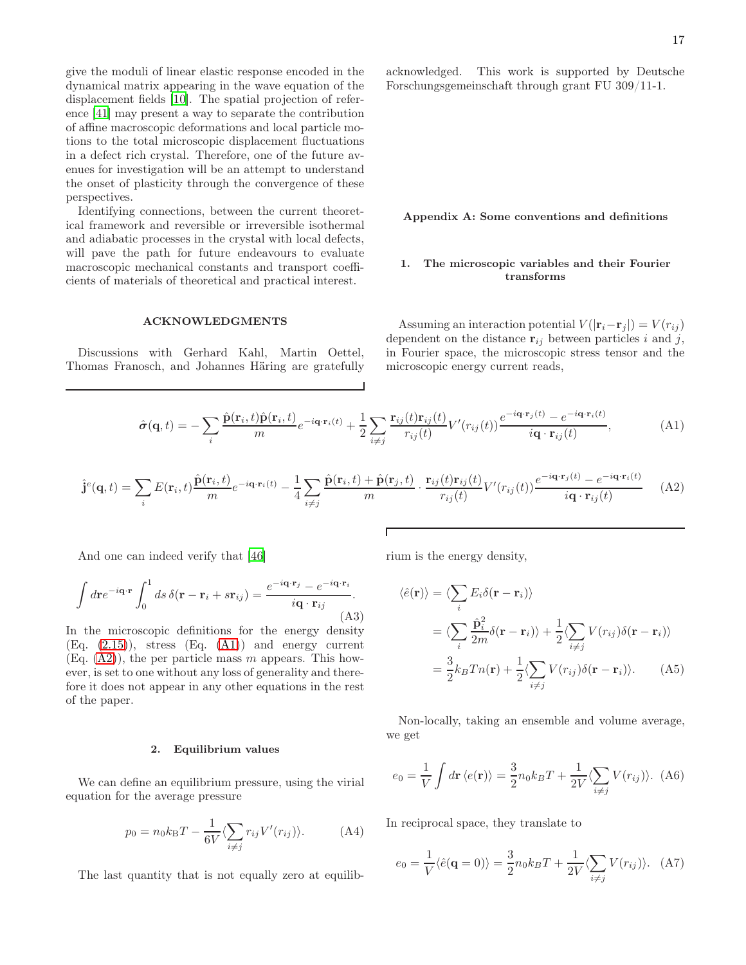give the moduli of linear elastic response encoded in the dynamical matrix appearing in the wave equation of the displacement fields [\[10\]](#page-24-8). The spatial projection of reference [\[41\]](#page-25-14) may present a way to separate the contribution of affine macroscopic deformations and local particle motions to the total microscopic displacement fluctuations in a defect rich crystal. Therefore, one of the future avenues for investigation will be an attempt to understand the onset of plasticity through the convergence of these perspectives.

Identifying connections, between the current theoretical framework and reversible or irreversible isothermal and adiabatic processes in the crystal with local defects, will pave the path for future endeavours to evaluate macroscopic mechanical constants and transport coefficients of materials of theoretical and practical interest.

# ACKNOWLEDGMENTS

Discussions with Gerhard Kahl, Martin Oettel, Thomas Franosch, and Johannes Häring are gratefully acknowledged. This work is supported by Deutsche Forschungsgemeinschaft through grant FU 309/11-1.

### Appendix A: Some conventions and definitions

# <span id="page-16-0"></span>1. The microscopic variables and their Fourier transforms

Assuming an interaction potential  $V(|\mathbf{r}_i-\mathbf{r}_j|) = V(r_{ij})$ dependent on the distance  $\mathbf{r}_{ij}$  between particles i and j, in Fourier space, the microscopic stress tensor and the microscopic energy current reads,

<span id="page-16-2"></span>
$$
\hat{\boldsymbol{\sigma}}(\mathbf{q},t) = -\sum_{i} \frac{\hat{\mathbf{p}}(\mathbf{r}_{i},t)\hat{\mathbf{p}}(\mathbf{r}_{i},t)}{m} e^{-i\mathbf{q}\cdot\mathbf{r}_{i}(t)} + \frac{1}{2} \sum_{i\neq j} \frac{\mathbf{r}_{ij}(t)\mathbf{r}_{ij}(t)}{r_{ij}(t)} V'(r_{ij}(t)) \frac{e^{-i\mathbf{q}\cdot\mathbf{r}_{j}(t)} - e^{-i\mathbf{q}\cdot\mathbf{r}_{i}(t)}}{i\mathbf{q}\cdot\mathbf{r}_{ij}(t)},
$$
(A1)

$$
\hat{\mathbf{j}}^{e}(\mathbf{q},t) = \sum_{i} E(\mathbf{r}_{i},t) \frac{\hat{\mathbf{p}}(\mathbf{r}_{i},t)}{m} e^{-i\mathbf{q}\cdot\mathbf{r}_{i}(t)} - \frac{1}{4} \sum_{i\neq j} \frac{\hat{\mathbf{p}}(\mathbf{r}_{i},t) + \hat{\mathbf{p}}(\mathbf{r}_{j},t)}{m} \cdot \frac{\mathbf{r}_{ij}(t)\mathbf{r}_{ij}(t)}{r_{ij}(t)} V'(r_{ij}(t)) \frac{e^{-i\mathbf{q}\cdot\mathbf{r}_{j}(t)} - e^{-i\mathbf{q}\cdot\mathbf{r}_{i}(t)}}{i\mathbf{q}\cdot\mathbf{r}_{ij}(t)}
$$
(A2)

And one can indeed verify that [\[46\]](#page-25-18)

$$
\int d\mathbf{r} e^{-i\mathbf{q}\cdot\mathbf{r}} \int_0^1 ds \,\delta(\mathbf{r}-\mathbf{r}_i+s\mathbf{r}_{ij}) = \frac{e^{-i\mathbf{q}\cdot\mathbf{r}_j} - e^{-i\mathbf{q}\cdot\mathbf{r}_i}}{i\mathbf{q}\cdot\mathbf{r}_{ij}}.
$$
\n(A3)

In the microscopic definitions for the energy density  $(Eq. (2.15))$  $(Eq. (2.15))$  $(Eq. (2.15))$ , stress  $(Eq. (A1))$  $(Eq. (A1))$  $(Eq. (A1))$  and energy current  $(Eq. (A2))$  $(Eq. (A2))$  $(Eq. (A2))$ , the per particle mass m appears. This however, is set to one without any loss of generality and therefore it does not appear in any other equations in the rest of the paper.

# <span id="page-16-1"></span>2. Equilibrium values

We can define an equilibrium pressure, using the virial equation for the average pressure

$$
p_0 = n_0 k_\text{B} T - \frac{1}{6V} \langle \sum_{i \neq j} r_{ij} V'(r_{ij}) \rangle.
$$
 (A4)

The last quantity that is not equally zero at equilib-

rium is the energy density,

<span id="page-16-3"></span>
$$
\langle \hat{e}(\mathbf{r}) \rangle = \langle \sum_{i} E_{i} \delta(\mathbf{r} - \mathbf{r}_{i}) \rangle
$$
  
= 
$$
\langle \sum_{i} \frac{\hat{\mathbf{p}}_{i}^{2}}{2m} \delta(\mathbf{r} - \mathbf{r}_{i}) \rangle + \frac{1}{2} \langle \sum_{i \neq j} V(r_{ij}) \delta(\mathbf{r} - \mathbf{r}_{i}) \rangle
$$
  
= 
$$
\frac{3}{2} k_{B} T n(\mathbf{r}) + \frac{1}{2} \langle \sum_{i \neq j} V(r_{ij}) \delta(\mathbf{r} - \mathbf{r}_{i}) \rangle.
$$
 (A5)

Non-locally, taking an ensemble and volume average, we get

$$
e_0 = \frac{1}{V} \int d\mathbf{r} \langle e(\mathbf{r}) \rangle = \frac{3}{2} n_0 k_B T + \frac{1}{2V} \langle \sum_{i \neq j} V(r_{ij}) \rangle. \tag{A6}
$$

In reciprocal space, they translate to

$$
e_0 = \frac{1}{V} \langle \hat{e}(\mathbf{q} = 0) \rangle = \frac{3}{2} n_0 k_B T + \frac{1}{2V} \langle \sum_{i \neq j} V(r_{ij}) \rangle.
$$
 (A7)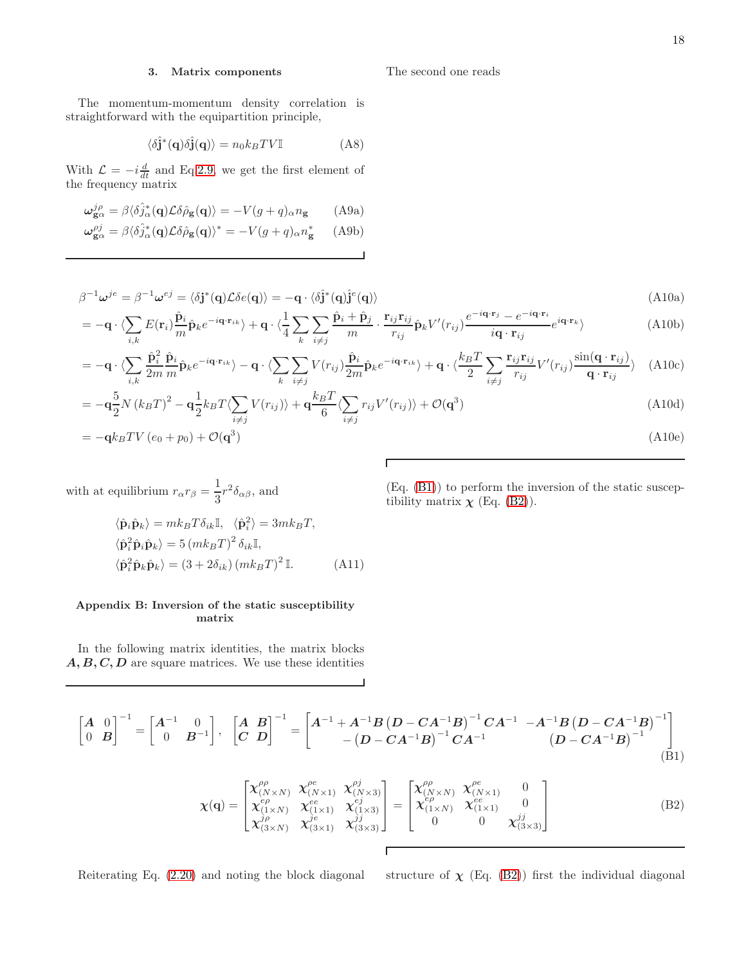# <span id="page-17-2"></span>3. Matrix components

The momentum-momentum density correlation is straightforward with the equipartition principle,

<span id="page-17-3"></span>
$$
\langle \delta \hat{\mathbf{j}}^* (\mathbf{q}) \delta \hat{\mathbf{j}} (\mathbf{q}) \rangle = n_0 k_B T V \mathbb{I}
$$
 (A8)

With  $\mathcal{L} = -i \frac{d}{dt}$  and Eq[.2.9,](#page-2-2) we get the first element of the frequency matrix

$$
\omega_{\mathbf{g}\alpha}^{j\rho} = \beta \langle \delta \hat{j}_{\alpha}^*(\mathbf{q}) \mathcal{L} \delta \hat{\rho}_{\mathbf{g}}(\mathbf{q}) \rangle = -V(g+q)_{\alpha} n_{\mathbf{g}} \qquad \text{(A9a)}
$$

$$
\omega_{\mathbf{g}\alpha}^{\rho j} = \beta \langle \delta \hat{j}_{\alpha}^* (\mathbf{q}) \mathcal{L} \delta \hat{\rho}_{\mathbf{g}} (\mathbf{q}) \rangle^* = -V(g+q)_{\alpha} n_{\mathbf{g}}^* \quad \text{(A9b)}
$$

<span id="page-17-4"></span>
$$
\beta^{-1}\omega^{je} = \beta^{-1}\omega^{ej} = \langle \delta \mathbf{j}^*(\mathbf{q}) \mathcal{L} \delta e(\mathbf{q}) \rangle = -\mathbf{q} \cdot \langle \delta \hat{\mathbf{j}}^*(\mathbf{q}) \hat{\mathbf{j}}^*(\mathbf{q}) \rangle
$$
\n(A10a)

The second one reads

$$
= -\mathbf{q} \cdot \langle \sum_{i,k} E(\mathbf{r}_i) \frac{\hat{\mathbf{p}}_i}{m} \hat{\mathbf{p}}_k e^{-i\mathbf{q} \cdot \mathbf{r}_{ik}} \rangle + \mathbf{q} \cdot \langle \frac{1}{4} \sum_k \sum_{i \neq j} \frac{\hat{\mathbf{p}}_i + \hat{\mathbf{p}}_j}{m} \cdot \frac{\mathbf{r}_{ij} \mathbf{r}_{ij}}{r_{ij}} \hat{\mathbf{p}}_k V'(r_{ij}) \frac{e^{-i\mathbf{q} \cdot \mathbf{r}_j} - e^{-i\mathbf{q} \cdot \mathbf{r}_i}}{i\mathbf{q} \cdot \mathbf{r}_{ij}} e^{i\mathbf{q} \cdot \mathbf{r}_k} \rangle
$$
(A10b)

$$
= -\mathbf{q} \cdot \langle \sum_{i,k} \frac{\hat{\mathbf{p}}_i^2}{2m} \frac{\hat{\mathbf{p}}_i}{m} \hat{\mathbf{p}}_k e^{-i\mathbf{q} \cdot \mathbf{r}_{ik}} \rangle - \mathbf{q} \cdot \langle \sum_k \sum_{i \neq j} V(r_{ij}) \frac{\hat{\mathbf{p}}_i}{2m} \hat{\mathbf{p}}_k e^{-i\mathbf{q} \cdot \mathbf{r}_{ik}} \rangle + \mathbf{q} \cdot \langle \frac{k_B T}{2} \sum_{i \neq j} \frac{\mathbf{r}_{ij} \mathbf{r}_{ij}}{r_{ij}} V'(r_{ij}) \frac{\sin(\mathbf{q} \cdot \mathbf{r}_{ij})}{\mathbf{q} \cdot \mathbf{r}_{ij}} \rangle
$$
(A10c)

$$
= -\mathbf{q}\frac{5}{2}N(k_BT)^2 - \mathbf{q}\frac{1}{2}k_BT\langle\sum_{i\neq j}V(r_{ij})\rangle + \mathbf{q}\frac{k_BT}{6}\langle\sum_{i\neq j}r_{ij}V'(r_{ij})\rangle + \mathcal{O}(\mathbf{q}^3)
$$
(A10d)

$$
= -\mathbf{q}k_BTV\left(e_0 + p_0\right) + \mathcal{O}(\mathbf{q}^3) \tag{A10e}
$$

Г

with at equilibrium 
$$
r_{\alpha}r_{\beta} = \frac{1}{3}r^2 \delta_{\alpha\beta}
$$
, and

(Eq. [\(B1\)](#page-17-0)) to perform the inversion of the static susceptibility matrix  $\chi$  (Eq. [\(B2\)](#page-17-5)).

$$
\langle \hat{\mathbf{p}}_i \hat{\mathbf{p}}_k \rangle = m k_B T \delta_{ik} \mathbb{I}, \quad \langle \hat{\mathbf{p}}_i^2 \rangle = 3m k_B T,
$$
  

$$
\langle \hat{\mathbf{p}}_i^2 \hat{\mathbf{p}}_i \hat{\mathbf{p}}_k \rangle = 5 (m k_B T)^2 \delta_{ik} \mathbb{I},
$$
  

$$
\langle \hat{\mathbf{p}}_i^2 \hat{\mathbf{p}}_k \hat{\mathbf{p}}_k \rangle = (3 + 2 \delta_{ik}) (m k_B T)^2 \mathbb{I}.
$$
 (A11)

# <span id="page-17-1"></span>Appendix B: Inversion of the static susceptibility matrix

In the following matrix identities, the matrix blocks  $A, B, C, D$  are square matrices. We use these identities

$$
\begin{bmatrix} A & 0 \\ 0 & B \end{bmatrix}^{-1} = \begin{bmatrix} A^{-1} & 0 \\ 0 & B^{-1} \end{bmatrix}, \begin{bmatrix} A & B \\ C & D \end{bmatrix}^{-1} = \begin{bmatrix} A^{-1} + A^{-1}B(D - CA^{-1}B)^{-1}CA^{-1} & -A^{-1}B(D - CA^{-1}B)^{-1} \\ - (D - CA^{-1}B)^{-1}CA^{-1} & (D - CA^{-1}B)^{-1} \end{bmatrix}
$$
\n(B1)

<span id="page-17-5"></span><span id="page-17-0"></span> $\Gamma$ 

$$
\boldsymbol{\chi}(\mathbf{q}) = \begin{bmatrix} \chi^{\rho\rho}_{(N \times N)} & \chi^{\rho e}_{(N \times 1)} & \chi^{\rho j}_{(N \times 3)} \\ \chi^{\epsilon}_{(1 \times N)} & \chi^{\epsilon e}_{(1 \times 1)} & \chi^{\epsilon j}_{(1 \times 3)} \\ \chi^{\gamma \rho}_{(3 \times N)} & \chi^{\gamma e}_{(3 \times 1)} & \chi^{\gamma j}_{(3 \times 3)} \end{bmatrix} = \begin{bmatrix} \chi^{\rho\rho}_{(N \times N)} & \chi^{\rho e}_{(N \times 1)} & 0 \\ \chi^{\epsilon \rho}_{(N \times N)} & \chi^{\epsilon e}_{(N \times 1)} & 0 \\ 0 & 0 & \chi^{\gamma j}_{(3 \times 3)} \end{bmatrix}
$$
(B2)

Reiterating Eq. [\(2.20\)](#page-4-1) and noting the block diagonal structure of  $\chi$  (Eq. [\(B2\)](#page-17-5)) first the individual diagonal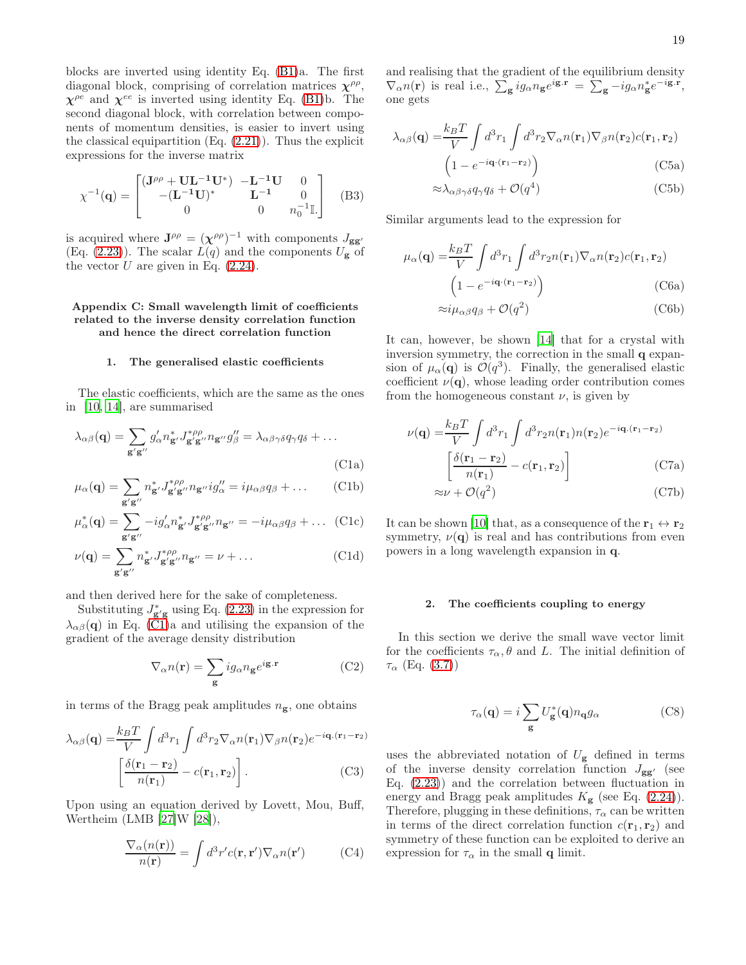blocks are inverted using identity Eq. [\(B1\)](#page-17-0)a. The first diagonal block, comprising of correlation matrices  $\chi^{\rho \rho}$ ,  $\chi^{\rho e}$  and  $\chi^{ee}$  is inverted using identity Eq. [\(B1\)](#page-17-0)b. The second diagonal block, with correlation between components of momentum densities, is easier to invert using the classical equipartition  $(Eq. (2.21))$  $(Eq. (2.21))$  $(Eq. (2.21))$ . Thus the explicit expressions for the inverse matrix

$$
\chi^{-1}(\mathbf{q}) = \begin{bmatrix} (\mathbf{J}^{\rho\rho} + \mathbf{U}\mathbf{L}^{-1}\mathbf{U}^*) & -\mathbf{L}^{-1}\mathbf{U} & 0\\ -(\mathbf{L}^{-1}\mathbf{U})^* & \mathbf{L}^{-1} & 0\\ 0 & 0 & n_0^{-1}\mathbb{I} \end{bmatrix}
$$
 (B3)

is acquired where  $J^{\rho \rho} = (\chi^{\rho \rho})^{-1}$  with components  $J_{gg'}$ (Eq. [\(2.23\)](#page-4-3)). The scalar  $L(q)$  and the components  $U_{\mathbf{g}}$  of the vector  $U$  are given in Eq.  $(2.24)$ .

# <span id="page-18-2"></span>Appendix C: Small wavelength limit of coefficients related to the inverse density correlation function and hence the direct correlation function

#### <span id="page-18-4"></span><span id="page-18-1"></span>1. The generalised elastic coefficients

The elastic coefficients, which are the same as the ones in [\[10,](#page-24-8) [14\]](#page-24-12), are summarised

$$
\lambda_{\alpha\beta}(\mathbf{q}) = \sum_{\mathbf{g'}\mathbf{g''}} g'_{\alpha} n_{\mathbf{g'}}^* J_{\mathbf{g'}\mathbf{g''}}^{*\rho\rho} n_{\mathbf{g''}} g''_{\beta} = \lambda_{\alpha\beta\gamma\delta} q_{\gamma} q_{\delta} + \dots
$$
\n(C1a)

$$
\mu_{\alpha}(\mathbf{q}) = \sum_{\mathbf{g}'\mathbf{g}''} n_{\mathbf{g}'}^* J_{\mathbf{g}'\mathbf{g}''}^{*} n_{\mathbf{g}''} i g_{\alpha}'' = i \mu_{\alpha\beta} q_{\beta} + \dots \qquad \text{(C1b)}
$$

$$
\mu_{\alpha}^*(\mathbf{q}) = \sum_{\mathbf{g}'\mathbf{g}''} -ig'_{\alpha}n_{\mathbf{g}'}^*J_{\mathbf{g}'\mathbf{g}''}^{*\rho\rho}n_{\mathbf{g}''} = -i\mu_{\alpha\beta}q_{\beta} + \dots
$$
 (C1c)

$$
\nu(\mathbf{q}) = \sum_{\mathbf{g}'\mathbf{g}''} n_{\mathbf{g}'}^* J_{\mathbf{g}''\mathbf{g}''}^{*\rho\rho} n_{\mathbf{g}''} = \nu + \dots \tag{C1d}
$$

and then derived here for the sake of completeness.

Substituting  $J_{\mathbf{g}'\mathbf{g}}^*$  using Eq. [\(2.23\)](#page-4-3) in the expression for  $\lambda_{\alpha\beta}(\mathbf{q})$  in Eq. [\(C1\)](#page-18-4)a and utilising the expansion of the gradient of the average density distribution

$$
\nabla_{\alpha} n(\mathbf{r}) = \sum_{\mathbf{g}} i g_{\alpha} n_{\mathbf{g}} e^{i\mathbf{g} \cdot \mathbf{r}} \tag{C2}
$$

in terms of the Bragg peak amplitudes  $n_{\mathbf{g}}$ , one obtains

$$
\lambda_{\alpha\beta}(\mathbf{q}) = \frac{k_B T}{V} \int d^3 r_1 \int d^3 r_2 \nabla_{\alpha} n(\mathbf{r}_1) \nabla_{\beta} n(\mathbf{r}_2) e^{-i\mathbf{q} \cdot (\mathbf{r}_1 - \mathbf{r}_2)} \left[ \frac{\delta(\mathbf{r}_1 - \mathbf{r}_2)}{n(\mathbf{r}_1)} - c(\mathbf{r}_1, \mathbf{r}_2) \right].
$$
\n(C3)

Upon using an equation derived by Lovett, Mou, Buff, Wertheim (LMB [\[27](#page-25-0)]W [\[28](#page-25-1)]),

$$
\frac{\nabla_{\alpha}(n(\mathbf{r}))}{n(\mathbf{r})} = \int d^3 r' c(\mathbf{r}, \mathbf{r}') \nabla_{\alpha} n(\mathbf{r}') \tag{C4}
$$

and realising that the gradient of the equilibrium density  $\nabla_{\alpha} n(\mathbf{r})$  is real i.e.,  $\sum_{\mathbf{g}} i g_{\alpha} n_{\mathbf{g}} e^{i\mathbf{g} \cdot \mathbf{r}} = \sum_{\mathbf{g}} -i g_{\alpha} n_{\mathbf{g}}^* e^{-i\mathbf{g} \cdot \mathbf{r}},$ one gets

$$
\lambda_{\alpha\beta}(\mathbf{q}) = \frac{k_B T}{V} \int d^3 r_1 \int d^3 r_2 \nabla_{\alpha} n(\mathbf{r}_1) \nabla_{\beta} n(\mathbf{r}_2) c(\mathbf{r}_1, \mathbf{r}_2)
$$
  

$$
\left(1 - e^{-i\mathbf{q} \cdot (\mathbf{r}_1 - \mathbf{r}_2)}\right)
$$
(C5a)

$$
\approx \lambda_{\alpha\beta\gamma\delta} q_{\gamma} q_{\delta} + \mathcal{O}(q^4)
$$
 (C5b)

<span id="page-18-0"></span>Similar arguments lead to the expression for

$$
\mu_{\alpha}(\mathbf{q}) = \frac{k_B T}{V} \int d^3 r_1 \int d^3 r_2 n(\mathbf{r}_1) \nabla_{\alpha} n(\mathbf{r}_2) c(\mathbf{r}_1, \mathbf{r}_2)
$$

$$
\left(1 - e^{-i\mathbf{q} \cdot (\mathbf{r}_1 - \mathbf{r}_2)}\right) \tag{C6a}
$$

<span id="page-18-5"></span>
$$
\approx i\mu_{\alpha\beta}q_{\beta} + \mathcal{O}(q^2)
$$
 (C6b)

It can, however, be shown [\[14\]](#page-24-12) that for a crystal with inversion symmetry, the correction in the small q expansion of  $\mu_{\alpha}(\mathbf{q})$  is  $\mathcal{O}(q^3)$ . Finally, the generalised elastic coefficient  $\nu(\mathbf{q})$ , whose leading order contribution comes from the homogeneous constant  $\nu$ , is given by

$$
\nu(\mathbf{q}) = \frac{k_B T}{V} \int d^3 r_1 \int d^3 r_2 n(\mathbf{r}_1) n(\mathbf{r}_2) e^{-i\mathbf{q} \cdot (\mathbf{r}_1 - \mathbf{r}_2)}
$$

$$
\left[ \frac{\delta(\mathbf{r}_1 - \mathbf{r}_2)}{n(\mathbf{r}_1)} - c(\mathbf{r}_1, \mathbf{r}_2) \right]
$$
(C7a)
$$
\approx \nu + \mathcal{O}(q^2)
$$
(C7b)

It can be shown [\[10\]](#page-24-8) that, as a consequence of the  $r_1 \leftrightarrow r_2$ symmetry,  $\nu(\mathbf{q})$  is real and has contributions from even powers in a long wavelength expansion in q.

#### <span id="page-18-3"></span>2. The coefficients coupling to energy

In this section we derive the small wave vector limit for the coefficients  $\tau_{\alpha}$ ,  $\theta$  and L. The initial definition of  $\tau_{\alpha}$  (Eq. [\(3.7\)](#page-8-0))

$$
\tau_{\alpha}(\mathbf{q}) = i \sum_{\mathbf{g}} U_{\mathbf{g}}^{*}(\mathbf{q}) n_{\mathbf{q}} g_{\alpha} \tag{C8}
$$

uses the abbreviated notation of  $U_{\mathbf{g}}$  defined in terms of the inverse density correlation function  $J_{gg'}$  (see Eq. [\(2.23\)](#page-4-3)) and the correlation between fluctuation in energy and Bragg peak amplitudes  $K_{\mathbf{g}}$  (see Eq. [\(2.24\)](#page-4-4)). Therefore, plugging in these definitions,  $\tau_{\alpha}$  can be written in terms of the direct correlation function  $c(\mathbf{r}_1, \mathbf{r}_2)$  and symmetry of these function can be exploited to derive an expression for  $\tau_{\alpha}$  in the small **q** limit.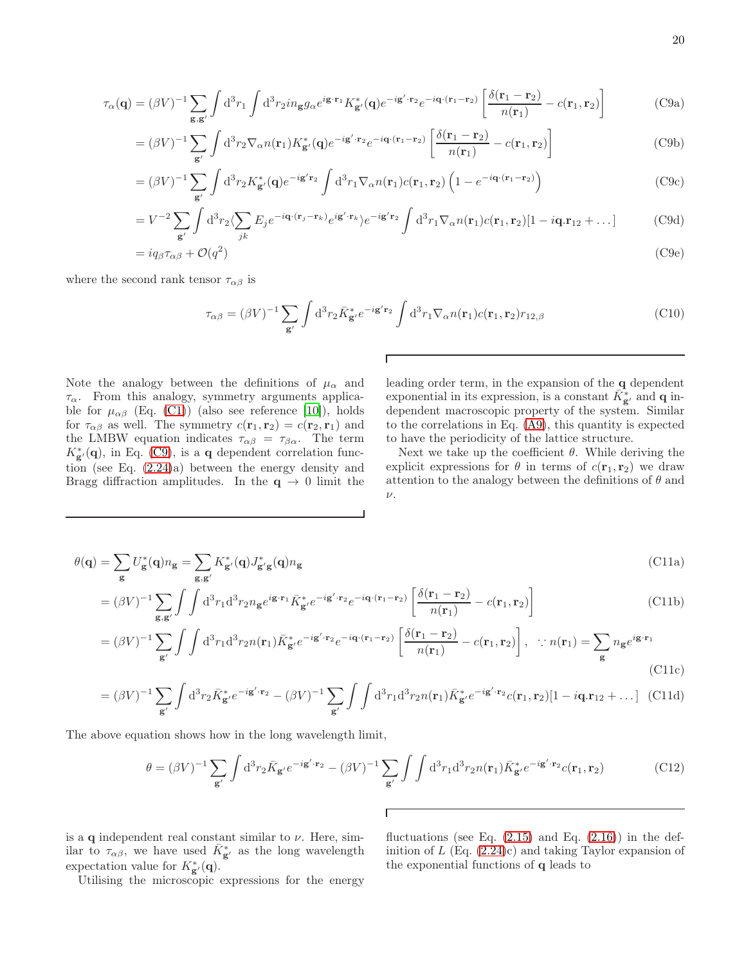<span id="page-19-0"></span>
$$
\tau_{\alpha}(\mathbf{q}) = (\beta V)^{-1} \sum_{\mathbf{g}, \mathbf{g}'} \int d^3 r_1 \int d^3 r_2 i n_{\mathbf{g}} g_{\alpha} e^{i\mathbf{g} \cdot \mathbf{r}_1} K_{\mathbf{g}'}^*(\mathbf{q}) e^{-i\mathbf{g}' \cdot \mathbf{r}_2} e^{-i\mathbf{q} \cdot (\mathbf{r}_1 - \mathbf{r}_2)} \left[ \frac{\delta(\mathbf{r}_1 - \mathbf{r}_2)}{n(\mathbf{r}_1)} - c(\mathbf{r}_1, \mathbf{r}_2) \right]
$$
(C9a)

$$
= (\beta V)^{-1} \sum_{\mathbf{g}'} \int d^3 r_2 \nabla_\alpha n(\mathbf{r}_1) K_{\mathbf{g}'}^*(\mathbf{q}) e^{-i\mathbf{g}' \cdot \mathbf{r}_2} e^{-i\mathbf{q} \cdot (\mathbf{r}_1 - \mathbf{r}_2)} \left[ \frac{\delta(\mathbf{r}_1 - \mathbf{r}_2)}{n(\mathbf{r}_1)} - c(\mathbf{r}_1, \mathbf{r}_2) \right]
$$
(C9b)

$$
= (\beta V)^{-1} \sum_{\mathbf{g}'} \int d^3 r_2 K_{\mathbf{g}'}^* (\mathbf{q}) e^{-i\mathbf{g}' \mathbf{r}_2} \int d^3 r_1 \nabla_\alpha n(\mathbf{r}_1) c(\mathbf{r}_1, \mathbf{r}_2) \left( 1 - e^{-i\mathbf{q} \cdot (\mathbf{r}_1 - \mathbf{r}_2)} \right)
$$
(C9c)

$$
=V^{-2}\sum_{\mathbf{g}'}\int d^3r_2\langle\sum_{jk}E_je^{-i\mathbf{q}\cdot(\mathbf{r}_j-\mathbf{r}_k)}e^{i\mathbf{g'}\cdot\mathbf{r}_k}\rangle e^{-i\mathbf{g'}\mathbf{r}_2}\int d^3r_1\nabla_\alpha n(\mathbf{r}_1)c(\mathbf{r}_1,\mathbf{r}_2)[1-i\mathbf{q}.\mathbf{r}_{12}+\dots]
$$
 (C9d)

$$
= i q_{\beta} \tau_{\alpha \beta} + \mathcal{O}(q^2) \tag{C9e}
$$

 $\Gamma$ 

where the second rank tensor  $\tau_{\alpha\beta}$  is

$$
\tau_{\alpha\beta} = (\beta V)^{-1} \sum_{\mathbf{g}'} \int d^3 r_2 \bar{K}_{\mathbf{g}'}^* e^{-i\mathbf{g'} \mathbf{r}_2} \int d^3 r_1 \nabla_\alpha n(\mathbf{r}_1) c(\mathbf{r}_1, \mathbf{r}_2) r_{12, \beta}
$$
\n(C10)

Note the analogy between the definitions of  $\mu_{\alpha}$  and  $\tau_{\alpha}$ . From this analogy, symmetry arguments applicable for  $\mu_{\alpha\beta}$  (Eq. [\(C1\)](#page-18-4)) (also see reference [\[10\]](#page-24-8)), holds for  $\tau_{\alpha\beta}$  as well. The symmetry  $c(\mathbf{r}_1, \mathbf{r}_2) = c(\mathbf{r}_2, \mathbf{r}_1)$  and the LMBW equation indicates  $\tau_{\alpha\beta} = \tau_{\beta\alpha}$ . The term  $K_{\mathbf{g'}}^*(\mathbf{q})$ , in Eq. [\(C9\)](#page-19-0), is a **q** dependent correlation function (see Eq. [\(2.24\)](#page-4-4)a) between the energy density and Bragg diffraction amplitudes. In the  $q \to 0$  limit the

leading order term, in the expansion of the q dependent exponential in its expression, is a constant  $\bar{K}_{\mathbf{g}'}^*$  and **q** independent macroscopic property of the system. Similar to the correlations in Eq. [\(A9\)](#page-17-3), this quantity is expected to have the periodicity of the lattice structure.

Next we take up the coefficient  $\theta$ . While deriving the explicit expressions for  $\theta$  in terms of  $c(\mathbf{r}_1, \mathbf{r}_2)$  we draw attention to the analogy between the definitions of  $\theta$  and  $\nu$ .

$$
\theta(\mathbf{q}) = \sum_{\mathbf{g}} U_{\mathbf{g}}^*(\mathbf{q}) n_{\mathbf{g}} = \sum_{\mathbf{g}, \mathbf{g}'} K_{\mathbf{g}'}^*(\mathbf{q}) J_{\mathbf{g}'\mathbf{g}}^*(\mathbf{q}) n_{\mathbf{g}} \tag{C11a}
$$

$$
= (\beta V)^{-1} \sum_{\mathbf{g}, \mathbf{g}'} \int \int d^3 r_1 d^3 r_2 n_{\mathbf{g}} e^{i \mathbf{g} \cdot \mathbf{r}_1} \bar{K}_{\mathbf{g}'}^* e^{-i \mathbf{g}' \cdot \mathbf{r}_2} e^{-i \mathbf{q} \cdot (\mathbf{r}_1 - \mathbf{r}_2)} \left[ \frac{\delta(\mathbf{r}_1 - \mathbf{r}_2)}{n(\mathbf{r}_1)} - c(\mathbf{r}_1, \mathbf{r}_2) \right]
$$
(C11b)

$$
= (\beta V)^{-1} \sum_{\mathbf{g}'} \int \int d^3 r_1 d^3 r_2 n(\mathbf{r}_1) \bar{K}_{\mathbf{g}'}^* e^{-i\mathbf{g}' \cdot \mathbf{r}_2} e^{-i\mathbf{q} \cdot (\mathbf{r}_1 - \mathbf{r}_2)} \left[ \frac{\delta(\mathbf{r}_1 - \mathbf{r}_2)}{n(\mathbf{r}_1)} - c(\mathbf{r}_1, \mathbf{r}_2) \right], \quad \therefore n(\mathbf{r}_1) = \sum_{\mathbf{g}} n_{\mathbf{g}} e^{i\mathbf{g} \cdot \mathbf{r}_1}
$$
\n(C11c)

$$
= (\beta V)^{-1} \sum_{\mathbf{g}'} \int d^3 r_2 \bar{K}_{\mathbf{g}'}^* e^{-i\mathbf{g}' \cdot \mathbf{r}_2} - (\beta V)^{-1} \sum_{\mathbf{g}'} \int \int d^3 r_1 d^3 r_2 n(\mathbf{r}_1) \bar{K}_{\mathbf{g}'}^* e^{-i\mathbf{g}' \cdot \mathbf{r}_2} c(\mathbf{r}_1, \mathbf{r}_2) [1 - i\mathbf{q} \cdot \mathbf{r}_{12} + \dots] \tag{C11d}
$$

Г

The above equation shows how in the long wavelength limit,

$$
\theta = (\beta V)^{-1} \sum_{\mathbf{g}'} \int d^3 r_2 \bar{K}_{\mathbf{g}'} e^{-i\mathbf{g}' \cdot \mathbf{r}_2} - (\beta V)^{-1} \sum_{\mathbf{g}'} \int \int d^3 r_1 d^3 r_2 n(\mathbf{r}_1) \bar{K}_{\mathbf{g}'}^* e^{-i\mathbf{g}' \cdot \mathbf{r}_2} c(\mathbf{r}_1, \mathbf{r}_2)
$$
(C12)

is a  $q$  independent real constant similar to  $\nu$ . Here, similar to  $\tau_{\alpha\beta}$ , we have used  $\bar{K}_{g'}^*$  as the long wavelength expectation value for  $K_{\mathbf{g}'}^*(\mathbf{q})$ .

Utilising the microscopic expressions for the energy

fluctuations (see Eq.  $(2.15)$  and Eq.  $(2.16)$ ) in the definition of  $L$  (Eq.  $(2.24)c$ ) and taking Taylor expansion of the exponential functions of q leads to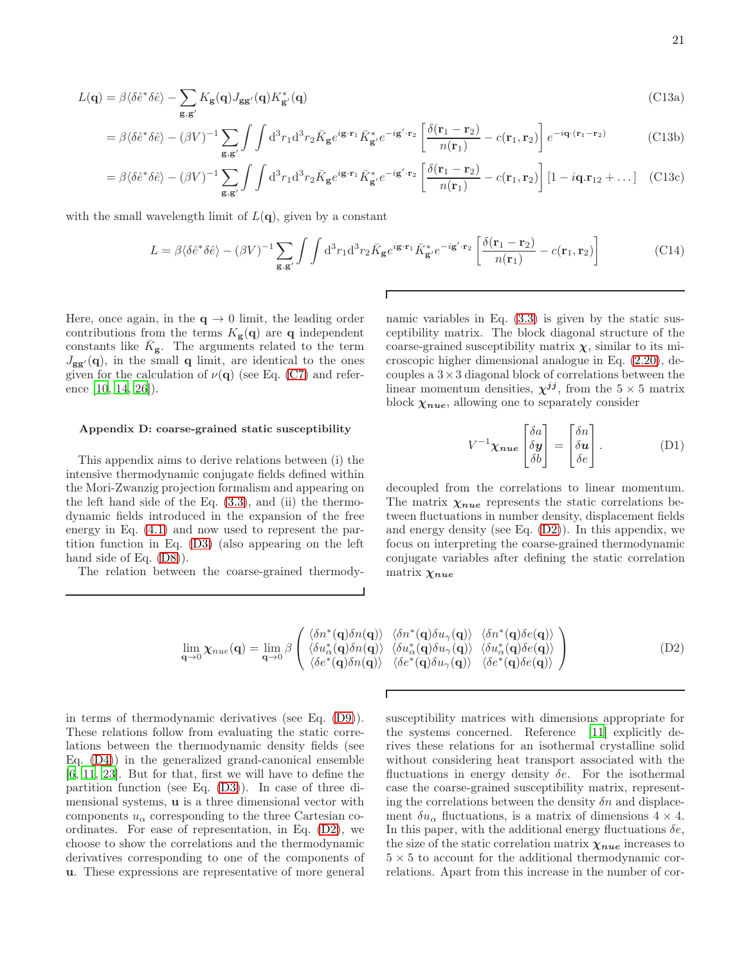$$
L(\mathbf{q}) = \beta \langle \delta \hat{e}^* \delta \hat{e} \rangle - \sum_{\mathbf{g}, \mathbf{g}'} K_{\mathbf{g}}(\mathbf{q}) J_{\mathbf{g}\mathbf{g}'}(\mathbf{q}) K_{\mathbf{g}'}^*(\mathbf{q})
$$
(C13a)

$$
= \beta \langle \delta \hat{e}^* \delta \hat{e} \rangle - (\beta V)^{-1} \sum_{\mathbf{g}, \mathbf{g}'} \int \int d^3 r_1 d^3 r_2 \bar{K}_{\mathbf{g}} e^{i \mathbf{g} \cdot \mathbf{r}_1} \bar{K}_{\mathbf{g}'}^* e^{-i \mathbf{g}' \cdot \mathbf{r}_2} \left[ \frac{\delta(\mathbf{r}_1 - \mathbf{r}_2)}{n(\mathbf{r}_1)} - c(\mathbf{r}_1, \mathbf{r}_2) \right] e^{-i \mathbf{q} \cdot (\mathbf{r}_1 - \mathbf{r}_2)} \tag{C13b}
$$

$$
= \beta \langle \delta \hat{e}^* \delta \hat{e} \rangle - (\beta V)^{-1} \sum_{\mathbf{g}, \mathbf{g'}} \int \int d^3 r_1 d^3 r_2 \bar{K}_{\mathbf{g}} e^{i \mathbf{g} \cdot \mathbf{r}_1} \bar{K}_{\mathbf{g'}}^* e^{-i \mathbf{g'} \cdot \mathbf{r}_2} \left[ \frac{\delta(\mathbf{r}_1 - \mathbf{r}_2)}{n(\mathbf{r}_1)} - c(\mathbf{r}_1, \mathbf{r}_2) \right] \left[ 1 - i \mathbf{q} \cdot \mathbf{r}_{12} + \dots \right] \tag{C13c}
$$

Г

with the small wavelength limit of  $L(q)$ , given by a constant

$$
L = \beta \langle \delta \hat{e}^* \delta \hat{e} \rangle - (\beta V)^{-1} \sum_{\mathbf{g}, \mathbf{g'}} \int \int d^3 r_1 d^3 r_2 \bar{K}_{\mathbf{g}} e^{i \mathbf{g} \cdot \mathbf{r}_1} \bar{K}_{\mathbf{g'}}^* e^{-i \mathbf{g'} \cdot \mathbf{r}_2} \left[ \frac{\delta(\mathbf{r}_1 - \mathbf{r}_2)}{n(\mathbf{r}_1)} - c(\mathbf{r}_1, \mathbf{r}_2) \right]
$$
(C14)

Here, once again, in the  $q \to 0$  limit, the leading order contributions from the terms  $K_{\mathbf{g}}(\mathbf{q})$  are q independent constants like  $\bar{K}_g$ . The arguments related to the term  $J_{gg'}(\mathbf{q})$ , in the small  $\mathbf{q}$  limit, are identical to the ones given for the calculation of  $\nu(\mathbf{q})$  (see Eq. [\(C7\)](#page-18-5) and reference [\[10,](#page-24-8) [14,](#page-24-12) [26\]](#page-24-24)).

#### <span id="page-20-0"></span>Appendix D: coarse-grained static susceptibility

This appendix aims to derive relations between (i) the intensive thermodynamic conjugate fields defined within the Mori-Zwanzig projection formalism and appearing on the left hand side of the Eq.  $(3.3)$ , and  $(ii)$  the thermodynamic fields introduced in the expansion of the free energy in Eq. [\(4.1\)](#page-11-1) and now used to represent the partition function in Eq. [\(D3\)](#page-21-0) (also appearing on the left hand side of Eq.  $(D8)$ ).

The relation between the coarse-grained thermody-

namic variables in Eq.  $(3.3)$  is given by the static susceptibility matrix. The block diagonal structure of the coarse-grained susceptibility matrix  $\chi$ , similar to its microscopic higher dimensional analogue in Eq. [\(2.20\)](#page-4-1), decouples a  $3 \times 3$  diagonal block of correlations between the linear momentum densities,  $\chi^{jj}$ , from the  $5 \times 5$  matrix block  $\chi_{nue}$ , allowing one to separately consider

<span id="page-20-2"></span>
$$
V^{-1}\chi_{nue} \begin{bmatrix} \delta a \\ \delta y \\ \delta b \end{bmatrix} = \begin{bmatrix} \delta n \\ \delta u \\ \delta e \end{bmatrix} . \tag{D1}
$$

decoupled from the correlations to linear momentum. The matrix  $\chi_{nue}$  represents the static correlations between fluctuations in number density, displacement fields and energy density (see Eq. [\(D2\)](#page-20-1)). In this appendix, we focus on interpreting the coarse-grained thermodynamic conjugate variables after defining the static correlation matrix  $\chi_{nue}$ 

$$
\lim_{\mathbf{q}\to 0} \chi_{nue}(\mathbf{q}) = \lim_{\mathbf{q}\to 0} \beta \begin{pmatrix} \langle \delta n^*(\mathbf{q})\delta n(\mathbf{q}) \rangle & \langle \delta n^*(\mathbf{q})\delta u_{\gamma}(\mathbf{q}) \rangle & \langle \delta n^*(\mathbf{q})\delta e(\mathbf{q}) \rangle \\ \langle \delta u_{\alpha}^*(\mathbf{q})\delta n(\mathbf{q}) \rangle & \langle \delta u_{\alpha}^*(\mathbf{q})\delta u_{\gamma}(\mathbf{q}) \rangle & \langle \delta u_{\alpha}^*(\mathbf{q})\delta e(\mathbf{q}) \rangle \\ \langle \delta e^*(\mathbf{q})\delta n(\mathbf{q}) \rangle & \langle \delta e^*(\mathbf{q})\delta u_{\gamma}(\mathbf{q}) \rangle & \langle \delta e^*(\mathbf{q})\delta e(\mathbf{q}) \rangle \end{pmatrix}
$$
\n(D2)

<span id="page-20-1"></span>Г

in terms of thermodynamic derivatives (see Eq. [\(D9\)](#page-22-3)). These relations follow from evaluating the static correlations between the thermodynamic density fields (see Eq. [\(D4\)](#page-21-2)) in the generalized grand-canonical ensemble [\[6,](#page-24-5) [11](#page-24-9), [23\]](#page-24-21). But for that, first we will have to define the partition function (see Eq. [\(D3\)](#page-21-0)). In case of three dimensional systems, u is a three dimensional vector with components  $u_{\alpha}$  corresponding to the three Cartesian coordinates. For ease of representation, in Eq. [\(D2\)](#page-20-1), we choose to show the correlations and the thermodynamic derivatives corresponding to one of the components of u. These expressions are representative of more general

susceptibility matrices with dimensions appropriate for the systems concerned. Reference [\[11\]](#page-24-9) explicitly derives these relations for an isothermal crystalline solid without considering heat transport associated with the fluctuations in energy density  $\delta e$ . For the isothermal case the coarse-grained susceptibility matrix, representing the correlations between the density  $\delta n$  and displacement  $\delta u_{\alpha}$  fluctuations, is a matrix of dimensions  $4 \times 4$ . In this paper, with the additional energy fluctuations  $\delta e$ , the size of the static correlation matrix  $\chi_{nue}$  increases to  $5 \times 5$  to account for the additional thermodynamic correlations. Apart from this increase in the number of cor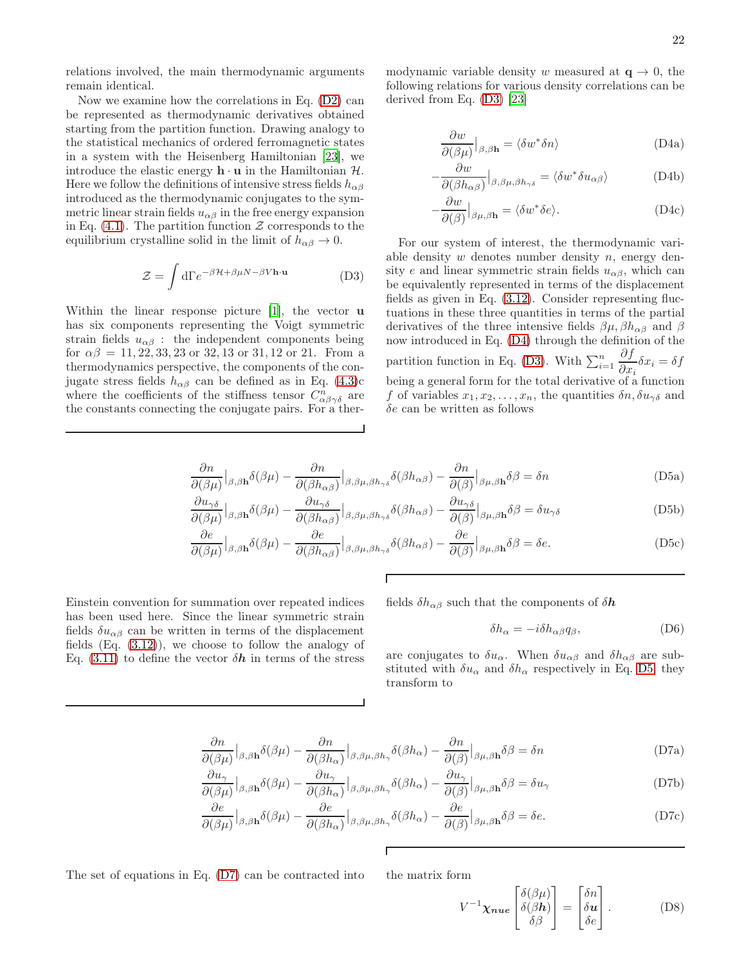relations involved, the main thermodynamic arguments remain identical.

Now we examine how the correlations in Eq. [\(D2\)](#page-20-1) can be represented as thermodynamic derivatives obtained starting from the partition function. Drawing analogy to the statistical mechanics of ordered ferromagnetic states in a system with the Heisenberg Hamiltonian [\[23](#page-24-21)], we introduce the elastic energy  $\mathbf{h} \cdot \mathbf{u}$  in the Hamiltonian  $\mathcal{H}$ . Here we follow the definitions of intensive stress fields  $h_{\alpha\beta}$ introduced as the thermodynamic conjugates to the symmetric linear strain fields  $u_{\alpha\beta}$  in the free energy expansion in Eq. [\(4.1\)](#page-11-1). The partition function  $\mathcal Z$  corresponds to the equilibrium crystalline solid in the limit of  $h_{\alpha\beta} \to 0$ .

<span id="page-21-0"></span>
$$
\mathcal{Z} = \int d\Gamma e^{-\beta \mathcal{H} + \beta \mu N - \beta V \mathbf{h} \cdot \mathbf{u}} \tag{D3}
$$

<span id="page-21-3"></span>Within the linear response picture [\[1](#page-24-0)], the vector **u** has six components representing the Voigt symmetric strain fields  $u_{\alpha\beta}$ : the independent components being for  $\alpha\beta = 11, 22, 33, 23$  or 32, 13 or 31, 12 or 21. From a thermodynamics perspective, the components of the conjugate stress fields  $h_{\alpha\beta}$  can be defined as in Eq. [\(4.3\)](#page-11-2)c where the coefficients of the stiffness tensor  $C^n_{\alpha\beta\gamma\delta}$  are the constants connecting the conjugate pairs. For a ther-

<span id="page-21-2"></span>modynamic variable density w measured at  $\mathbf{q} \to 0$ , the following relations for various density correlations can be derived from Eq. [\(D3\)](#page-21-0) [\[23\]](#page-24-21)

$$
\frac{\partial w}{\partial(\beta \mu)}\Big|_{\beta,\beta \mathbf{h}} = \langle \delta w^* \delta n \rangle \tag{D4a}
$$

$$
-\frac{\partial w}{\partial(\beta h_{\alpha\beta})}\Big|_{\beta,\beta\mu,\beta h_{\gamma\delta}} = \langle \delta w^* \delta u_{\alpha\beta} \rangle \tag{D4b}
$$

$$
-\frac{\partial w}{\partial(\beta)}\Big|_{\beta\mu,\beta\mathbf{h}} = \langle \delta w^* \delta e \rangle.
$$
 (D4c)

For our system of interest, the thermodynamic variable density  $w$  denotes number density  $n$ , energy density e and linear symmetric strain fields  $u_{\alpha\beta}$ , which can be equivalently represented in terms of the displacement fields as given in Eq. [\(3.12\)](#page-9-1). Consider representing fluctuations in these three quantities in terms of the partial derivatives of the three intensive fields  $\beta\mu, \beta h_{\alpha\beta}$  and  $\beta$ now introduced in Eq. [\(D4\)](#page-21-2) through the definition of the partition function in Eq. [\(D3\)](#page-21-0). With  $\sum_{i=1}^{n}$ ∂f  $\frac{\partial f}{\partial x_i}\delta x_i = \delta f$ being a general form for the total derivative of a function f of variables  $x_1, x_2, \ldots, x_n$ , the quantities  $\delta n, \delta u_{\gamma \delta}$  and  $\delta e$  can be written as follows

$$
\frac{\partial n}{\partial(\beta\mu)}\Big|_{\beta,\beta\mathbf{h}}\delta(\beta\mu) - \frac{\partial n}{\partial(\beta h_{\alpha\beta})}\Big|_{\beta,\beta\mu,\beta h_{\gamma\delta}}\delta(\beta h_{\alpha\beta}) - \frac{\partial n}{\partial(\beta)}\Big|_{\beta\mu,\beta\mathbf{h}}\delta\beta = \delta n
$$
\n(D5a)

$$
\frac{\partial u_{\gamma\delta}}{\partial(\beta\mu)}\Big|_{\beta,\beta\mathbf{h}}\delta(\beta\mu) - \frac{\partial u_{\gamma\delta}}{\partial(\beta h_{\alpha\beta})}\Big|_{\beta,\beta\mu,\beta h_{\gamma\delta}}\delta(\beta h_{\alpha\beta}) - \frac{\partial u_{\gamma\delta}}{\partial(\beta)}\Big|_{\beta\mu,\beta\mathbf{h}}\delta\beta = \delta u_{\gamma\delta}
$$
(D5b)

$$
\frac{\partial e}{\partial(\beta\mu)}\Big|_{\beta,\beta\mathbf{h}}\delta(\beta\mu) - \frac{\partial e}{\partial(\beta h_{\alpha\beta})}\Big|_{\beta,\beta\mu,\beta h_{\gamma\delta}}\delta(\beta h_{\alpha\beta}) - \frac{\partial e}{\partial(\beta)}\Big|_{\beta\mu,\beta\mathbf{h}}\delta\beta = \delta e. \tag{D5c}
$$

<span id="page-21-4"></span>Einstein convention for summation over repeated indices has been used here. Since the linear symmetric strain fields  $\delta u_{\alpha\beta}$  can be written in terms of the displacement fields  $(Eq. (3.12))$  $(Eq. (3.12))$  $(Eq. (3.12))$ , we choose to follow the analogy of Eq. [\(3.11\)](#page-9-0) to define the vector  $\delta h$  in terms of the stress

fields  $\delta h_{\alpha\beta}$  such that the components of  $\delta h$ 

$$
\delta h_{\alpha} = -i \delta h_{\alpha\beta} q_{\beta},\tag{D6}
$$

are conjugates to  $\delta u_{\alpha}$ . When  $\delta u_{\alpha\beta}$  and  $\delta h_{\alpha\beta}$  are substituted with  $\delta u_{\alpha}$  and  $\delta h_{\alpha}$  respectively in Eq. [D5,](#page-21-3) they transform to

$$
\frac{\partial n}{\partial(\beta\mu)}\Big|_{\beta,\beta\mathbf{h}}\delta(\beta\mu) - \frac{\partial n}{\partial(\beta h_{\alpha})}\Big|_{\beta,\beta\mu,\beta h_{\gamma}}\delta(\beta h_{\alpha}) - \frac{\partial n}{\partial(\beta)}\Big|_{\beta\mu,\beta\mathbf{h}}\delta\beta = \delta n
$$
\n(D7a)

$$
\frac{\partial u_{\gamma}}{\partial(\beta\mu)}\Big|_{\beta,\beta\mathbf{h}}\delta(\beta\mu) - \frac{\partial u_{\gamma}}{\partial(\beta h_{\alpha})}\Big|_{\beta,\beta\mu,\beta h_{\gamma}}\delta(\beta h_{\alpha}) - \frac{\partial u_{\gamma}}{\partial(\beta)}\Big|_{\beta\mu,\beta\mathbf{h}}\delta\beta = \delta u_{\gamma}
$$
(D7b)

$$
\frac{\partial e}{\partial(\beta\mu)}\Big|_{\beta,\beta\mathbf{h}}\delta(\beta\mu) - \frac{\partial e}{\partial(\beta h_{\alpha})}\Big|_{\beta,\beta\mu,\beta h_{\gamma}}\delta(\beta h_{\alpha}) - \frac{\partial e}{\partial(\beta)}\Big|_{\beta\mu,\beta\mathbf{h}}\delta\beta = \delta e. \tag{D7c}
$$

The set of equations in Eq.  $(D7)$  can be contracted into the matrix form

<span id="page-21-1"></span>
$$
V^{-1} \chi_{nue} \begin{bmatrix} \delta(\beta \mu) \\ \delta(\beta \mathbf{h}) \\ \delta \beta \end{bmatrix} = \begin{bmatrix} \delta n \\ \delta \mathbf{u} \\ \delta e \end{bmatrix} . \tag{D8}
$$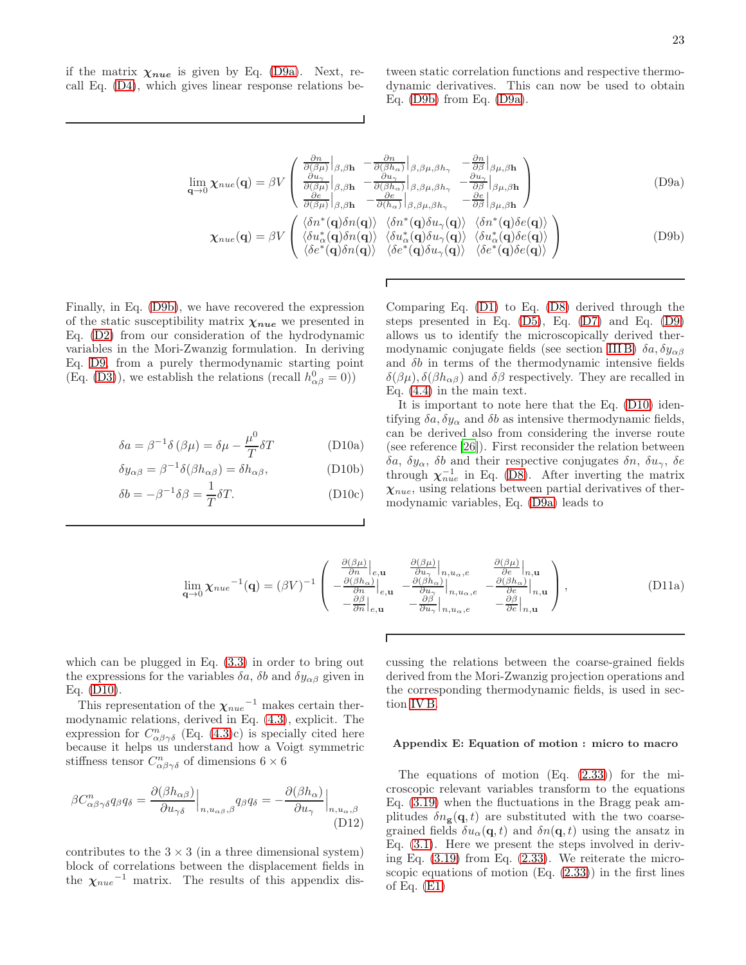<span id="page-22-3"></span>if the matrix  $\chi_{nue}$  is given by Eq. [\(D9a\)](#page-22-1). Next, recall Eq. [\(D4\)](#page-21-2), which gives linear response relations be<span id="page-22-1"></span>tween static correlation functions and respective thermodynamic derivatives. This can now be used to obtain Eq. [\(D9b\)](#page-22-2) from Eq. [\(D9a\)](#page-22-1).

$$
\lim_{\mathbf{q}\to 0} \chi_{nue}(\mathbf{q}) = \beta V \begin{pmatrix} \frac{\partial n}{\partial(\beta\mu)} \Big|_{\beta,\beta\mathbf{h}} & -\frac{\partial n}{\partial(\beta h_{\alpha})} \Big|_{\beta,\beta\mu,\beta h_{\gamma}} & -\frac{\partial n}{\partial\beta} \Big|_{\beta\mu,\beta\mathbf{h}} \\ \frac{\partial u_{\gamma}}{\partial(\beta\mu)} \Big|_{\beta,\beta\mathbf{h}} & -\frac{\partial u_{\gamma}}{\partial(\beta h_{\alpha})} \Big|_{\beta,\beta\mu,\beta h_{\gamma}} & -\frac{\partial u_{\gamma}}{\partial\beta} \Big|_{\beta\mu,\beta\mathbf{h}} \\ \frac{\partial e}{\partial(\beta\mu)} \Big|_{\beta,\beta\mathbf{h}} & -\frac{\partial e}{\partial(h_{\alpha})} \Big|_{\beta,\beta\mu,\beta h_{\gamma}} & -\frac{\partial e}{\partial\beta} \Big|_{\beta\mu,\beta\mathbf{h}} \end{pmatrix}
$$
(D9a)

$$
\chi_{nue}(\mathbf{q}) = \beta V \begin{pmatrix} \langle \delta n^*(\mathbf{q}) \delta n(\mathbf{q}) \rangle & \langle \delta n^*(\mathbf{q}) \delta u_{\gamma}(\mathbf{q}) \rangle & \langle \delta n^*(\mathbf{q}) \delta e(\mathbf{q}) \rangle \\ \langle \delta u_{\alpha}^*(\mathbf{q}) \delta n(\mathbf{q}) \rangle & \langle \delta u_{\alpha}^*(\mathbf{q}) \delta u_{\gamma}(\mathbf{q}) \rangle & \langle \delta u_{\alpha}^*(\mathbf{q}) \delta e(\mathbf{q}) \rangle \\ \langle \delta e^*(\mathbf{q}) \delta n(\mathbf{q}) \rangle & \langle \delta e^*(\mathbf{q}) \delta u_{\gamma}(\mathbf{q}) \rangle & \langle \delta e^*(\mathbf{q}) \delta e(\mathbf{q}) \rangle \end{pmatrix}
$$
(D9b)

Finally, in Eq. [\(D9b\)](#page-22-2), we have recovered the expression of the static susceptibility matrix  $\chi_{nue}$  we presented in Eq. [\(D2\)](#page-20-1) from our consideration of the hydrodynamic variables in the Mori-Zwanzig formulation. In deriving Eq. [D9,](#page-22-3) from a purely thermodynamic starting point (Eq. [\(D3\)](#page-21-0)), we establish the relations (recall  $h_{\alpha\beta}^0 = 0$ ))

$$
\delta a = \beta^{-1} \delta (\beta \mu) = \delta \mu - \frac{\mu^0}{T} \delta T \tag{D10a}
$$

$$
\delta y_{\alpha\beta} = \beta^{-1} \delta(\beta h_{\alpha\beta}) = \delta h_{\alpha\beta}, \tag{D10b}
$$

$$
\delta b = -\beta^{-1} \delta \beta = \frac{1}{T} \delta T.
$$
 (D10c)

<span id="page-22-2"></span>Comparing Eq. [\(D1\)](#page-20-2) to Eq. [\(D8\)](#page-21-1) derived through the steps presented in Eq. [\(D5\)](#page-21-3), Eq. [\(D7\)](#page-21-4) and Eq. [\(D9\)](#page-22-3) allows us to identify the microscopically derived ther-modynamic conjugate fields (see section [III B\)](#page-7-1)  $\delta a$ ,  $\delta y_{\alpha\beta}$ and  $\delta b$  in terms of the thermodynamic intensive fields  $\delta(\beta\mu), \delta(\beta h_{\alpha\beta})$  and  $\delta\beta$  respectively. They are recalled in Eq. [\(4.4\)](#page-12-0) in the main text.

<span id="page-22-4"></span>It is important to note here that the Eq. [\(D10\)](#page-22-4) identifying  $\delta a$ ,  $\delta y_{\alpha}$  and  $\delta b$  as intensive thermodynamic fields, can be derived also from considering the inverse route (see reference [\[26](#page-24-24)]). First reconsider the relation between δa,  $\delta y_{\alpha}$ , δb and their respective conjugates δn,  $\delta u_{\gamma}$ , δe through  $\chi_{nue}^{-1}$  in Eq. [\(D8\)](#page-21-1). After inverting the matrix  $\chi_{nue}$ , using relations between partial derivatives of thermodynamic variables, Eq. [\(D9a\)](#page-22-1) leads to

$$
\lim_{\mathbf{q}\to 0} \chi_{nue}^{-1}(\mathbf{q}) = (\beta V)^{-1} \begin{pmatrix} \frac{\partial(\beta \mu)}{\partial n}\Big|_{e,\mathbf{u}} & \frac{\partial(\beta \mu)}{\partial u}\Big|_{n,u_{\alpha},e} & \frac{\partial(\beta \mu)}{\partial e}\Big|_{n,\mathbf{u}}\\ -\frac{\partial(\beta h_{\alpha})}{\partial n}\Big|_{e,\mathbf{u}} & -\frac{\partial(\beta h_{\alpha})}{\partial u_{\gamma}}\Big|_{n,u_{\alpha},e} & -\frac{\partial(\beta h_{\alpha})}{\partial e}\Big|_{n,\mathbf{u}}\\ -\frac{\partial\beta}{\partial n}\Big|_{e,\mathbf{u}} & -\frac{\partial\beta}{\partial u_{\gamma}}\Big|_{n,u_{\alpha},e} & -\frac{\partial\beta}{\partial e}\Big|_{n,\mathbf{u}} \end{pmatrix},
$$
\n(D11a)

which can be plugged in Eq. [\(3.3\)](#page-7-8) in order to bring out the expressions for the variables  $\delta a$ ,  $\delta b$  and  $\delta y_{\alpha\beta}$  given in Eq. [\(D10\)](#page-22-4).

This representation of the  $\chi_{nue}^{-1}$  makes certain thermodynamic relations, derived in Eq. [\(4.3\)](#page-11-2), explicit. The expression for  $C^n_{\alpha\beta\gamma\delta}$  (Eq. [\(4.3\)](#page-11-2)c) is specially cited here because it helps us understand how a Voigt symmetric stiffness tensor  $C^n_{\alpha\beta\gamma\delta}$  of dimensions  $6 \times 6$ 

$$
\beta C_{\alpha\beta\gamma\delta}^{n} q_{\beta} q_{\delta} = \frac{\partial (\beta h_{\alpha\beta})}{\partial u_{\gamma\delta}} \Big|_{n, u_{\alpha\beta}, \beta} q_{\beta} q_{\delta} = -\frac{\partial (\beta h_{\alpha})}{\partial u_{\gamma}} \Big|_{n, u_{\alpha}, \beta}
$$
(D12)

contributes to the  $3 \times 3$  (in a three dimensional system) block of correlations between the displacement fields in the  $\chi_{nue}^{-1}$  matrix. The results of this appendix dis-

cussing the relations between the coarse-grained fields derived from the Mori-Zwanzig projection operations and the corresponding thermodynamic fields, is used in section [IV B.](#page-11-0)

### <span id="page-22-0"></span>Appendix E: Equation of motion : micro to macro

The equations of motion (Eq. [\(2.33\)](#page-6-4)) for the microscopic relevant variables transform to the equations Eq. [\(3.19\)](#page-10-2) when the fluctuations in the Bragg peak amplitudes  $\delta n_{\mathbf{g}}(\mathbf{q},t)$  are substituted with the two coarsegrained fields  $\delta u_{\alpha}(\mathbf{q},t)$  and  $\delta n(\mathbf{q},t)$  using the ansatz in Eq. [\(3.1\)](#page-7-3). Here we present the steps involved in deriving Eq. [\(3.19\)](#page-10-2) from Eq. [\(2.33\)](#page-6-4). We reiterate the microscopic equations of motion  $(Eq. (2.33))$  $(Eq. (2.33))$  $(Eq. (2.33))$  in the first lines of Eq.  $(E1)$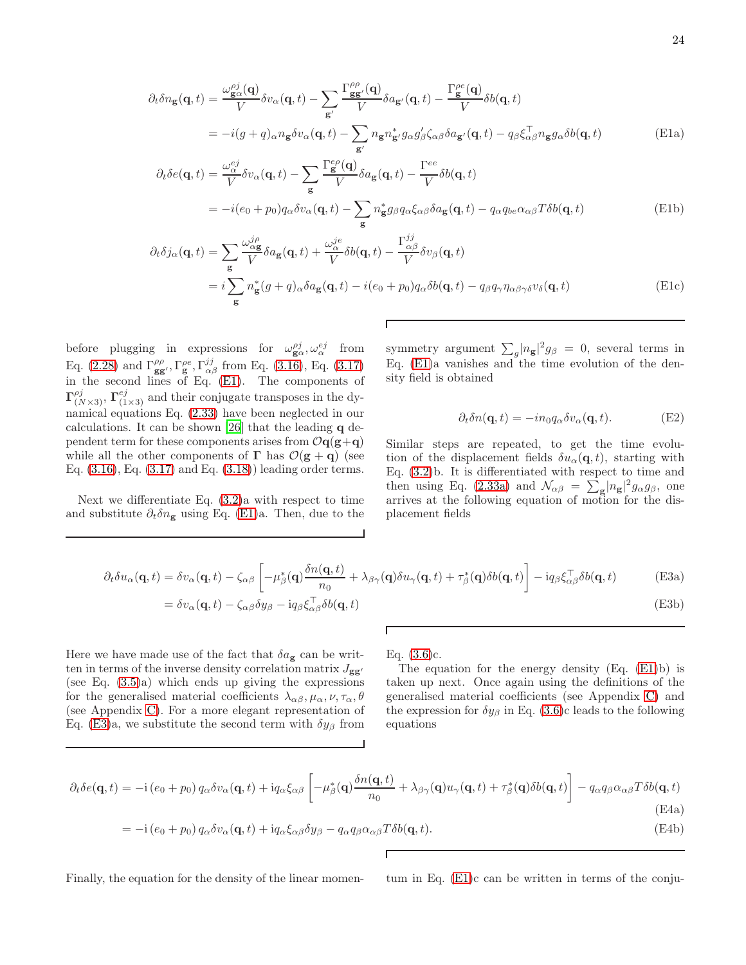<span id="page-23-0"></span>
$$
\partial_t \delta n_{\mathbf{g}}(\mathbf{q},t) = \frac{\omega_{\mathbf{g}\alpha}^{\rho j}(\mathbf{q})}{V} \delta v_{\alpha}(\mathbf{q},t) - \sum_{\mathbf{g}'} \frac{\Gamma_{\mathbf{g}\mathbf{g}'}^{\rho \rho}(\mathbf{q})}{V} \delta a_{\mathbf{g}'}(\mathbf{q},t) - \frac{\Gamma_{\mathbf{g}}^{\rho e}(\mathbf{q})}{V} \delta b(\mathbf{q},t)
$$
\n
$$
= -i(g+q)_{\alpha} n_{\mathbf{g}} \delta v_{\alpha}(\mathbf{q},t) - \sum_{\mathbf{g}'} n_{\mathbf{g}} n_{\mathbf{g}'}^{*} g_{\alpha} g_{\beta}' \zeta_{\alpha\beta} \delta a_{\mathbf{g}'}(\mathbf{q},t) - q_{\beta} \xi_{\alpha\beta}^{\top} n_{\mathbf{g}} g_{\alpha} \delta b(\mathbf{q},t)
$$
\n(E1a)\n
$$
\partial_t \delta e(\mathbf{q},t) = \frac{\omega_{\alpha}^{ej}}{V} \delta v_{\alpha}(\mathbf{q},t) - \sum_{\mathbf{g}'} \frac{\Gamma_{\mathbf{g}}^{\rho \rho}(\mathbf{q})}{V} \delta a_{\mathbf{g}}(\mathbf{q},t) - \frac{\Gamma_{\mathbf{g}}^{\epsilon e}}{V} \delta b(\mathbf{q},t)
$$

$$
\delta e(\mathbf{q}, t) = \frac{\omega_{\alpha}^{2}}{V} \delta v_{\alpha}(\mathbf{q}, t) - \sum_{\mathbf{g}} \frac{\mathbf{1}_{\mathbf{g}}(\mathbf{q})}{V} \delta a_{\mathbf{g}}(\mathbf{q}, t) - \frac{\mathbf{1}_{\mathbf{f}}}{V} \delta b(\mathbf{q}, t)
$$
  
= 
$$
-i(e_{0} + p_{0}) q_{\alpha} \delta v_{\alpha}(\mathbf{q}, t) - \sum_{\mathbf{g}} n_{\mathbf{g}}^{*} g_{\beta} q_{\alpha} \xi_{\alpha \beta} \delta a_{\mathbf{g}}(\mathbf{q}, t) - q_{\alpha} q_{be} \alpha_{\alpha \beta} T \delta b(\mathbf{q}, t)
$$
(E1b)

$$
\partial_t \delta j_\alpha(\mathbf{q}, t) = \sum_{\mathbf{g}} \frac{\omega_{\alpha \mathbf{g}}^{j \rho}}{V} \delta a_{\mathbf{g}}(\mathbf{q}, t) + \frac{\omega_{\alpha}^{j e}}{V} \delta b(\mathbf{q}, t) - \frac{\Gamma_{\alpha \beta}^{j j}}{V} \delta v_\beta(\mathbf{q}, t)
$$
  
=  $i \sum_{\mathbf{g}} n_{\mathbf{g}}^*(g + q)_\alpha \delta a_{\mathbf{g}}(\mathbf{q}, t) - i(e_0 + p_0) q_\alpha \delta b(\mathbf{q}, t) - q_\beta q_\gamma \eta_{\alpha \beta \gamma \delta} v_\delta(\mathbf{q}, t)$  (E1c)

Г

before plugging in expressions for  $\omega_{\mathbf{g}\alpha}^{pj}, \omega_{\alpha}^{ej}$  from Eq. [\(2.28\)](#page-5-3) and  $\Gamma_{gg'}^{\rho\rho}, \Gamma_{g}^{\rho e}, \Gamma_{\alpha\beta}^{jj}$  from Eq. [\(3.16\)](#page-10-1), Eq. [\(3.17\)](#page-10-3) in the second lines of Eq. [\(E1\)](#page-23-0). The components of  $\Gamma^{pj}_{(N\times3)}$ ,  $\Gamma^{ej}_{(1\times3)}$  and their conjugate transposes in the dynamical equations Eq. [\(2.33\)](#page-6-4) have been neglected in our calculations. It can be shown [\[26\]](#page-24-24) that the leading q dependent term for these components arises from  $\mathcal{O}q(g+q)$ while all the other components of  $\Gamma$  has  $\mathcal{O}(\mathbf{g} + \mathbf{q})$  (see Eq.  $(3.16)$ , Eq.  $(3.17)$  and Eq.  $(3.18)$  leading order terms.

<span id="page-23-1"></span>Next we differentiate Eq. [\(3.2\)](#page-7-4)a with respect to time and substitute  $\partial_t \delta n_{\mathbf{g}}$  using Eq. [\(E1\)](#page-23-0)a. Then, due to the

symmetry argument  $\sum_{g} |n_{g}|^{2} g_{\beta} = 0$ , several terms in Eq. [\(E1\)](#page-23-0)a vanishes and the time evolution of the density field is obtained

$$
\partial_t \delta n(\mathbf{q}, t) = -i n_0 q_\alpha \delta v_\alpha(\mathbf{q}, t). \tag{E2}
$$

Similar steps are repeated, to get the time evolution of the displacement fields  $\delta u_{\alpha}(\mathbf{q}, t)$ , starting with Eq. [\(3.2\)](#page-7-4)b. It is differentiated with respect to time and then using Eq. [\(2.33a\)](#page-6-5) and  $\mathcal{N}_{\alpha\beta} = \sum_{\mathbf{g}} |n_{\mathbf{g}}|^2 g_{\alpha} g_{\beta}$ , one arrives at the following equation of motion for the displacement fields

$$
\partial_t \delta u_{\alpha}(\mathbf{q},t) = \delta v_{\alpha}(\mathbf{q},t) - \zeta_{\alpha\beta} \left[ -\mu_{\beta}^*(\mathbf{q}) \frac{\delta n(\mathbf{q},t)}{n_0} + \lambda_{\beta\gamma}(\mathbf{q}) \delta u_{\gamma}(\mathbf{q},t) + \tau_{\beta}^*(\mathbf{q}) \delta b(\mathbf{q},t) \right] - i q_{\beta} \xi_{\alpha\beta}^{\top} \delta b(\mathbf{q},t)
$$
(E3a)  
=  $\delta v_{\alpha}(\mathbf{q},t) - \zeta_{\alpha\beta} \delta y_{\beta} - i q_{\beta} \xi_{\alpha\beta}^{\top} \delta b(\mathbf{q},t)$  (E3b)

Here we have made use of the fact that  $\delta a_{\mathbf{g}}$  can be written in terms of the inverse density correlation matrix  $J_{gg'}$ (see Eq. [\(3.5\)](#page-7-6)a) which ends up giving the expressions for the generalised material coefficients  $\lambda_{\alpha\beta}, \mu_{\alpha}, \nu, \tau_{\alpha}, \theta$ (see Appendix [C\)](#page-18-2). For a more elegant representation of Eq. [\(E3\)](#page-23-1)a, we substitute the second term with  $\delta y_\beta$  from Eq. [\(3.6\)](#page-8-2)c.

The equation for the energy density  $(Eq. (E1)b)$  $(Eq. (E1)b)$  $(Eq. (E1)b)$  is taken up next. Once again using the definitions of the generalised material coefficients (see Appendix [C\)](#page-18-2) and the expression for  $\delta y_\beta$  in Eq. [\(3.6\)](#page-8-2)c leads to the following equations

$$
\partial_t \delta e(\mathbf{q}, t) = -\mathrm{i} (e_0 + p_0) q_\alpha \delta v_\alpha(\mathbf{q}, t) + \mathrm{i} q_\alpha \xi_{\alpha\beta} \left[ -\mu_\beta^*(\mathbf{q}) \frac{\delta n(\mathbf{q}, t)}{n_0} + \lambda_{\beta\gamma}(\mathbf{q}) u_\gamma(\mathbf{q}, t) + \tau_\beta^*(\mathbf{q}) \delta b(\mathbf{q}, t) \right] - q_\alpha q_\beta \alpha_{\alpha\beta} T \delta b(\mathbf{q}, t)
$$
\n(E4a)

$$
= -i\left(e_0 + p_0\right)q_\alpha\delta v_\alpha(\mathbf{q}, t) + iq_\alpha\xi_{\alpha\beta}\delta y_\beta - q_\alpha q_\beta\alpha_{\alpha\beta}T\delta b(\mathbf{q}, t). \tag{E4b}
$$

Г

Finally, the equation for the density of the linear momen- tum in Eq. [\(E1\)](#page-23-0)c can be written in terms of the conju-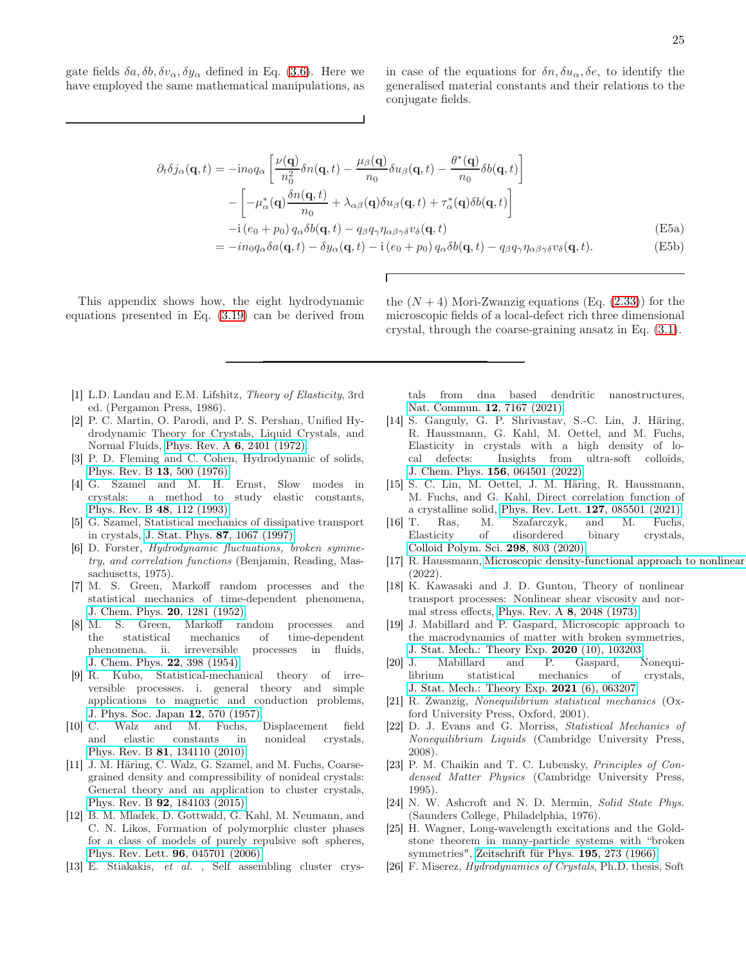<span id="page-24-25"></span>gate fields  $\delta a, \delta b, \delta v_\alpha, \delta y_\alpha$  defined in Eq. [\(3.6\)](#page-8-2). Here we have employed the same mathematical manipulations, as

in case of the equations for  $\delta n, \delta u_\alpha, \delta e$ , to identify the generalised material constants and their relations to the conjugate fields.

$$
\partial_t \delta j_\alpha(\mathbf{q}, t) = -i n_0 q_\alpha \left[ \frac{\nu(\mathbf{q})}{n_0^2} \delta n(\mathbf{q}, t) - \frac{\mu_\beta(\mathbf{q})}{n_0} \delta u_\beta(\mathbf{q}, t) - \frac{\theta^*(\mathbf{q})}{n_0} \delta b(\mathbf{q}, t) \right]
$$

$$
- \left[ -\mu_\alpha^*(\mathbf{q}) \frac{\delta n(\mathbf{q}, t)}{n_0} + \lambda_{\alpha\beta}(\mathbf{q}) \delta u_\beta(\mathbf{q}, t) + \tau_\alpha^*(\mathbf{q}) \delta b(\mathbf{q}, t) \right]
$$

$$
-i (e_0 + p_0) q_\alpha \delta b(\mathbf{q}, t) - q_\beta q_\gamma \eta_{\alpha\beta\gamma\delta} v_\delta(\mathbf{q}, t)
$$
(E5a)
$$
= -i n_0 q_\alpha \delta a(\mathbf{q}, t) - \delta y_\alpha(\mathbf{q}, t) - i (e_0 + p_0) q_\alpha \delta b(\mathbf{q}, t) - q_\beta q_\gamma \eta_{\alpha\beta\gamma\delta} v_\delta(\mathbf{q}, t). \tag{E5b}
$$

This appendix shows how, the eight hydrodynamic equations presented in Eq. [\(3.19\)](#page-10-2) can be derived from

the  $(N + 4)$  Mori-Zwanzig equations (Eq.  $(2.33)$ ) for the microscopic fields of a local-defect rich three dimensional crystal, through the coarse-graining ansatz in Eq. [\(3.1\)](#page-7-3).

- <span id="page-24-0"></span>[1] L.D. Landau and E.M. Lifshitz, Theory of Elasticity, 3rd ed. (Pergamon Press, 1986).
- <span id="page-24-1"></span>[2] P. C. Martin, O. Parodi, and P. S. Pershan, Unified Hydrodynamic Theory for Crystals, Liquid Crystals, and Normal Fluids, Phys. Rev. A 6[, 2401 \(1972\).](https://doi.org/10.1103/PhysRevA.6.2401)
- <span id="page-24-2"></span>[3] P. D. Fleming and C. Cohen, Hydrodynamic of solids, [Phys. Rev. B](https://doi.org/10.1103/PhysRevB.13.500) 13, 500 (1976).
- <span id="page-24-3"></span>[4] G. Szamel and M. H. Ernst, Slow modes in crystals: a method to study elastic constants, [Phys. Rev. B](https://doi.org/https://doi.org/10.1103/PhysRevB.48.112) 48, 112 (1993).
- <span id="page-24-4"></span>[5] G. Szamel, Statistical mechanics of dissipative transport in crystals, [J. Stat. Phys.](https://doi.org/https://doi.org/10.1007/BF02181271) 87, 1067 (1997).
- <span id="page-24-5"></span>[6] D. Forster, Hydrodynamic fluctuations, broken symmetry, and correlation functions (Benjamin, Reading, Massachusetts, 1975).
- <span id="page-24-6"></span>[7] M. S. Green, Markoff random processes and the statistical mechanics of time-dependent phenomena, [J. Chem. Phys.](https://doi.org/10.1063/1.1700722) **20**, 1281 (1952)<br>[8] M. S. Green, Markoff ra
- S. Green, Markoff random processes and the statistical mechanics of time-dependent phenomena. ii. irreversible processes in fluids, [J. Chem. Phys.](https://doi.org/10.1063/1.1740082) 22, 398 (1954).
- <span id="page-24-7"></span>[9] R. Kubo, Statistical-mechanical theory of irreversible processes. i. general theory and simple applications to magnetic and conduction problems, [J. Phys. Soc. Japan](https://doi.org/10.1143/JPSJ.12.570) 12, 570 (1957).
- <span id="page-24-8"></span>[10] C. Walz and M. Fuchs, Displacement field and elastic constants in nonideal crystals, Phys. Rev. B 81[, 134110 \(2010\).](https://doi.org/10.1103/PhysRevB.81.134110)
- <span id="page-24-9"></span>[11] J. M. Häring, C. Walz, G. Szamel, and M. Fuchs, Coarsegrained density and compressibility of nonideal crystals: General theory and an application to cluster crystals, Phys. Rev. B 92[, 184103 \(2015\).](https://doi.org/10.1103/PhysRevB.92.184103)
- <span id="page-24-10"></span>[12] B. M. Mladek, D. Gottwald, G. Kahl, M. Neumann, and C. N. Likos, Formation of polymorphic cluster phases for a class of models of purely repulsive soft spheres, [Phys. Rev. Lett.](https://doi.org/10.1103/PhysRevLett.96.045701) 96, 045701 (2006).
- <span id="page-24-11"></span>[13] E. Stiakakis, et al. , Self assembling cluster crys-

tals from dna based dendritic nanostructures, [Nat. Commun.](https://doi.org/10.1038/s41467-021-27412-3) 12, 7167 (2021).

- <span id="page-24-12"></span>[14] S. Ganguly, G. P. Shrivastav, S.-C. Lin, J. Häring, R. Haussmann, G. Kahl, M. Oettel, and M. Fuchs, Elasticity in crystals with a high density of local defects: Insights from ultra-soft colloids, J. Chem. Phys. 156[, 064501 \(2022\).](https://doi.org/10.1063/5.0073624)
- <span id="page-24-13"></span>[15] S. C. Lin, M. Oettel, J. M. Häring, R. Haussmann, M. Fuchs, and G. Kahl, Direct correlation function of a crystalline solid, [Phys. Rev. Lett.](https://doi.org/10.1103/PhysRevLett.127.085501) 127, 085501 (2021).
- <span id="page-24-14"></span>[16] T. Ras, M. Szafarczyk, and M. Fuchs, Elasticity of disordered binary crystals, [Colloid Polym. Sci.](https://doi.org/10.1007/s00396-019-04589-0) 298, 803 (2020).
- <span id="page-24-15"></span>[17] R. Haussmann, Microscopic density-functional approach to nonlinear (2022).
- <span id="page-24-16"></span>[18] K. Kawasaki and J. D. Gunton, Theory of nonlinear transport processes: Nonlinear shear viscosity and normal stress effects, Phys. Rev. A 8[, 2048 \(1973\).](https://doi.org/10.1103/PhysRevA.8.2048)
- <span id="page-24-17"></span>[19] J. Mabillard and P. Gaspard, Microscopic approach to the macrodynamics of matter with broken symmetries, [J. Stat. Mech.: Theory Exp.](https://doi.org/10.1088/1742-5468/abb0e0) 2020 (10), 103203.
- <span id="page-24-18"></span>[20] J. Mabillard and P. Gaspard, Nonequilibrium statistical mechanics of crystals, [J. Stat. Mech.: Theory Exp.](https://doi.org/10.1088/1742-5468/ac02c9) 2021 (6), 063207.
- <span id="page-24-19"></span>[21] R. Zwanzig, Nonequilibrium statistical mechanics (Oxford University Press, Oxford, 2001).
- <span id="page-24-20"></span>[22] D. J. Evans and G. Morriss, Statistical Mechanics of Nonequilibrium Liquids (Cambridge University Press, 2008).
- <span id="page-24-21"></span>[23] P. M. Chaikin and T. C. Lubensky, Principles of Condensed Matter Physics (Cambridge University Press, 1995).
- <span id="page-24-22"></span>[24] N. W. Ashcroft and N. D. Mermin, Solid State Phys. (Saunders College, Philadelphia, 1976).
- <span id="page-24-23"></span>[25] H. Wagner, Long-wavelength excitations and the Goldstone theorem in many-particle systems with "broken symmetries", [Zeitschrift für Phys.](https://doi.org/10.1007/BF01325630) 195, 273 (1966).
- <span id="page-24-24"></span>[26] F. Miserez, Hydrodynamics of Crystals, Ph.D. thesis, Soft